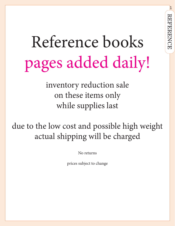# Reference books pages added daily!

inventory reduction sale on these items only while supplies last

due to the low cost and possible high weight actual shipping will be charged

No returns

prices subject to change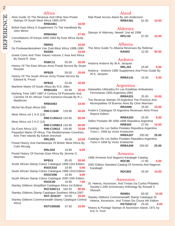| Africa<br>Alnis Guide 10 The Revenue And Other Non-Postal<br>Stamps Of South West Africa 1900-1978                                                   |       | Mail Ro             |
|------------------------------------------------------------------------------------------------------------------------------------------------------|-------|---------------------|
| <b>RRBA061</b><br>British East Africa A Supplement To The Handbook By<br>John Minns                                                                  | 10.00 |                     |
| <b>RRBA062</b><br>Cancellations Of Kenya 1890-1963 By East Africa Study                                                                              | 27.50 | <b>Stamps</b>       |
| Circle<br><b>RBR01</b><br>De Postwaardestukken Van Zuid-West Africa 1888-1990                                                                        | 10.00 | The Aln             |
| RDD93<br>Greek Coins And Their Values Volume 2 Asia And Africa                                                                                       | 10.00 |                     |
| By David R. Sear<br>RSBC11<br>55.00                                                                                                                  | 25.00 | Andorra             |
| History Of The East African Army Postal Service By Stuart<br>Rossiter<br><b>RPB29</b><br>59.00                                                       | 25.00 | Andorra             |
| History Of The South African Army Postal Service By<br>Edward B. Proud                                                                               |       | W.A. J              |
| <b>RPB32</b><br>53.00<br>Maritime Marks Of South Africa By R.D. Allen                                                                                | 20.00 |                     |
| <b>RRBA204</b><br>84.99<br>Marking Time 1887-1987 A Century Of Postmarks And                                                                         | 20.00 | Hatasell<br>Ferrov  |
| Cachets Of An African Town Kamerun-Douala By R.J.<br>Maddocks<br><b>RRBA063</b>                                                                      | 10.00 | The Rev<br>Munici   |
| Michel No./East Africa (09)<br><b>RMI-C1049</b><br>129.90                                                                                            | 50.00 | Forbin's            |
| West Africa vol 1 A-G (13)<br>RMI-C105A13 134.90                                                                                                     | 60.00 | Reprir              |
| West Africa vol 2 H-Z (13)<br>RMI-C105B13 134.90                                                                                                     | 60.00 | Sellos F<br>Catalog |
| So./Cent Africa (12)<br><b>RMI-C10612</b><br>149.90<br>Paquebot Marks Of Africa, The Mediterranean Countries,<br>And Their Islands By Edwin Drechsel | 70.00 | Tomo                |
| RRLD01<br>40.00<br>Postal History And Handstamps Of British West Africa By                                                                           | 10.00 | Catalog<br>Tomo     |
| <b>Colin Mccaig</b><br>RRLD02<br>19.95                                                                                                               | 6.00  |                     |
| Postal History Of German East Africa By Jerome G.<br>Newman<br><b>RPB15</b><br>85.00                                                                 | 20.00 | 1998 Ar             |
| South African Stamp Colour Catalogue 1999 23rd Edition<br><b>RSOC010</b><br>19.95                                                                    | 5.00  | 2002 Eo<br>Karab    |
| South African Stamp Colour Catalogue 1998 22nd Edition<br><b>RSOC098</b><br>19.95                                                                    | 3.00  |                     |
| South African Stamp Colour Catalogue 2000 24th Edition<br><b>RSOC00</b><br>19.95                                                                     | 7.00  | St. Hele            |
| Stanley Gibbons Simplified Catalogue Africa 1st Edition<br><b>RSTA06C11</b><br>162.50                                                                | 80.00 | Societ<br>Skava     |
| Stanley Gibbons Stamp Catalogue Southern Africa 2007<br><b>RST-S24C07</b><br>50.00                                                                   | 20.00 | Stanley             |
| Stanley Gibbons Commonwealth Stamp Catalogue Central<br>Africa                                                                                       |       | Helena              |

**RSTC09S08** 37.50 **10.00**

# Aland

ad Across Aland By Jan Andersson **RRBA361** 61.00 **10.00**

# Alderney

| Stamps of Alderney, Newell. 2nd ed 1998 |        |       |       |
|-----------------------------------------|--------|-------|-------|
|                                         | RPU-04 | 57.00 | 10.00 |

# Albania

| The Alnis Guide To Albania Revenues By Relbmar |        |
|------------------------------------------------|--------|
| RAN03<br>12.00                                 | \$5.00 |

# Andorra

| Andorra Andorre By W.A. Jacques                                      |                |       |      |
|----------------------------------------------------------------------|----------------|-------|------|
|                                                                      | RRLJ03         | 25.00 | 8.00 |
| Andorra - Andorre 1985 Supplement And Price Guide By<br>W.A. Jacques |                |       |      |
|                                                                      | <b>RRBA141</b> | 15.00 | 5.00 |

# Argentina

| $III$ guidha                                                                             |        |       |
|------------------------------------------------------------------------------------------|--------|-------|
| Hatasellos Utilizados En Las Estafetas Ambulanies                                        |        |       |
| Ferroviarias 1855-Argentina-1892                                                         |        |       |
| <b>RRBA201</b>                                                                           | 25.00  | 10.00 |
| The Revenue Stamps Of Argentina The Province And                                         |        |       |
| Municipalities Of Buenos Aires By Clive Akerman                                          |        |       |
| <b>RRAN06</b>                                                                            | 25.00  | 10.00 |
| Forbin's Catalogue Of Argentina Revenues Alnis Press<br><b>Reprint Edition</b>           |        |       |
| <b>RRBA202</b>                                                                           | 25.00  | 8.00  |
| Sellos Postales 98 1856-1998 Republica Argentina                                         |        |       |
| <b>RRB203</b>                                                                            | 27.00  | 10.00 |
| Catalogo De Los Sellos Postales Republica Argentina                                      |        |       |
| Tomo I, 1958 by Victor Kneitschel                                                        |        |       |
| <b>RRBA207</b>                                                                           | 200.00 | 25.00 |
| Catalogo De Los Sellos Postales Republica Argentina<br>Tomo II 1958 by Victor Kneitschel |        |       |
| RRBA208                                                                                  | 200.00 | 25.00 |

# Armenia

| 1998 Armenia And Nagorno Karabagh Catalog                        |               |       |       |
|------------------------------------------------------------------|---------------|-------|-------|
|                                                                  | RDC88         | 17.95 | 5.00  |
| 2002 Edition Standard Catalog Of Armenia And Nagorno<br>Karabagh |               |       |       |
|                                                                  | <b>RDC802</b> | 25.00 | 10.00 |

# Ascension

ena, Ascension, And Tristan Da Cunha Philatelic y's 20th Anniversary Anthology By Russell V. ıril

**RDM01** 60.00 **15.00** Gibbons Commonwealth Stamp Catalogue St. a, Ascension, And Tristan Da Chuna 4th Edition

**RSTS02C12** 25.00 **8.00**

History & Postage Stamps of Ascension Island, 1971 by Eric H. Ford

2 **REFERENCE** REFERENCE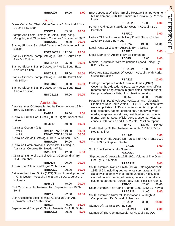# Asia

Greek Coins And Their Values Volume 2 Asia And Africa By David R. Sear

**RSBC11** 55.00 **10.00**

- Stamps And Postal History Of China, Hong Kong, Mongolia, And Other Asian Countries 1 November 2007 **RRBA211** 89.99 **20.00** Stanley Gibbons Simplified Catalogue Asia Volume 1 1st
- Edition **RSTA40C11** 112.50 **25.00** Stanley Gibbons Stamp Catalogue Part 21 South East Asia 5th Edition
- **RSTC2112** 75.00 **20.00** Stanley Gibbons Stamp Catalogue Part 21 South East Asia 3rd Edition
- **RSTC213** 75.00 **20.00** Stanley Gibbons Stamp Catalogue Part 16 Central Asia 4th Edition
- **RSTC166** 60.00 **15.00** Stanley Gibbons Stamp Catalogue Part 21 South-East Asia 4th edition

**RSTC2112** 75.00 **10.00**

# Australia

| Aerogrammes Of Australia And Its Dependencies 1944-<br>1980 By Robert C. Stein                                   |                           |       |       |
|------------------------------------------------------------------------------------------------------------------|---------------------------|-------|-------|
|                                                                                                                  | RAP64                     | 18.00 | 9.00  |
| Australia Airmail Cat., Eustis (2002) Flights, Rocket Mail,<br>prices                                            |                           |       |       |
|                                                                                                                  | <b>REU017</b>             | 40.00 | 10.00 |
| Australia, Oceania (13)                                                                                          |                           |       |       |
| vol 1                                                                                                            | <b>RMI-C107A13 149.90</b> |       | 50.00 |
| vol 2                                                                                                            | <b>RMI-C107B13 149.90</b> |       | 50.00 |
| Australian Air Mail Catalogue 1997 By Nelson Eustis                                                              |                           |       |       |
|                                                                                                                  | <b>RRBA220</b>            | 30.00 | 5.00  |
| Australian Commonwealth Specialists' Catalogue<br>Australian Colonies By Brusden-White                           |                           |       |       |
|                                                                                                                  | <b>RWIC074</b>            | 42.50 | 5.00  |
| Australian Numeral Cancellations: A Compendium By<br>H.M. Campbell                                               |                           |       |       |
|                                                                                                                  | RRLH09                    | 90.00 | 20.00 |
| Australasian Stamp Catalogue 25th Edition                                                                        |                           |       |       |
|                                                                                                                  | <b>RRBA221</b>            | 20.00 | 10.00 |
| Between the Lines, Smits (1979) Story of development of<br>P.O in Western Australia incl art and FDC's, deluxe 2 |                           |       |       |
| Volumes                                                                                                          |                           |       |       |
|                                                                                                                  | RDH-76                    | 75.00 | 20.00 |
| Civil Censorship In Australia And Dependencies 1939-<br>1945                                                     |                           |       |       |
|                                                                                                                  | RDG12                     | 22.50 | 10.00 |
| Coin Collector's Bible Renniks Australian Coin And<br>Banknote Values 19th Edition                               |                           |       |       |
|                                                                                                                  | RDU <sub>24</sub>         | 40.00 | 15.00 |
| Departmental Stamps Of South Australia By A. R. Butler                                                           |                           |       |       |
|                                                                                                                  | <b>RRBA222</b>            | 20.00 | 5.00  |

| Encyclopaedia Of British Empire Postage Stamps Volume<br>Iv Supplement 1976 The Empire In Australia By Robson<br>Lowe                                                                                                                                                                                                                                                                                                                         |        |
|-----------------------------------------------------------------------------------------------------------------------------------------------------------------------------------------------------------------------------------------------------------------------------------------------------------------------------------------------------------------------------------------------------------------------------------------------|--------|
| <b>RRBA223</b><br>12.00                                                                                                                                                                                                                                                                                                                                                                                                                       | 6.00   |
| Forgery And Reprint Guide 20 Western Australia By J.<br><b>Barefoot</b>                                                                                                                                                                                                                                                                                                                                                                       |        |
| RBFF20                                                                                                                                                                                                                                                                                                                                                                                                                                        | 3.00   |
| History Of The Australian Military Postal Service 1914-<br>1950 By Edward B. Proud                                                                                                                                                                                                                                                                                                                                                            |        |
| <b>RPB-24</b><br>130.00                                                                                                                                                                                                                                                                                                                                                                                                                       | 50.00  |
| Local Posts Of Western Australia By P. Collas<br>RBFF20                                                                                                                                                                                                                                                                                                                                                                                       | 3.00   |
| Local Stamps Of Australia By Bill Hornadge                                                                                                                                                                                                                                                                                                                                                                                                    |        |
| <b>RDD25</b><br>12.00                                                                                                                                                                                                                                                                                                                                                                                                                         | 6.00   |
| Medals To Australia With Valuations Second Edition By<br>R.D. Williams                                                                                                                                                                                                                                                                                                                                                                        |        |
| <b>RRBA224</b><br>18.00                                                                                                                                                                                                                                                                                                                                                                                                                       | 9.00   |
| Place And Date Stamps Of Western Australia With Rarity<br>Guide 1st Edition                                                                                                                                                                                                                                                                                                                                                                   |        |
| <b>RBA225</b>                                                                                                                                                                                                                                                                                                                                                                                                                                 | 12.00  |
| Postage Stamps of South Australia, James (1948).<br>Covering the Adelaide, G.P.O., early postmarks, official<br>records, the Long stamps in great detail, printing quanti-<br>ties, plus reference lists, illus. Postilion reprint                                                                                                                                                                                                            |        |
| <b>RTP-57</b><br>36.00                                                                                                                                                                                                                                                                                                                                                                                                                        | 28.80  |
| Postage Stamps, Envelopes, Postcards and Telegraph<br>Stamps of New South Wales, Hull (1911) An exhaustive<br>work on philately of NSW, chapters devoted to produc-<br>tion, pigments, papers, perforations, adhesives, water-<br>marks, wrappers, envelopes, post & letter card, speci-<br>mens, reprints, rates, official correspondence. Victoria<br>cancels, with tables and illus. 2 Vols. Postilion reprint.<br><b>RTP-40</b><br>130.00 | 104.00 |
| Postal History Of The Australial Antarctic 1911-1965 By                                                                                                                                                                                                                                                                                                                                                                                       |        |
| Roy M. Milner                                                                                                                                                                                                                                                                                                                                                                                                                                 |        |
| RRLA01                                                                                                                                                                                                                                                                                                                                                                                                                                        | 1.00   |
| Postmarks Of The Australian Forces From All Fronts 1939                                                                                                                                                                                                                                                                                                                                                                                       |        |
| To 1953 By Stephen Stubbs                                                                                                                                                                                                                                                                                                                                                                                                                     |        |
| <b>RRBA226</b>                                                                                                                                                                                                                                                                                                                                                                                                                                | 5.00   |
| Scott Checklist Australia Stamps                                                                                                                                                                                                                                                                                                                                                                                                              |        |
| XSCA22L                                                                                                                                                                                                                                                                                                                                                                                                                                       | 1.00   |
| Ship Letters Of Australia 1788-1901 Volume 2 The Orient<br>Line By G.P. Molnar                                                                                                                                                                                                                                                                                                                                                                |        |
| <b>RRBA227</b>                                                                                                                                                                                                                                                                                                                                                                                                                                | 5.00   |
| South Australia, Napier, Smith (1984). Catalog/handbook<br>1855-1893, including departmental surchages and offi-<br>cial service stamps with all listed varieties, highly spe-                                                                                                                                                                                                                                                                |        |
| cialized notes covering all issues, definitions for all ini-                                                                                                                                                                                                                                                                                                                                                                                  |        |
| tials of departmental surcharges. illus, Postilion reprint.                                                                                                                                                                                                                                                                                                                                                                                   |        |
| <b>RTP-35</b><br>25.00                                                                                                                                                                                                                                                                                                                                                                                                                        | 20.00  |
| South Australia: The 'Long' Stamps 1902-1912 By Purves                                                                                                                                                                                                                                                                                                                                                                                        |        |
| <b>RRBA228</b><br>34.00                                                                                                                                                                                                                                                                                                                                                                                                                       | 8.00   |
| South Australian Numeral Cancellations By Hugh M.                                                                                                                                                                                                                                                                                                                                                                                             |        |
| Campbell And Dr. Donald H. Pearce -                                                                                                                                                                                                                                                                                                                                                                                                           |        |
| <b>RRBA229</b><br>30.00                                                                                                                                                                                                                                                                                                                                                                                                                       | 15.00  |

Stamps Of Australia 10th Edition

#### **RRBA2210** 4.00 **2.00**

Stamps Of The Commonwealth Of Australia By A.A.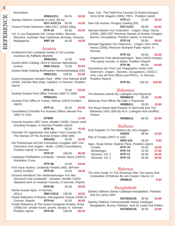| Rosenblum                                                                                           |                    |        |       |
|-----------------------------------------------------------------------------------------------------|--------------------|--------|-------|
|                                                                                                     | <b>RRBA2211</b>    | 65.00  | 20.00 |
| Stanley Gibbons Australia in color, 6th ed                                                          |                    |        |       |
| Victoria Postal Stationery 1869-1917, (2000) Stieg                                                  | <b>RST-A22C10</b>  | 50.00  | 15.00 |
|                                                                                                     | <b>RTR-16</b>      | 50.00  | 20.00 |
| Vol. 6: Les Paquebots Del' Ocean Indien, Reunion,                                                   |                    |        |       |
| Mauritius, Australia, New Caledonia, Bombay, Oceania,                                               |                    |        |       |
| Madagascar                                                                                          | <b>RMT-26</b>      | 40.00  | 18.00 |
|                                                                                                     |                    |        |       |
|                                                                                                     | Austria            |        |       |
| Anullamenti Del Lombardo-Veneto E Del Levante                                                       |                    |        |       |
| Austriaco By Raffaele Alianello                                                                     |                    |        |       |
| Austria Netto Catalog, 2014 in German Specialized,                                                  | <b>RRBA301</b>     | 12.00  | 6.00  |
| Austria                                                                                             | <b>RNE-C0114</b>   | 75.00  | 20.00 |
| Austria Netto Katalog Briefmarken Vierlanderkatalog 2001                                            |                    |        |       |
|                                                                                                     | <b>RNEC021</b>     | 109.90 | 25.00 |
| Austro-Hungarian Danube Fleet - WWI, Vice Admiral Wulff                                             |                    |        |       |
| (1934). Danube fleet ships, captains, in German. Postilion                                          |                    |        |       |
| reprint                                                                                             |                    |        |       |
|                                                                                                     | <b>RTP-23</b>      | 70.00  | 56.00 |
| Austrian Empire Post Office Townlist 1850 To 1900                                                   |                    |        |       |
|                                                                                                     | <b>RRBA251</b>     |        | 5.00  |
| Austrian Post Office In Turkey, Eberan (1914) Postilion                                             |                    |        |       |
| reprint                                                                                             |                    |        |       |
| Cancellation Checklist For Austrian Offices Abroad Pre-                                             | <b>RTP-11</b>      | 35.00  | 28.00 |
| 1850 To 1914                                                                                        |                    |        |       |
|                                                                                                     | RTM05              |        | 12.00 |
| Cancels-Austrian 1867 Issue, Mueller (1930). Classic work                                           |                    |        |       |
| including Hungary, in German Postilion reprint                                                      |                    |        |       |
|                                                                                                     | <b>RTP-16</b>      | 95.00  | 76.00 |
| Checklist Of Jugoslavian And Italian Town Cancels On<br>The Stamps Of The Austrian Empire 1850-1883 |                    |        |       |
|                                                                                                     | RBA252 25.00 10.00 |        |       |
| Die Poststempel Auf Der Freimarken Ausgabe 1867 Von                                                 |                    |        |       |
| Osterreich Und Ungarn, Muller (1930) Cancellations,                                                 |                    |        |       |
| Postilion reprint, In German                                                                        |                    |        |       |
|                                                                                                     | <b>RTP-97</b>      | 100.00 | 80.00 |
| Catalogue Prefilatelico Lombardy - Veneto, Banci (1925?).                                           |                    |        |       |
| <b>Stampless Cover</b>                                                                              | <b>RTP-98</b>      | 42.50  | 34.00 |
| First Issue Austria, Lombardy-Venetia 1850, deFrank                                                 |                    |        |       |
| (1933) Postilion                                                                                    | <b>RTP-63</b>      | 23.00  | 18.40 |
| Grosses Handbuch Der Abstempelungen Von Alto                                                        |                    |        |       |
| Strerreich Und Lombardei - Venetien, Mueller (1925)                                                 |                    |        |       |
| Standard work on Austrian Cancels, in German, Reprint                                               |                    |        |       |
|                                                                                                     | <b>RTP-89</b>      | 50.00  | 40.00 |
| Michel Austria Spec. in German                                                                      |                    |        |       |
| (2011)                                                                                              | <b>RMI-C3313</b>   | 108.90 | 20.00 |
| Postal Stationery of Bosnia, Herzegovina, Passar (1930) in<br>German. Reprint                       | <b>RTP-64</b>      | 45.00  | 36.00 |
| Postal Stationery of The Austro-Hungarian Empire, Kropt                                             |                    |        |       |
| (1908) incl private issues, proofs, essays, in German.                                              |                    |        |       |
| Postilion reprint.                                                                                  | <b>RTP-65</b>      | 100.00 | 80.00 |

Spec. Cat. -The Field Post Cancels Of Austria-Hungary 1914-1918, Magetic (1965). PM's. Postilion reprint **RTP-17** 23.00 **18.40** Stan Gib Austria, Hungary Catalog (09) **RST-C027** 69.90 **55.92** Stempel Marken Von Osterreich - Ungarn, Mayr, Hanus (1929), 1865-1927 Revenue Stamps of Austria, Hungary, Bosnia, Occupations. Postilion reprint. In German. **RTP-19** 50.00 **40.00** Stempel Signetten Von Osterreich - Ungarn 1914-1918, Hanus (1930), Revenue Stamped Paper reprint. In German . **RTP-12** 40.00 **32.00** Ungarische Post abstempelungen, Bela (1943) Hungary Pre-stamp cancels, In Italian, Postition Reprint **RTP-96** 80.00 **64.00** Verzeichnis Der Post Und Telegraphen Amter Und Osterreich, Ungarn , Bosnien, Occupations, (1910) 2 Vols, Lists all Post Offices and RPO's, In German, Postilion Reprint **RTP-91** 135.00 **108.00**

# Bahamas

| The Bahama Islands By Ludington And Raymond      |                |       |       |
|--------------------------------------------------|----------------|-------|-------|
|                                                  | <b>RRBB010</b> | 25.00 | 12.00 |
| Bahamas Post Offices By Gale J. Raymond          |                |       |       |
|                                                  | RRBB011        | 20.00 | 10.00 |
| The Royal Steam Mail Packets To Bermuda And The  |                |       |       |
| Bahamas 1842-1859 By M.H. Ludington And Geoffrey |                |       |       |
| Osborn                                           |                |       |       |
|                                                  | RRBB012        | 86.50 | 20.00 |

# Balkans

| Graf Zeppelin To The Balkans By John Duggan          |                |       |       |
|------------------------------------------------------|----------------|-------|-------|
|                                                      | <b>RZE02</b>   | 38.00 | 15.00 |
| Rep of Croatia (2007) in color                       |                |       |       |
|                                                      | <b>RDD-103</b> | 16.00 | 5.00  |
| Spec. Study Works Vladimir Fleck, Postilion reprint. |                |       |       |
| Croatia                                              | <b>RTP-75</b>  | 24.00 | 19.20 |
| Montenegro.                                          | <b>RTP-74</b>  | 22.00 | 17.60 |
| Slovenia, Vol. 1                                     | <b>RTP-71</b>  | 55.00 | 44.00 |
| Slovenia, Vol. 2                                     | <b>RTP-72</b>  | 45.00 | 36.00 |

# Bahrain

The Alnis Guide To The Revenues War Tax Issues And Cinderellas Of Bahrain By Jeri Cooper Volume 13 **RRBB10 5.00**

# Bangladesh

Stanley Gibbons Stamp Catalogue Bangladesh, Pakistan, And Sri Lanka 2004

 **RSTB04C05** 30.00 **10.00** Stanley Gibbons Commonwealth Stamp Catalogue Bangladesh, Burma, Pakistan, And Sri Lanka 2nd Edition **RSTB04C05** 30.00 **10.00**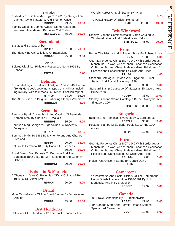#### Barbados

| Barbados Post Office Markings To 1981 By George L.W. |       |       |
|------------------------------------------------------|-------|-------|
| Clarke, Reynold Radford, And Stephen Cave            |       |       |
| RRBB <sub>20</sub>                                   | 29.95 | 10.00 |
| <b>Stanley Gibbons Commonwealth Stamp Catalogue</b>  |       |       |
| Windward Islands And Barbados 2nd Edition            |       |       |
| <b>RSTW11C07</b> 75.00                               |       | 30.00 |
|                                                      |       |       |

Basutoland  $B_1$  Bu $C_1$ N. Gilbert

| Dasululatiu Dy U.N. UIIDEIT                 |       |       |
|---------------------------------------------|-------|-------|
| RPB <sub>02</sub>                           | 61.00 | 20.00 |
| The Identifying Cancellations Of Basutoland |       |       |
| RBR-03                                      | 25.00 | 9.00  |

**Belarus** 

Belarus Ukrainian Philatelic Resources No. 4 1996 By Bohdan O.

#### **RBY04 6.00**

### Belgium

| Postal Markings on Letters of Belgium 1648-1849, Herlant   |       |       |
|------------------------------------------------------------|-------|-------|
| (1946) Handbook covering all types of markings includ-     |       |       |
| ing military, with four maps, in French. Postilion reprint |       |       |
| <b>RTP-05</b>                                              | 24.00 | 19.20 |
| The Alnis Guide To Belgium Rationing Stamps Volume 2       |       |       |
| <b>RRBB205</b>                                             |       | 5.00  |
|                                                            |       |       |

# Bermuda

| Bermuda By Air A Handbook And Catalog Of Bermuda<br>Aerophilately By Charles E. Cwiakala |                   |       |       |
|------------------------------------------------------------------------------------------|-------------------|-------|-------|
|                                                                                          | RRBB93            | 85.00 | 5.00  |
| Bermuda King George Vi High Values By Robert W.<br>Dickgiesser                           |                   |       |       |
|                                                                                          | RTR <sub>07</sub> |       | 18.95 |
| Bermuda Mails To 1865 By Michel Forand And Charles<br>Freeland                           |                   |       |       |
|                                                                                          | RDF80             | 20.00 | 18.00 |
| Holiday In Bermuda 1889 By Donald E. Stephens                                            |                   |       |       |
|                                                                                          | R                 | 30.00 | 10.00 |
| Royal Steam Mail Packets To Bermuda And The                                              |                   |       |       |
| Bahamas 1842-1859 By M.H. Ludington And Geoffrey                                         |                   |       |       |
| Osborn                                                                                   |                   |       |       |
|                                                                                          | RRBB012           | 90.00 | 30.00 |
|                                                                                          |                   |       |       |

# Bohemia & Moravia

A Thousand Years Of Bohemian Official Coinage 929-1929 By Dr. Viktor Katz

**RDUC44** 20.00 **5.00**

# Brazil

Mute Cancellations Of The Brazil Empire By James Alfred Dingler

**RDH84** 45.00 **15.00**

# Brit Honduras

Collectors Club Handbook 13 The Black Honduras The

| World's Rarest Air Mail Stamp By Irving I. |       |
|--------------------------------------------|-------|
| RCL <sub>29</sub>                          | 3.75  |
| The Postal History Of British Honduras     |       |
| 110.00<br>RPB40                            | 40.00 |

# Brit Windward

Stanley Gibbons Commonwealth Stamp Catalogue Windward Islands And Barbados 2nd Edition **RSTB78C12** 46.00 **20.00**

# Brunei

Brunei The History And A Plating Study By Robson Lowe **RRBB05** 13.00 **6.00** Gee-Ma Forgeries China 1897-1949 With Border Areas, Manchuria, Taiwan, And Yunnan -Japanese Occupation Of Brunei, Burma, China, Malaya - Great Britain And 24

Possessions Cancellations Of China And Tibet **RRLA04 4.00**

Standard Catalogue Of Malaysia-Singapore-Brunei Stamps And Postal Stationery 1989

#### **RDD60** 35.00 **5.00**

- Standard Stamp Catalogue Of Malaysia, Singapore, And Brunei 25th
- **RDD604** 38.50 **10.00** Stanley Gibbons Stamp Catalogue Brunei, Malaysia, And Singapore 2004

**RSTB36C02** 30.00 **8.00**

# Bulgaria

| Bulgaria And Romania Revenues By J. Barefoot Ltd                   |               |       |       |
|--------------------------------------------------------------------|---------------|-------|-------|
|                                                                    | <b>RBF221</b> | 35.00 | 10.00 |
| Postage Stamps Of Bulgaria, Poole (1910) the 1904<br><b>issues</b> |               |       |       |

**RTP-04** 12.00 **9.60**

### Burma

Gee-Ma Forgeries China 1897-1949 With Border Areas, Manchuria, Taiwan, And Yunnan -Japanese Occupation Of Brunei, Burma, China, Malaya - Great Britain And 24 Possessions Cancellations Of China And Tibet **RRLA04** 7.00 **3.00** Indian Post Office In Burma By Gerald Davis **RRLG06 1.00**

# Cameroons

The Postmarks And Postal History Of The Cameroons Under British Administration 1916-1961 By R.J. Maddocks And M.P. Bratzel Jr

| RRBC01 | 14.97 | 5.00 |
|--------|-------|------|
|        |       |      |

# Canada

| 1000 Brave Canadians By F.J. Blatherwick    |              |       |       |
|---------------------------------------------|--------------|-------|-------|
|                                             | <b>RCB82</b> | 29.95 | 10.00 |
| 1984 Canada Meter And Permit Postage Stamps |              |       |       |
| Specialized Catalogue                       |              |       |       |
|                                             | RDD07        | 10.00 | 9.00  |

**REFERENCE** REFERENCE

# 5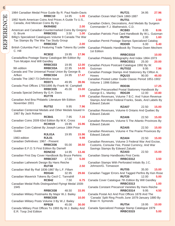| 2<br>t,  |
|----------|
|          |
|          |
|          |
|          |
|          |
| È        |
| ŗ        |
| ÷,<br>Ξ. |
|          |
|          |

1984 Canadian Medal Price Guide By R. Paul Nadin-Davis **RRBC10** 14.95 **1.00** 1992 North American Coins And Prices A Guide To U.S., Canada, And Mexican Coins By Kp - **RKR4592 2.00** American and Canadian Countermarked Coins By Gregory G. Brunk **RRBC031** 3.50 **1.00** Billig's Specialized Catalogues Volume 9 Canada The War Tax Stamps By The War Tax Study Group **RRBC032 2.00** British Columbia Part 1 Featuring Trade Tokens By Leslie C. Hill **RCB32** 19.95 **17.96** Canada/Bna Postage Stamp Catalogue 8th Edition By Tom Mcalpin And Will Gandley **RRBC033** 19.95 **12.00** 9th edition **RRBC03A** 22.95 **14.00** Canada and The Universal Postal Union By George B. Arfken **RRBC034** 24.95 **17.47** Canada The 1967-73 Definitive Issue **RDD71** 49.95 **39.96** Canada Post Offices 1755/1895 By Frank W. Campbell **RRBC035** 45.00 **15.00** Canada Special Delivery By G.H. Davis **RUT78 3.00** Canadian And Bna Philatelic Literature 6th Edition November 2001 **RUT52** 9.95 **7.96** Canadian Centennial Medals and Other Medals Issued In 1967 By Jack Roberts **RCB41** 7.95 **7.16** Canadian Coins 2009 63rd Edition By W.K. Cross **RCH019** 19.95 **15.96** Canadian Coin Cabinet By Joseph Leroux 1984 Price Guide **RJL01A** 19.95 **15.96** 1983 edition **RJL01 9.98** Canadian Definitives: 1967 - Present **RRBC036** 55.00 **38.50** Canadian E.F.O.'S First Edition By Darnell **RDNC02** 14.95 **13.46** Canadian First Day Cover Handbook By Bruce Perkins **RRBC037** 17.00 **5.00** Canadian Lathework Design By Hans Reiche **RUT48 2.50** Canadian Mail By Rail 1836-1867 By L.F. Fillam **RDG44** 32.95 **29.66** Canadian Maverick Tokens By Cecil C. Tannahill **RCB42** 7.50 **6.75** Canadian Medal Rolls Distinguished Flyingt Medal 1939- 1945 **RRBC038** 48.50 **33.95** Canadian Military Postmarks By Major W.J. Bailey **RRBC039 10.00** Canadian Military Posts Volume 3 By W.J. Bailey **RPB28** 45.00 **30.00** Canada Military Post Offices To 1993 By W.J. Bailey And E.R. Toop 2nd Edition

**RUT21** 34.95 **27.96** Canadian Ocean Mail Clerk 1860-1887 **RUT51** 2.50 Canadian Orders, Decorations, And Medals By Surgeon Commander F.J. Blatherwick, C.D. **RCB83** 8.95 **8.06** Canadian Patriotic Post Card Handbook By W.L. Gutzman **RUT04** 2.00 **1.60** Canadian Permit Postage Stamps Specialized Catalog **RDD09** 6.00 **5.40** Canadian Philatelic Handbook By Thomas Owen Mechem 1st Edition **RRBC0310 10.00** Canadian Philately Bibliography And Index 1864-1973 **RRBC0311** 25.00 **20.00** Canadian Picture Postcard Catalogue 1992 By W. Gutzman **RUT032** 9.95 **7.96** Canadian Postage Stamps And Stationery By Clifton A. Howes **RQU15** 90.00 **45.00** Canadian Posted Letter Guide Classic Period 1851-1902 Volume 1 1996 Edition **RDD36 17.25** Canadian Precancelled Postal Stationery Handbook By George E.L. Manley **RDG39** 12.00 **10.80** Canadian Revenues, Volume 7 B.C. And Yukon Revenue Stamps And Most Federal Franks, Seals, And Labels By Edward Zaluski **RZA07** 22.50 **15.00** Canadian Revenues, Volume 6 Ontario And Quebec By Edward Zaluski **RZA06** 22.50 **15.00** Canadian Revenues, Volume 5 The Atlantic Provinces By Edward Zaluski **RZA05** 22.50 **15.00** Canadian Revenues, Volume 4 The Prairie Provinces By Edward Zaluski **RZA04** 22.50 **15.00** Canadian Revenues, Volume 3 Federal War And Excise, Customs, Consular Fee, Postal Currency, And War Savings Stamps By Edward Zaluski **RZA03** 22.50 **15.00** Canadian Stamp Handbooks First Cents **RRBC0312 3.50** Canadian Stamps With Perforated Initials By J.C. Johnson/G. Tomasson **RUT05** 35.00 **15.00** Canadian Tagger Errors And Tagged Perfins By Ken Rose **RUT20** 12.00 **5.00** Canada Cover Catalogue 7th Edition By Will Gandley **RRBC0313 1.00** Canada Constant Precancel Varieties By Hans Reiche **RRBC0314** 9.95 **4.50** Canada Postal Act And Post Offices 1878 And The 'Canada' Split Ring Proofs June 1879-January 1880 By Brian H. Symonds **RUT54** 19.95 **10.00** Canada Specialized Postage Stamp Catalogue 1979 **RRBC0315 5.00**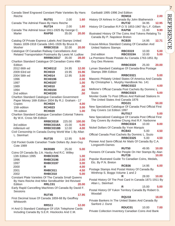**REFERENCE** REFERENCE

**RDM16 2.00**

7

| Canada Steel Engraved Constant Plate Varieties By Hans<br>Reiche                                                                                                                                                         |                                     |                 |                |
|--------------------------------------------------------------------------------------------------------------------------------------------------------------------------------------------------------------------------|-------------------------------------|-----------------|----------------|
|                                                                                                                                                                                                                          | <b>RUT01</b>                        | 2.00            | 1.60           |
| Canada The Admiral Flaws By Hans Reiche                                                                                                                                                                                  | <b>RUT24</b>                        | 2.00            | 1.60           |
| Canada The Admiral Issue 1911-1925 By George C.                                                                                                                                                                          |                                     |                 |                |
| Marler                                                                                                                                                                                                                   | <b>RAP50</b>                        | 35.00           | 20.00          |
| Catalog Of Private Express Labels And Stamps United<br>States 1839-1918 Canada 1841-1926 By Bruce H.<br>Mosher<br>Catalogue Of Canadian Railway Cancellations And<br>Related Transportation Postmarks By Lewis M. Ludlow | <b>RRBC0316</b>                     | 32.00           | 20.00          |
| Charlton Standard Catalogue Of Canadian Coins 49th                                                                                                                                                                       | RRRBC0317 35.00                     |                 | 28.00          |
| Edition                                                                                                                                                                                                                  |                                     |                 |                |
| 2012 66th ed                                                                                                                                                                                                             | <b>RCH0112</b>                      | 24.95           | 12.00          |
| 2009 63rd ed<br>2004 58th ed                                                                                                                                                                                             | <b>RCH019</b><br><b>RCH014</b>      | 19.95<br>12.95  | 15.96<br>3.00  |
| 1996                                                                                                                                                                                                                     | <b>RCH0196</b>                      |                 | 2.00           |
| 1997                                                                                                                                                                                                                     | <b>RCH0197</b>                      |                 | 1.00           |
| 1989<br>1994                                                                                                                                                                                                             | <b>RCH010</b><br><b>RCH0194</b>     |                 | .50<br>.50     |
| 2nd edition                                                                                                                                                                                                              | <b>RCH0193</b>                      |                 | .50            |
| Charlton Standard Catalogue Canadian Government                                                                                                                                                                          |                                     |                 |                |
| Paper Money 16th Edition 2004 By R.J. Graham - 17                                                                                                                                                                        | <b>RCH024</b>                       |                 |                |
| Copies<br>15th edition                                                                                                                                                                                                   | <b>RCH023</b>                       |                 | 4.00<br>3.00   |
| 7th edition                                                                                                                                                                                                              | <b>RCH020</b>                       |                 | 1.00           |
| Charlton Standard Catalogue Canadian Colonial Tokens<br>By W.K. Cross 5th Edition                                                                                                                                        |                                     |                 |                |
| 3rd edition                                                                                                                                                                                                              | <b>RRBC0318</b><br><b>RRBC0318A</b> | 225.00<br>15.00 | 100.00<br>5.00 |
| millenium ed                                                                                                                                                                                                             | <b>RRBC0318B</b> 12.00              |                 | 4.00           |
| Civil Censorship In Canada During World War 1 By Allan<br>L. Steinhart                                                                                                                                                   |                                     |                 |                |
| Ctd Pocket Guide Canadian Trade Dollars By Jean-Guy                                                                                                                                                                      | <b>RUT35</b>                        | 12.95           | 5.00           |
| <b>Cote 1989</b>                                                                                                                                                                                                         |                                     |                 |                |
|                                                                                                                                                                                                                          | <b>RKR089</b>                       | 25.00           | 5.00           |
| Coins Of Canada By J.A. Haxby And R.C. Willey<br>13th Edition 1995                                                                                                                                                       | <b>RHBC0195</b>                     |                 | 1.00           |
| 1996                                                                                                                                                                                                                     | <b>RHBC0196</b>                     |                 | 2.00           |
| 1997                                                                                                                                                                                                                     | <b>RHBC0197</b>                     |                 | 3.00           |
| 2000<br>2001                                                                                                                                                                                                             | R<br>RHBC011                        |                 | 4.00<br>4.50   |
| 2002                                                                                                                                                                                                                     | RHBC010                             |                 | 5.00           |
| Constant Plate Varieties Of The Canada Small Queens                                                                                                                                                                      |                                     |                 |                |
| By Hans Reiche And Mike Sendbuehler 3rd Revised<br>Edition                                                                                                                                                               | RRLC01                              |                 | 20.00          |
| Early Rapid Cancelling Machines Of Canada By David F.                                                                                                                                                                    |                                     |                 |                |
| Sessions                                                                                                                                                                                                                 |                                     |                 |                |
| First Decimal Issue Of Canada 1859-68 By Geoffrey                                                                                                                                                                        | <b>RUT45</b>                        |                 | 17.95          |
| Whitworth                                                                                                                                                                                                                |                                     |                 |                |
|                                                                                                                                                                                                                          | <b>RRS11</b>                        |                 | 12.00          |
| H And G Standard Catalogue Of USA Telephone Cards<br>Including Canada By S.E.R. Hisckocks And C.M.                                                                                                                       |                                     |                 |                |

| History Of Airlines In Canada By John Blatherwick -                      |                 |                |       |
|--------------------------------------------------------------------------|-----------------|----------------|-------|
|                                                                          | <b>RUT32</b>    | 34.95          | 12.95 |
| History Of Canadian R.P.O.'S 1853-1967 By L.F. Gillam                    |                 |                |       |
|                                                                          | <b>RAP58</b>    | 11.00          | 9.90  |
| Illustrated History Of The Coins And Tokens Relating To                  |                 |                |       |
| Canada By P. Napoleon Breton                                             |                 |                |       |
| Krause-Minkus Standard Catalog Of Canadian And                           | <b>RCB35</b>    | 14.95          | 12.71 |
| <b>United Nations Stamps</b>                                             |                 |                |       |
|                                                                          | <b>RBC0319</b>  | 10.00<br>10.00 | 5.00  |
| 2nd edition<br>La Premiere Route Postale Au Canada 1763-1851 By          | <b>RBC0319A</b> |                | 5.00  |
| <b>Guy Des Rivieres</b>                                                  |                 |                |       |
|                                                                          | <b>RRBC0320</b> | 25.00          | 20.00 |
| Lyman Standard Catalogue Of Canada-Bna Postage<br>Stamps 39th Edition    |                 |                |       |
|                                                                          | <b>RRBC0321</b> |                | 5.00  |
| Masonic Philately United States Of America And Canada                    |                 |                |       |
| By Christopher L. Murphy Handbook No. 141                                | <b>RRBC0322</b> |                |       |
|                                                                          |                 |                | 4.00  |
| Mellone's Official Canada Post Cachets By Dominic L.<br>Sozio            | <b>RRBC0323</b> |                | 5.00  |
| Moniter Guide To Post Offices And Railroad Stations In                   |                 |                |       |
| The United States And Canada 1876                                        |                 |                |       |
|                                                                          | <b>RDG31</b>    |                | 50.00 |
| New Specialized Catalogue Of Canada Post Official First                  |                 |                |       |
| Day Covers 1st Edition 1997                                              | <b>RUT017</b>   |                | 5.00  |
| New Specialized Catalogue Of Canada Post Official First                  |                 |                |       |
| Day Covers By Andrew Chung And R.F. Narbonne                             |                 |                |       |
|                                                                          | <b>RRBC0324</b> | 10.00          | 8.00  |
| Nickel Dollars Of Canada By Yvon Marquis                                 |                 |                |       |
|                                                                          | RCB43           | 5.00           | 4.50  |
| Official Canada Post Cachets By Dominic L. Sozio                         |                 |                |       |
|                                                                          | <b>RRBC0325</b> | 5.00           | 4.50  |
| Pioneer And Semi-Official Air Mails Of Canada By C.A.<br>Longworth-Dames |                 |                |       |
|                                                                          | <b>RUT50</b>    | 49.95          | 10.00 |
| Pioneers Of Canada The People On Her Stamps By Alan                      | <b>RUT28</b>    |                | 10.00 |
| Popular Illustrated Guide To Canadian Coins, Medals,                     |                 |                |       |
| Etc. By P.N. Breton                                                      | RCB36           | 14.95          |       |
| Postage Stamps And Postal History Of Canada By                           |                 |                | 6.00  |
| Winthrop S. Boggs Volume 1 and 2                                         |                 |                |       |
|                                                                          | R               | 28.00          | 10.00 |
| Postal History Of The Post Card In Canada 1871-1911 By                   |                 |                |       |
| Allan L. Steinhart                                                       |                 |                |       |
|                                                                          | R               | 15.00          | 5.00  |
| Postal History Of Yukon Territory Canada By Robert G.<br>Woodall         |                 |                |       |
|                                                                          | <b>RQU18</b>    |                | 18.00 |
| Private Bankers In The United States And Canada By<br>Sanford J. Durst   |                 |                |       |
|                                                                          | RDUC01          | 10.00          | 7.00  |
| Private Collection Inventory Canadian Coins And Bank                     |                 |                |       |

Garibaldi 1995-1996 2nd Edition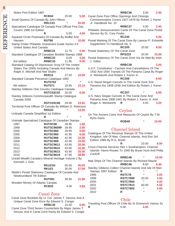| Notes First Edition 1987                                                               |                                                  |         |                |
|----------------------------------------------------------------------------------------|--------------------------------------------------|---------|----------------|
|                                                                                        | RCB34                                            | 20.00   | 5.00           |
| Small Queens Of Canada By John Hillson                                                 |                                                  |         |                |
|                                                                                        | RRLC01                                           | $\star$ | 20.00          |
| Specialized Catalogue Of Canada Post Official First Day                                |                                                  |         |                |
| Covers 1988 1st Edition                                                                |                                                  |         |                |
|                                                                                        | R                                                | 5.00    | 4.00           |
| Squared Circle Postmarks Of Canada By Moffat And                                       |                                                  |         | 10.00          |
| Hansen                                                                                 | <b>RUT66</b>                                     |         |                |
| Stamp Finder Philatelic Investment Guide Series 3.0<br><b>United States And Canada</b> |                                                  |         |                |
|                                                                                        | RRBC31                                           | 12.75   | 5.00           |
| Standard Catalogue Of Canadian Booklet Stamps 1988                                     |                                                  |         |                |
|                                                                                        | RRBC32                                           | 8.00    | 4.00           |
| 3rd edition                                                                            | RRBC33                                           | 11.95   | 5.00           |
| Standard Catalog Of Depression Scrip Of The United                                     |                                                  |         |                |
| States The 1930s Including Canada And Mexico By                                        |                                                  |         |                |
| Ralph A. Mitchell And Neil Shafer                                                      |                                                  |         |                |
|                                                                                        | <b>RKR12</b>                                     | 27.50   | 10.00          |
| Standard Canada Precancel Catalogue 1992                                               |                                                  |         |                |
|                                                                                        | <b>RUT0702</b>                                   |         | ÷              |
| 6th edition                                                                            | <b>RUT071</b>                                    | 18.95   | 15.16          |
| Stanley Gibbons One Country Catalogue Canada                                           |                                                  |         |                |
|                                                                                        | <b>RSTC03C02</b>                                 | 35.00   | 5.00           |
| Stanley Gibbons Commonwealth Stamp Catalogue<br>Canada 2008                            |                                                  |         |                |
|                                                                                        | <b>RSTC03C08</b>                                 | 29.90   | 23.92          |
| Territorial Post Offices Of Canada By William G. Robinson                              |                                                  |         |                |
|                                                                                        | <b>RDG22</b>                                     |         | 14.00          |
| Unitrade Canada Simplified 1st Edition                                                 |                                                  |         |                |
|                                                                                        | R                                                | $\star$ | ÷              |
| Unitrade Specialized Catalogue Of Canadian Stamps                                      |                                                  |         |                |
| 1997                                                                                   | RUTSC96                                          | 39.95   | 1.00           |
| 1999                                                                                   | <b>RUTSC96099</b>                                | 39.95   | 2.00           |
| 2000                                                                                   | RUTSC960                                         | 28.95   | 5.00           |
| 2005                                                                                   | RUTSC965                                         | 42.95   | 6.00           |
| 2006                                                                                   | RUTSC966                                         | 42.95   | 10.00          |
| 2009                                                                                   | <b>RUTSC969</b> 42.95                            |         | 15.00          |
| 2011                                                                                   | <b>RUTSC9611</b> 43.95<br><b>RUTSC9612</b> 43.95 |         | 20.00<br>22.00 |
| 2012<br>2013                                                                           | <b>RUTSC9613</b> 43.95                           |         | 25.00          |
| 2016                                                                                   | <b>RUTSC9619</b> 47.95                           |         | 39.95          |
| Untold Wealth Canada's Mineral Heritage Volume 2 By                                    |                                                  |         |                |
| Kenneth J. Kutz                                                                        |                                                  |         |                |
|                                                                                        | RKU21H                                           | 50.00   | 45.00          |
|                                                                                        | <b>RKU21</b>                                     | 30.00   | 27.00          |
| Webb's Postal Stationery Catalogue Of Canada And                                       |                                                  |         |                |
| Newfoundland 7th Edition                                                               |                                                  |         |                |
|                                                                                        | <b>RUT091</b>                                    | 39.95   | 31.96          |
| Wooden Money Of Atlantic Canada                                                        |                                                  |         |                |
|                                                                                        | RCB33                                            | 4.00    | 3.60           |
|                                                                                        |                                                  |         |                |
|                                                                                        | $\Gamma$ onol $\Gamma$ ono                       |         |                |

# Canal Zone

| Canal Zone Booklets By Lt. Col. James T. Devoss And A  |        |       |      |
|--------------------------------------------------------|--------|-------|------|
| Unique Canal Zone Error By Edward S. Conger            |        |       |      |
|                                                        | RRBC35 | 15.00 | 6.00 |
| Canal Zone Third Series Counterfeits By Major James T. |        |       |      |
| Devoss And A Canal Zone Rarity By Edward S. Conger     |        |       |      |

**RRBC36** 3.00 **2.40** Canal Zone Post Office Openings And Closings Commemorative Covers 1927-1979 By Robert J. Karrer Jr. Handbook No. 10 **RRBC37** 3.00 **2.40** Philatelic Announcement Cards Of The Canal Zone Postal Service By Dr. Cary Finder **RCZ30 5.00** Postal Marking Of The Canal Zone By Lawson P. Entwistle Supplement To Handbook No. 5 **RCZ05** 20.00 **8.00** Postal Stationery Of The Canal Zone **RPS223** 20.00 **10.00** Postal Stationery Of The Canal Zone Via Air Mail By Irwin J. Gibbs **RRBC38 3.00** U.S.F. Constitution - Cachets And Cancellations Of The 1932 And 1934 Transits Of The Panama Canal By Roger A. Wentworth And Robert J. Karrer Jr. **RCZ08 6.00** U.S. Naval Slogan Cancels In The Canal Zone And Panama Are 1908-1948 2nd Edition By Robert J. Karrer Jr.

#### **RCZ07** \* **6.00**

|                    |          | U.S. Navy Slogan Cancels In The Canal Zone And    |      |
|--------------------|----------|---------------------------------------------------|------|
|                    |          | Panama Area 1908-1941 By Robert J. Karrer Jr. And |      |
| Roger A. Wentworth | <b>R</b> | 4.00                                              | 3.20 |

#### Ceylon

On The Ancient Coins And Measures Of Ceylon By T.W. Ryhs Davis

**ROB49** \* **10.00**

### Channel Island

Catalogue Of The Revenue Stamps Of The United Kingdom, Isle Of Man, Channel Islands, And Eire 3rd Edition 1989 By R.G. Booth

**R** 10.00 **8.00** Cross-Channel Services Part 1 Southampton- Channel Islands- Havre Routes To 1940 By Bryan Hunt And Philip **Cockrill** 

|                                                         | RRBC46          | $\star$ | 10.00   |
|---------------------------------------------------------|-----------------|---------|---------|
| Mail Ships Of The Channel Islands By Richard Mayne      |                 |         |         |
|                                                         | RRBC46          | 8.00    | 6.40    |
| Stanley Gibbons Collect Channel Islands And Isle Of Man |                 |         |         |
| Stamps 1997 Edition                                     | R               | $\star$ | ÷       |
| 1998                                                    | RSTC78          | $\star$ | 3.00    |
| 1999                                                    | <b>RSTC7899</b> | 20.00   | 3.50    |
| 2000                                                    | <b>RSTC7800</b> | $\star$ | 4.00    |
| 2001                                                    | <b>RSTC7813</b> | 60.00   | 4.50    |
| 2002                                                    | <b>RSTC7802</b> | $\star$ | 5.00    |
| 2010                                                    | R               | $\star$ | $\star$ |
|                                                         |                 |         |         |

# Chile

|   |      | Traveling Post Offices Of Chile By Sr Emmerich Vamos Sz |  |
|---|------|---------------------------------------------------------|--|
| R | 5.00 | 4.00                                                    |  |

REFERENCE REFERENCE

8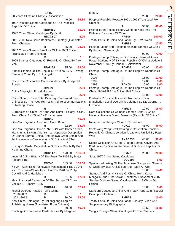|                                                                                                                                                                                                                      | China           |        |        |
|----------------------------------------------------------------------------------------------------------------------------------------------------------------------------------------------------------------------|-----------------|--------|--------|
| 50 Years Of China Philatelic Association                                                                                                                                                                             | R               |        |        |
| 1997 Postage Stamp Catalogue Of The People's<br>Republic Of China                                                                                                                                                    |                 | 46.00  | 36.80  |
|                                                                                                                                                                                                                      | <b>RDM089</b>   |        | 15.00  |
| 1997 China Stamp Catalogue By Scott                                                                                                                                                                                  | <b>RSCC507</b>  |        | 5.00   |
| 2001-2002 New China Banknotes Directory (Translated<br>From Chinese)                                                                                                                                                 |                 |        |        |
|                                                                                                                                                                                                                      | R               | 35.00  | 28.00  |
| 2002 China - Stamps Directory Of The 2003 Edition!<br>(Translated From Chinese)                                                                                                                                      |                 |        |        |
| 2009 Stamps Catalogue Of Republic Of China By Alex<br>Yeh                                                                                                                                                            | R               |        |        |
|                                                                                                                                                                                                                      | <b>RDG259</b>   | 35.00  | 28.00  |
| Airmail Stamps Of The Republic Of China By S.P. Wang<br>Classical China By L.F. Livingston                                                                                                                           |                 |        |        |
| China The Costenoble Correspondence By Joseph M.<br>Sousa                                                                                                                                                            | R               |        |        |
|                                                                                                                                                                                                                      | <b>RMR20</b>    |        | 2.00   |
| China Displaying Postal History                                                                                                                                                                                      |                 |        |        |
| China Stamps Price Total Directory (Translated From<br>Chinese) By The People's Posts And Telecommunications<br><b>Publishing House</b>                                                                              | <b>RMR11</b>    |        | 2.00   |
|                                                                                                                                                                                                                      | R               |        |        |
| Currencies Of China By Kann And Durst - 1 Copy RDU49<br>From China And Tibet By Robson Lowe                                                                                                                          |                 |        |        |
|                                                                                                                                                                                                                      | <b>RDU49</b>    |        | 45.00  |
| Gee-Ma Forgeries China And Great Britain                                                                                                                                                                             | R               | 22.50  | 18.00  |
| Gee-Ma Forgeries China 1897-1949 With Border Areas,<br>Manchuria, Taiwan, And Yunnan-Japanese Occuptaion<br>Of Brunei, Burma, China, And Malaya-Great Britain And<br>24 Possessions-Cancellations Of China And Tibet | R               |        |        |
| History Of Postal Cancellation Of China Part Ix By Paul                                                                                                                                                              |                 |        |        |
| Ke-Shing Chang                                                                                                                                                                                                       |                 |        |        |
| Imperial China History Of The Posts To 1896 By Major<br><b>Richard Pratt</b>                                                                                                                                         | <b>RCN11-13</b> | 170.00 | 136.00 |
|                                                                                                                                                                                                                      | <b>RMT40</b>    | 135.00 | 108.00 |
| K.P.M. Koninklijke Paketvaart Maatschappij 1891-1941<br>With The Java-China-Japan Line To 1970 By Philip<br>Cockrill And J. Haalebos                                                                                 |                 |        |        |
|                                                                                                                                                                                                                      | R               | 21.25  | 17.00  |
| Ma's Illustrated Catalogue Of The Stamps Of China<br>Volume 1 - Empire 1995                                                                                                                                          |                 |        |        |
|                                                                                                                                                                                                                      | RHD01A          | 46.50  | 37.20  |
| Michel Ubersee-Katalog Teil 1 China<br>2008-2009                                                                                                                                                                     | R               | *      |        |
| 2011-2012                                                                                                                                                                                                            | R               | 30.00  | 24.00  |
| New China Catalogue By Heilongjiang People's                                                                                                                                                                         |                 |        |        |
| Publishing House (Translated From Chinese)                                                                                                                                                                           | R               | 50.00  | 40.00  |
| Paintings On Japanese Postal Issues By Margaret                                                                                                                                                                      |                 |        |        |

| Marcuz                                                  |                |       |        |
|---------------------------------------------------------|----------------|-------|--------|
|                                                         | R              | 25.00 | 20.00  |
| Peoples Republic Postage 1991-1992 (Translated From     |                |       |        |
| Chinese)                                                |                |       |        |
|                                                         | R              | 50.00 | 40.00  |
| Philatelic And Postal History Of Hong Kong And The      |                |       |        |
| Philatelic Dictionary Of China                          |                |       |        |
|                                                         | RPB06          |       | 100.00 |
| Treaty Ports Of China And Japan By F. W. Webb           |                |       |        |
|                                                         | <b>RMR61</b>   |       | 17.50  |
| Postage Meter And Postpaid Machine Stamps Of China      |                |       |        |
| By Richard Stambaugh                                    |                |       |        |
|                                                         | R              | 90.00 | 72.00  |
| Postage Stamp Catalogue Of China's Liberated Areas      |                |       |        |
| Postal Stationery Of Taiwan, Republic Of China Update 1 |                |       |        |
| November 1994 By Donald R. Alexander                    |                |       |        |
|                                                         | <b>RDM07</b>   | 40.00 | 32.00  |
| Postage Stamp Catalogue Of The People's Republic Of     |                |       |        |
| China                                                   |                |       |        |
| 2003                                                    | R              | 15.00 | 12.00  |
| 1999                                                    | R              | 12.00 | 9.60   |
| 1998                                                    | <b>RDK08</b>   | 10.00 | 8.00   |
| Postage Stamp Catalogue Of The People's Republic Of     |                |       |        |
| China 1949-1997 1st Edition Full Colour                 |                |       |        |
|                                                         | R              | 15.00 | 12.00  |
| Post-War Provisinal Issues Of Northeast China           |                |       |        |
| Manchurian Local Overprints Volume I By Dr. George T.   |                |       |        |
| Luzitano                                                |                |       |        |
|                                                         | <b>RMR19</b>   | 19.50 | 15.00  |
| Rare Collections Of Chinese Stamps Kept By China        |                |       |        |
| National Postage Stamp Museum (Republic Of China 1)     |                |       |        |
| Revenue Surcharges China 1897 Volume                    |                |       |        |
|                                                         | <b>RLV10</b>   | 45.00 | 36.00  |
| Scott/Yang-Yang/Scott Catalogue Correlation People's    |                |       |        |
| Republic Of China Liberation Areas And Unified By Ralph |                |       |        |
| Weil                                                    |                |       |        |
|                                                         | RYAC038        | 40.00 | 32.00  |
| Select Collection Of Large Dragon Stamps Covers And     |                |       |        |
| Postmarks By Directorate General Of Posts Republic Of   |                |       |        |
| China                                                   |                |       |        |
|                                                         | <b>RDM78</b>   | 25.00 | 20.00  |
| Scott 1997 China Stamp Catalogue                        |                |       |        |
|                                                         | <b>RSCC507</b> |       | 5.00   |
| Specialized Listing Of The Japanese Occupation Stamps   |                |       |        |
| Of China By Jack G. Nielsen And Ralph A. Weil           |                |       |        |
|                                                         | R              | 18.00 | 14.40  |
| Stamps And Postal History Of China, Hong Kong,          |                |       |        |
| Mongolia, And Other Asian Countries 1 November 2007     |                |       |        |
| Stanley Gibbons Stamp Catalogue Part 17 China 5th       |                |       |        |
| Edition                                                 |                |       |        |
|                                                         | R              | 10.00 | 8.00   |
| Standard Catalogue China And Treaty Ports 1935 Special  |                |       |        |
| <b>Descriptive Edition</b>                              |                |       |        |
|                                                         | <b>RMR03</b>   |       | 10.00  |
| Treaty Ports Of China And Japan Scarcity Guide And      |                |       |        |
| Supplementary Bibliography                              |                |       |        |
|                                                         | R              | 13.50 | 10.80  |
| Yang's Postage Stamp Catalogue Of The People's          |                |       |        |

# 9 **REFERENCE** REFERENCE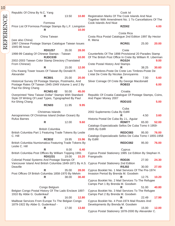| Republic Of China By N.C. Yang                                                                              |                         |       |       |                       |
|-------------------------------------------------------------------------------------------------------------|-------------------------|-------|-------|-----------------------|
|                                                                                                             | R                       | 13.50 | 10.80 | Registrat<br>Together |
|                                                                                                             | Formosa                 |       |       | Cook Isla             |
| Price List Of Formosa Postage Stamps By L.F. Livingston                                                     |                         |       |       |                       |
|                                                                                                             | R                       |       | 10.00 |                       |
|                                                                                                             | China Taiwan            |       |       | Costa Rio             |
| (see also China)<br>1997 Chinese Postage Stamps Catalogue Taiwan Issues                                     |                         |       |       | R. Mena               |
| 1945-96 Issue                                                                                               |                         |       |       |                       |
| 1998-99 Catalog Of Chinese Stamps - Taiwan                                                                  | <b>RDG257</b>           | 35.00 | 28.00 | Counterfe             |
|                                                                                                             | <b>RJDC039</b>          |       | 10.00 | Of The B              |
| 2002-2003 Taiwan Color Stamp Directory (Translated                                                          |                         |       |       |                       |
| From Chinese)                                                                                               | R                       | 15.00 | 12.00 | Crete Po:             |
| Chu Kwang Tower Issues Of Taiwan By Donald R.                                                               |                         |       |       | Les Tinm              |
| Alexander                                                                                                   | <b>RCB01</b>            | 25.00 | 20.00 | L'etat De             |
| Historical Survey Of Postage Stamps, Postmarks, And                                                         |                         |       |       | Silver <sub>Co</sub>  |
| Postage Rates Of Taiwan 1945-1949 Volume 1 and 2 By<br>Paul Ke-Shing Chang                                  |                         |       |       |                       |
|                                                                                                             | <b>RCN01-02</b>         | 50.00 | 45.00 |                       |
| Overprinted "New Taiwan Dollar" Stamps With Standard<br>Style Of Writing Of Lead Types, Typographed By Paul |                         |       |       | Republic<br>And Pape  |
| Ke-Shing Chang                                                                                              |                         |       |       |                       |
|                                                                                                             | <b>RCN03</b>            | 11.95 | 9.95  |                       |
|                                                                                                             | Christmas Islands       |       |       | 2002 Sup              |
| Aerogrammes Of Christmas Island (Indian Ocean) By                                                           |                         |       |       |                       |
| <b>Rufus Barnes</b>                                                                                         | R                       | 12.00 | 9.60  | Historia F            |
|                                                                                                             |                         |       |       | Catalogo              |
| British Columbia Part 1 Featuring Trade Tokens By Leslie                                                    | <b>British Columbia</b> |       |       | 2005 By               |
| C. Hill                                                                                                     |                         |       |       | Catalogo              |
| British Columbia Numismatica Featuring Trade Tokens By                                                      | <b>RCB32</b>            | 19.95 | 15.96 | By Edifil             |
| Leslie C. Hill                                                                                              |                         |       |       |                       |
| British Columbia Post Offices By William Topping 1991                                                       | R                       | 8.00  | 6.40  | Cyprus P              |
|                                                                                                             | <b>RDG231</b>           | 19.00 | 15.20 | Frangouc              |
| Colonial Postal Systems And Postage Stamps Of                                                               |                         |       |       |                       |
| Vancouver Island And British Columbia 1849-1871 By A.S. Cyprus P<br>Deaville                                |                         |       |       |                       |
|                                                                                                             | R                       | 35.00 | 28.00 | Cyprus B              |
| Post Offices Of British Columbia 1858-1970 By Melvin                                                        | R                       | 38.00 | 30.40 | Invasion              |
|                                                                                                             |                         |       |       | Cyprus B              |
|                                                                                                             |                         |       |       | Camps P               |
|                                                                                                             |                         |       |       |                       |
| Belgian Congo Postal History Of The Lado Enclave 1897-                                                      | Congo Belgium           |       |       | Cyprus B              |
| 1910 By Abbe G. Gudenkauf                                                                                   |                         |       |       | Camps P               |
| Mailboat Services From Europe To The Belgian Congo                                                          | R                       | 16.00 | 12.80 | Cyprus B              |
| 1879-1922 By Abbe G. Gudenkauf -                                                                            | R                       | 17.00 | 13.60 | Developn              |

|                                                                                                          | Cook Isl          |       |       |  |
|----------------------------------------------------------------------------------------------------------|-------------------|-------|-------|--|
| Registration Marks Of The Cook Islands And Niue<br>Together With Amendment No. 1 To Cancellations Of The |                   |       |       |  |
| Cook Islands And Niue                                                                                    | RZD <sub>02</sub> |       | 4.00  |  |
|                                                                                                          | Costa Rica        |       |       |  |
| Costa Rica Postal Catalogue 2nd Edition 1997 By Hector<br>R. Mena                                        |                   |       |       |  |
|                                                                                                          | <b>RCR01</b>      | 25.00 | 20.00 |  |
|                                                                                                          | Crete             |       |       |  |
| Counterfeits Of The 1898 Provisional 20 Parades Stamp                                                    |                   |       |       |  |
| Of The British Post Office In Crete By William R. Liberman                                               |                   |       |       |  |
|                                                                                                          | <b>RGS24</b>      |       | 9.00  |  |
| <b>Crete Postal History And Stamps</b>                                                                   |                   |       |       |  |
|                                                                                                          | R                 | 38.25 | 30.60 |  |
| Les Tinmbres-Poste De Crete Les Timbres-Poste De                                                         |                   |       |       |  |
| L'etat De Crete By Nicolas Zervoyannis                                                                   |                   |       |       |  |
|                                                                                                          | R                 | 7.00  | 5.60  |  |
| Silver Coinage Of Crete By George Macdonald                                                              |                   |       |       |  |

Croatia lic Of Croatia Catalogue Of Postage Stamps, Coins, aper Money 2007

| <b>RDD103</b> | 5.00 |
|---------------|------|
|               |      |

**ROB33 6.00**

|                                                                                            | Cuba         |       |       |
|--------------------------------------------------------------------------------------------|--------------|-------|-------|
| 2002 Suplemento Cuba By Edifil                                                             |              |       |       |
|                                                                                            | R            | 4.50  | 3.60  |
| Historia Postal De Cuba By J.L. Aguiar                                                     |              |       |       |
|                                                                                            | RDM77        | 65.00 | 52.00 |
| Catalogo Especializado Sellos De Cuba Tomo li 1959-<br>2005 By Edifil                      |              |       |       |
|                                                                                            | REDC083      | 95.00 | 76.00 |
| Catalogo Especializado Sellos De Cuba Tomo I 1855-1958<br>By Edifil                        |              |       |       |
|                                                                                            | REDC082      | 95.00 | 76.00 |
|                                                                                            |              |       |       |
|                                                                                            | Cyprus       |       |       |
| Cyprus Postal Stationery 1985 1st Edition By Stephan H.<br>Frangoudis                      |              |       |       |
|                                                                                            | <b>RDD26</b> | 27.00 | 24.30 |
| Cyprus Postal Stationery 2nd Edition                                                       |              |       |       |
|                                                                                            | <b>RSJ02</b> | 30.00 | 27.00 |
| Cyprus Booklet No. 1 Mail Services Of The Pre-1974<br>Invasion Period By Brenda M. Goodwin |              |       |       |
|                                                                                            | R            | 12.75 | 10.20 |
| Cyprus Booklet No. 2 Mail Services To The Refugee                                          |              |       |       |
| Camps Part 1 By Brenda M. Goodwin                                                          |              |       |       |
|                                                                                            | R            | 51.00 | 40.80 |
| Cyprus Booklet No. 3 Mail Services To The Refugee<br>Camps Part 2 By Brenda M. Goodwin     |              |       |       |
|                                                                                            |              |       |       |

**R** 22.49 **17.99** s Booklet No. 4 Post-1974 Mail Routes And ppments By Brenda M. Goodwin **R** 15.00 **12.00**

Cyprus Postal Stationery 1878-2000 By Alexander C.

# REFERENCE REFERENCE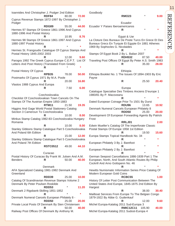Ioannides And Christopher J. Podger 2nd Edition **RDF84** 80.00 **72.00** Cyprus Revenue Stamps 1872-1997 By Christopher J. Podger **RDG89** 55.00 **44.00** Hermes 97 Stamps Of Greece 1861-1996 And Cyprus 1880-1996 And Postal History **R** 10.95 **8.76** Hermes 98 Stamps Of Greece 1861-1997 And Cyprus 1880-1997 Postal History **R** \* **\*** Hermes St. Frangoudis Catalogue Of Cyprus Stamps And Postal History 1845-2002 2003 **R** 12.00 **9.60** Parogra 1992 The Greek Cyprus Europe C.E.P.T. List Of Letters And Post History (Translated From Greek) **R** \* **\*** Postal History Of Cyprus **RPB35** 78.00 **50.00** Postmarks Of Cyprus 1971 By M.A. Poole **R** 20.00 **16.80** Vlastos 1988 Cyprus And Europa **R** 7.50 **6.00 Czechoslovakia** Checklist Of Czechoslovakian Town Cancels On The Stamps Of The Austrian Empire 1850-1883 **RTM11** 21.50 **19.35** Higgins And Gage World Postal Stationery Catalog Section 3 Cameroun To Czechoslovakia **R** 10.00 **8.00** Minkus Stamp Catalog 1982-83 Czechoslovakia Hungary Romania **R** 10.00 **8.00** Stanley Gibbons Stamp Catalogue Part 5 Czechoslovakia And Poland 6th Edition **R** 15.00 **12.00** Stanley Gibbons Stamp Catalogue Part 5 Czechoslovakia And Poland 7th Edition **RSTC0512** 49.00 **44.10** Curacao Postal History Of Curacao By Frank W. Julsen And A.M. Benders **R** 50.00 **40.00 Denmark** AFA Specialized Catalog 1981-1982 Denmark And **Greenland RDD39** 25.00 **10.00** Catalog Of Scandinavian Revenue Stamps Volume 2 Denmark By Peter Poulsen Roskilde **RDD53** \* **11.20** Denmark 2 Rigsbank-Skilling 1851-1852 **R** \* **\*** Denmark Numeral Cancels European Philately 8 - **RDD50** 25.00 **20.00** Private Local Posts Of Denmark By Sten Christensen **R** 50.00 **40.00** Railway Post Offices Of Denmark By Anthony M.

| Goodbody                                                                                                                                                                                                                                               | <b>RMO23</b>                           | $\ast$         | 9.00           |
|--------------------------------------------------------------------------------------------------------------------------------------------------------------------------------------------------------------------------------------------------------|----------------------------------------|----------------|----------------|
| Ecuador Y Paises Iberoamericanos                                                                                                                                                                                                                       | Ecuador<br>R                           | $\star$        |                |
| La Cloture Des Bureaux De Poste Turcs En Grece Et Des<br>Bureaux Grecs En Turquie Et Egypte En 1881 Athenes<br>1969 By Sophocles G. Nicolaides<br>Stamps Of Egypt Book 2 By L. Balian 2007<br>Traveling Post Offices Of Egypt By Peter A.S. Smith 1983 | Egypt & Uar<br>R<br><b>RDH532</b><br>R | 87.50<br>35.00 | 40.00<br>28.00 |
| Ethiopia Booklet No. 1 The Issues Of 1894-1903 By Eric<br>Payne                                                                                                                                                                                        | Ethiopia                               |                |                |
|                                                                                                                                                                                                                                                        | R                                      | 25.50          | 20.40          |
| Catalogue Specialise Des Timbres Anciens D'europe 1<br>1980/81 By P. Macoveanu                                                                                                                                                                         | Europa                                 |                | ×              |
| Dated European Coinage Prior To 1501 By Durst                                                                                                                                                                                                          | R                                      |                |                |
| Denmark Numeral Cancels European Philately 8                                                                                                                                                                                                           | <b>RDU96</b>                           | 13.65          | 10.92          |
| Development Of European Forwarding Agents By Patrick<br>Frost                                                                                                                                                                                          | <b>RDD50</b>                           | 25.00          | 20.00          |
| Edwin Mueller's Catalog Of The Imperforate Classic<br>Postal Stamps Of Europe 1958 1st Edition                                                                                                                                                         | RRLJ01                                 |                | 2.00           |
| Europa Stamps Topical Handbook No. 34                                                                                                                                                                                                                  | R                                      | 19.50          | 15.60          |
| European Philately 3 By J. Barefoot                                                                                                                                                                                                                    | R                                      |                |                |
| European Philately 2 By J. Barefoot                                                                                                                                                                                                                    | R                                      |                |                |
| German Seepost Cancellations 1886-1939 Part 1 The<br>European, North, And South Atlantic Routes By Philip<br>Cockrill And Arno Gottspenn No. 46                                                                                                        | R<br>R                                 |                |                |
| Hewitts Numismatic Information Series Price Catalog Of<br>Modern European Gold Coins                                                                                                                                                                   |                                        |                |                |
| History Of Letter Post Communication Between The<br>United States And Europe, 1845-1875 2nd Edition By<br>Hargest                                                                                                                                      | RCBC55                                 |                | 1.00           |
| Mailboat Services From Europe To The Belgian Congo<br>1879-1922 By Abbe G. Gudenkauf                                                                                                                                                                   | R                                      | 38.00          | 30.40          |
| Michel Europa-Katalog 2011 Sud-Europa 3                                                                                                                                                                                                                | R                                      | 12.00          | 9.60           |
| Michel Europa-Katalog 2011 Sudost-Europa 4                                                                                                                                                                                                             | <b>RMIC12C11</b>                       | 105.90         | 40.00          |

# 11

REFERENCE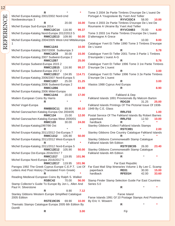| Tome 3 2004 3e Partie Timbres D'europe De L'ouest De<br>R<br>REFERENCE<br>Michel Europa-Katalog 2001/2002 Nord-Und<br>Portugal A Yougoslavie By Yvert And Tellier<br><b>RYVC03C4</b><br>Nordwesteuropa 3<br>58.00<br>20.00<br>Tome 4 2003 2e Partie Timbres D'europe De L'est De<br>16.00<br>R<br>Michel Europa Sud-Europa 2014<br>Roumanie A Ukraine By Yvert And Tellier<br><b>RMIC12C14</b><br>116.90<br>99.37<br>RYVC04B3<br>70.00<br>Tome 3 2003 1re Partie Timbres D'europe De L'ouest<br>Michel Europa-Katalog Nord-Europa 2012/2013 5<br><b>RMIC12E13</b><br>109.90<br>50.00<br>D'allemagne A Grece<br>Michel Europa-Katalog 2004/2005 West-Und Mitteleuropa<br>10.00<br>R<br>Catalogue Yvert Et Teller 1990 Tome 3 Timbres D'europe<br>10.00<br>De L'ouest<br><b>RMIC12A5</b><br>Michel Europa-Katalog 2007/2008 Sudeuropa 3<br>R<br>Catalogue Yvert Et Teller 2001 Tome 3 Partie 1 Timbres<br><b>RMIC12C8</b><br>30.00<br>15.00<br>Michel Europa-Katalog 2007 Sudwest-Europa 2<br>D'europede L'ouest A-G<br><b>RMIC12B7</b><br>25.00<br>5.78<br>Catalogue Yvert Et Tellier 1996 Tome 3 1re Partie Timbres<br>Michel Europa Sudwest-Europa 2015 2<br><b>RMIC12B15</b><br>D'europe De L'ouest<br>116.90<br>99.37<br>Michel Europa Sudwest-Europa 2017 2<br>R<br><b>RMIC12B17</b><br>Catalogue Yvert Et Tellier 1996 Tome 3 2e Partie Timbres<br>134.95<br>114.71<br>Michel Europa-Katalog 2006/2007 Nord-Europa 5<br>D'europe De L'ouest<br><b>RMIC12E7</b><br>21.25<br>25.00<br>3.00<br>R<br>Michel Europa-Katalog 2006 Sudwest-Europa 2<br>Vlastos 1988 Cyprus And Europa<br><b>RMIC12B6</b><br>84.90<br>Michel Europa-Katalog 2006 Mittel-Europa<br><b>RMIC12A6</b><br>20.00<br>17.00<br>Falkland & Dep<br>Modern European Coins By Harris<br>Falkland Islands 1891 Provisionals By Malcom Barton<br><b>RDG28</b><br>31.25<br>R<br>Michel Vogel-Europa<br>Falkland Islands Printings Of The Pictorial Issue Of 1938-<br>1949 By C.E. Glass<br><b>RMIB03C11</b><br>89.90<br>80.10<br>Michel Ganzsachen-Katalog Europa Ost 2004/05<br>RRLF03<br><b>RMIC134</b><br>Postal Service Of The Falkland Islands By Robert Barnes<br>15.00<br>12.00<br>Michel Ganzsachen-Katalog Europa West 2000/01<br>paperback<br>RRLF02<br>10.00<br>12.50<br>$\star$<br>24.00<br>hardback<br><b>RMIC120</b><br>30.00<br>R<br>Michel Europa-Katalog1997/98 Ost<br>Stanley Gibbons Collect Falkland Islands Stamps<br><b>RSTC891</b><br>R<br>Michel Eruopa-Katalog 2011/2012 Ost-Europa 7<br>Stanley Gibbons One Country Catalogue Falkland Islands<br><b>RMIC1312</b><br>105.90<br>50.00<br>R<br>Stanley Gibbons Commonwealth Stamp Catalogue<br>Michel Europa-Katalog 2011/2012 West-Europa 6<br>$\star$<br>Falkland Islands 5th Edition<br>R<br>Michel Europa-Katalog 2011/2012 Nord-Europa 5<br><b>RSTF28C05</b><br>26.00<br><b>RMIC12E12</b><br>105.90<br>Stanley Gibbons Commonwealth Stamp Catalogue<br>50.00<br>Falkland Islands 4th Edition<br>Michel Europa Ost-Europa 2016/2017 7<br><b>RMIC1317</b><br>119.95<br>101.96<br>R<br>Michel Europa Nord-Europa 2016/2017 5<br><b>RMIC12E17</b><br>119.95<br>101.96<br>Far East Republic<br>Parogra 1992 The Greek Cyprus Europe C.E.P.T. List Of<br>Far East Mail Ship Itineraries Volume 1 By Lee C. Scamp<br>Letters And Post History (Translated From Greek)<br><b>RE01</b><br>15.00<br>paperback<br>30.00<br>hardback<br>RFE01H<br>42.00<br>Reading Medieval European Coins By Ralph S. Walker<br>70.00<br><b>RSBC42</b><br>Stamp Finder Stamp Selection Guide Far East Countries<br>56.00<br>Stamp Collector's Guide To Europe By Jon L. Allen And<br>Series 5.0<br>Paul H. Silverstone<br>R<br>7.12<br>8.90<br>R<br>Stanley Gibbons Western Europe Simplified Catalogue<br>Faroe Island<br>2005 Edition<br>Faroe Islands 1991 Gf 10 Postage Stamps And Postmarks<br><b>RSTE19C05</b><br>10.00<br>69.90<br>By Eric V. Wowern<br>Thematic Stamps Catalogue Europa 2005 6th Edition By<br>R<br>Domfil | 12 |   |      |      |       |
|----------------------------------------------------------------------------------------------------------------------------------------------------------------------------------------------------------------------------------------------------------------------------------------------------------------------------------------------------------------------------------------------------------------------------------------------------------------------------------------------------------------------------------------------------------------------------------------------------------------------------------------------------------------------------------------------------------------------------------------------------------------------------------------------------------------------------------------------------------------------------------------------------------------------------------------------------------------------------------------------------------------------------------------------------------------------------------------------------------------------------------------------------------------------------------------------------------------------------------------------------------------------------------------------------------------------------------------------------------------------------------------------------------------------------------------------------------------------------------------------------------------------------------------------------------------------------------------------------------------------------------------------------------------------------------------------------------------------------------------------------------------------------------------------------------------------------------------------------------------------------------------------------------------------------------------------------------------------------------------------------------------------------------------------------------------------------------------------------------------------------------------------------------------------------------------------------------------------------------------------------------------------------------------------------------------------------------------------------------------------------------------------------------------------------------------------------------------------------------------------------------------------------------------------------------------------------------------------------------------------------------------------------------------------------------------------------------------------------------------------------------------------------------------------------------------------------------------------------------------------------------------------------------------------------------------------------------------------------------------------------------------------------------------------------------------------------------------------------------------------------------------------------------------------------------------------------------------------------------------------------------------------------------------------------------------------------------------------------------------------------------------------------------------------------------------------------------------------------------------------------------------------------------------------------------------------------------------------------------------------------------------------------------------------------------------------------------------------------------------------------------------------------------------------------------------------------------------------------------------------------------------------------------------------------------------------------|----|---|------|------|-------|
|                                                                                                                                                                                                                                                                                                                                                                                                                                                                                                                                                                                                                                                                                                                                                                                                                                                                                                                                                                                                                                                                                                                                                                                                                                                                                                                                                                                                                                                                                                                                                                                                                                                                                                                                                                                                                                                                                                                                                                                                                                                                                                                                                                                                                                                                                                                                                                                                                                                                                                                                                                                                                                                                                                                                                                                                                                                                                                                                                                                                                                                                                                                                                                                                                                                                                                                                                                                                                                                                                                                                                                                                                                                                                                                                                                                                                                                                                                                                                    |    |   |      |      |       |
|                                                                                                                                                                                                                                                                                                                                                                                                                                                                                                                                                                                                                                                                                                                                                                                                                                                                                                                                                                                                                                                                                                                                                                                                                                                                                                                                                                                                                                                                                                                                                                                                                                                                                                                                                                                                                                                                                                                                                                                                                                                                                                                                                                                                                                                                                                                                                                                                                                                                                                                                                                                                                                                                                                                                                                                                                                                                                                                                                                                                                                                                                                                                                                                                                                                                                                                                                                                                                                                                                                                                                                                                                                                                                                                                                                                                                                                                                                                                                    |    |   |      |      |       |
|                                                                                                                                                                                                                                                                                                                                                                                                                                                                                                                                                                                                                                                                                                                                                                                                                                                                                                                                                                                                                                                                                                                                                                                                                                                                                                                                                                                                                                                                                                                                                                                                                                                                                                                                                                                                                                                                                                                                                                                                                                                                                                                                                                                                                                                                                                                                                                                                                                                                                                                                                                                                                                                                                                                                                                                                                                                                                                                                                                                                                                                                                                                                                                                                                                                                                                                                                                                                                                                                                                                                                                                                                                                                                                                                                                                                                                                                                                                                                    |    |   |      |      | 10.00 |
|                                                                                                                                                                                                                                                                                                                                                                                                                                                                                                                                                                                                                                                                                                                                                                                                                                                                                                                                                                                                                                                                                                                                                                                                                                                                                                                                                                                                                                                                                                                                                                                                                                                                                                                                                                                                                                                                                                                                                                                                                                                                                                                                                                                                                                                                                                                                                                                                                                                                                                                                                                                                                                                                                                                                                                                                                                                                                                                                                                                                                                                                                                                                                                                                                                                                                                                                                                                                                                                                                                                                                                                                                                                                                                                                                                                                                                                                                                                                                    |    |   |      |      |       |
|                                                                                                                                                                                                                                                                                                                                                                                                                                                                                                                                                                                                                                                                                                                                                                                                                                                                                                                                                                                                                                                                                                                                                                                                                                                                                                                                                                                                                                                                                                                                                                                                                                                                                                                                                                                                                                                                                                                                                                                                                                                                                                                                                                                                                                                                                                                                                                                                                                                                                                                                                                                                                                                                                                                                                                                                                                                                                                                                                                                                                                                                                                                                                                                                                                                                                                                                                                                                                                                                                                                                                                                                                                                                                                                                                                                                                                                                                                                                                    |    |   |      |      | 6.00  |
|                                                                                                                                                                                                                                                                                                                                                                                                                                                                                                                                                                                                                                                                                                                                                                                                                                                                                                                                                                                                                                                                                                                                                                                                                                                                                                                                                                                                                                                                                                                                                                                                                                                                                                                                                                                                                                                                                                                                                                                                                                                                                                                                                                                                                                                                                                                                                                                                                                                                                                                                                                                                                                                                                                                                                                                                                                                                                                                                                                                                                                                                                                                                                                                                                                                                                                                                                                                                                                                                                                                                                                                                                                                                                                                                                                                                                                                                                                                                                    |    |   |      |      |       |
|                                                                                                                                                                                                                                                                                                                                                                                                                                                                                                                                                                                                                                                                                                                                                                                                                                                                                                                                                                                                                                                                                                                                                                                                                                                                                                                                                                                                                                                                                                                                                                                                                                                                                                                                                                                                                                                                                                                                                                                                                                                                                                                                                                                                                                                                                                                                                                                                                                                                                                                                                                                                                                                                                                                                                                                                                                                                                                                                                                                                                                                                                                                                                                                                                                                                                                                                                                                                                                                                                                                                                                                                                                                                                                                                                                                                                                                                                                                                                    |    |   |      |      |       |
|                                                                                                                                                                                                                                                                                                                                                                                                                                                                                                                                                                                                                                                                                                                                                                                                                                                                                                                                                                                                                                                                                                                                                                                                                                                                                                                                                                                                                                                                                                                                                                                                                                                                                                                                                                                                                                                                                                                                                                                                                                                                                                                                                                                                                                                                                                                                                                                                                                                                                                                                                                                                                                                                                                                                                                                                                                                                                                                                                                                                                                                                                                                                                                                                                                                                                                                                                                                                                                                                                                                                                                                                                                                                                                                                                                                                                                                                                                                                                    |    |   |      |      | 8.00  |
|                                                                                                                                                                                                                                                                                                                                                                                                                                                                                                                                                                                                                                                                                                                                                                                                                                                                                                                                                                                                                                                                                                                                                                                                                                                                                                                                                                                                                                                                                                                                                                                                                                                                                                                                                                                                                                                                                                                                                                                                                                                                                                                                                                                                                                                                                                                                                                                                                                                                                                                                                                                                                                                                                                                                                                                                                                                                                                                                                                                                                                                                                                                                                                                                                                                                                                                                                                                                                                                                                                                                                                                                                                                                                                                                                                                                                                                                                                                                                    |    |   |      |      |       |
|                                                                                                                                                                                                                                                                                                                                                                                                                                                                                                                                                                                                                                                                                                                                                                                                                                                                                                                                                                                                                                                                                                                                                                                                                                                                                                                                                                                                                                                                                                                                                                                                                                                                                                                                                                                                                                                                                                                                                                                                                                                                                                                                                                                                                                                                                                                                                                                                                                                                                                                                                                                                                                                                                                                                                                                                                                                                                                                                                                                                                                                                                                                                                                                                                                                                                                                                                                                                                                                                                                                                                                                                                                                                                                                                                                                                                                                                                                                                                    |    |   |      |      | 5.78  |
|                                                                                                                                                                                                                                                                                                                                                                                                                                                                                                                                                                                                                                                                                                                                                                                                                                                                                                                                                                                                                                                                                                                                                                                                                                                                                                                                                                                                                                                                                                                                                                                                                                                                                                                                                                                                                                                                                                                                                                                                                                                                                                                                                                                                                                                                                                                                                                                                                                                                                                                                                                                                                                                                                                                                                                                                                                                                                                                                                                                                                                                                                                                                                                                                                                                                                                                                                                                                                                                                                                                                                                                                                                                                                                                                                                                                                                                                                                                                                    |    |   |      |      |       |
|                                                                                                                                                                                                                                                                                                                                                                                                                                                                                                                                                                                                                                                                                                                                                                                                                                                                                                                                                                                                                                                                                                                                                                                                                                                                                                                                                                                                                                                                                                                                                                                                                                                                                                                                                                                                                                                                                                                                                                                                                                                                                                                                                                                                                                                                                                                                                                                                                                                                                                                                                                                                                                                                                                                                                                                                                                                                                                                                                                                                                                                                                                                                                                                                                                                                                                                                                                                                                                                                                                                                                                                                                                                                                                                                                                                                                                                                                                                                                    |    |   |      |      |       |
|                                                                                                                                                                                                                                                                                                                                                                                                                                                                                                                                                                                                                                                                                                                                                                                                                                                                                                                                                                                                                                                                                                                                                                                                                                                                                                                                                                                                                                                                                                                                                                                                                                                                                                                                                                                                                                                                                                                                                                                                                                                                                                                                                                                                                                                                                                                                                                                                                                                                                                                                                                                                                                                                                                                                                                                                                                                                                                                                                                                                                                                                                                                                                                                                                                                                                                                                                                                                                                                                                                                                                                                                                                                                                                                                                                                                                                                                                                                                                    |    |   |      |      |       |
|                                                                                                                                                                                                                                                                                                                                                                                                                                                                                                                                                                                                                                                                                                                                                                                                                                                                                                                                                                                                                                                                                                                                                                                                                                                                                                                                                                                                                                                                                                                                                                                                                                                                                                                                                                                                                                                                                                                                                                                                                                                                                                                                                                                                                                                                                                                                                                                                                                                                                                                                                                                                                                                                                                                                                                                                                                                                                                                                                                                                                                                                                                                                                                                                                                                                                                                                                                                                                                                                                                                                                                                                                                                                                                                                                                                                                                                                                                                                                    |    |   |      |      |       |
|                                                                                                                                                                                                                                                                                                                                                                                                                                                                                                                                                                                                                                                                                                                                                                                                                                                                                                                                                                                                                                                                                                                                                                                                                                                                                                                                                                                                                                                                                                                                                                                                                                                                                                                                                                                                                                                                                                                                                                                                                                                                                                                                                                                                                                                                                                                                                                                                                                                                                                                                                                                                                                                                                                                                                                                                                                                                                                                                                                                                                                                                                                                                                                                                                                                                                                                                                                                                                                                                                                                                                                                                                                                                                                                                                                                                                                                                                                                                                    |    |   |      |      | 3.00  |
|                                                                                                                                                                                                                                                                                                                                                                                                                                                                                                                                                                                                                                                                                                                                                                                                                                                                                                                                                                                                                                                                                                                                                                                                                                                                                                                                                                                                                                                                                                                                                                                                                                                                                                                                                                                                                                                                                                                                                                                                                                                                                                                                                                                                                                                                                                                                                                                                                                                                                                                                                                                                                                                                                                                                                                                                                                                                                                                                                                                                                                                                                                                                                                                                                                                                                                                                                                                                                                                                                                                                                                                                                                                                                                                                                                                                                                                                                                                                                    |    |   |      |      |       |
|                                                                                                                                                                                                                                                                                                                                                                                                                                                                                                                                                                                                                                                                                                                                                                                                                                                                                                                                                                                                                                                                                                                                                                                                                                                                                                                                                                                                                                                                                                                                                                                                                                                                                                                                                                                                                                                                                                                                                                                                                                                                                                                                                                                                                                                                                                                                                                                                                                                                                                                                                                                                                                                                                                                                                                                                                                                                                                                                                                                                                                                                                                                                                                                                                                                                                                                                                                                                                                                                                                                                                                                                                                                                                                                                                                                                                                                                                                                                                    |    |   |      |      |       |
|                                                                                                                                                                                                                                                                                                                                                                                                                                                                                                                                                                                                                                                                                                                                                                                                                                                                                                                                                                                                                                                                                                                                                                                                                                                                                                                                                                                                                                                                                                                                                                                                                                                                                                                                                                                                                                                                                                                                                                                                                                                                                                                                                                                                                                                                                                                                                                                                                                                                                                                                                                                                                                                                                                                                                                                                                                                                                                                                                                                                                                                                                                                                                                                                                                                                                                                                                                                                                                                                                                                                                                                                                                                                                                                                                                                                                                                                                                                                                    |    |   |      |      |       |
|                                                                                                                                                                                                                                                                                                                                                                                                                                                                                                                                                                                                                                                                                                                                                                                                                                                                                                                                                                                                                                                                                                                                                                                                                                                                                                                                                                                                                                                                                                                                                                                                                                                                                                                                                                                                                                                                                                                                                                                                                                                                                                                                                                                                                                                                                                                                                                                                                                                                                                                                                                                                                                                                                                                                                                                                                                                                                                                                                                                                                                                                                                                                                                                                                                                                                                                                                                                                                                                                                                                                                                                                                                                                                                                                                                                                                                                                                                                                                    |    |   |      |      | 8.90  |
|                                                                                                                                                                                                                                                                                                                                                                                                                                                                                                                                                                                                                                                                                                                                                                                                                                                                                                                                                                                                                                                                                                                                                                                                                                                                                                                                                                                                                                                                                                                                                                                                                                                                                                                                                                                                                                                                                                                                                                                                                                                                                                                                                                                                                                                                                                                                                                                                                                                                                                                                                                                                                                                                                                                                                                                                                                                                                                                                                                                                                                                                                                                                                                                                                                                                                                                                                                                                                                                                                                                                                                                                                                                                                                                                                                                                                                                                                                                                                    |    |   |      |      |       |
|                                                                                                                                                                                                                                                                                                                                                                                                                                                                                                                                                                                                                                                                                                                                                                                                                                                                                                                                                                                                                                                                                                                                                                                                                                                                                                                                                                                                                                                                                                                                                                                                                                                                                                                                                                                                                                                                                                                                                                                                                                                                                                                                                                                                                                                                                                                                                                                                                                                                                                                                                                                                                                                                                                                                                                                                                                                                                                                                                                                                                                                                                                                                                                                                                                                                                                                                                                                                                                                                                                                                                                                                                                                                                                                                                                                                                                                                                                                                                    |    |   |      |      |       |
|                                                                                                                                                                                                                                                                                                                                                                                                                                                                                                                                                                                                                                                                                                                                                                                                                                                                                                                                                                                                                                                                                                                                                                                                                                                                                                                                                                                                                                                                                                                                                                                                                                                                                                                                                                                                                                                                                                                                                                                                                                                                                                                                                                                                                                                                                                                                                                                                                                                                                                                                                                                                                                                                                                                                                                                                                                                                                                                                                                                                                                                                                                                                                                                                                                                                                                                                                                                                                                                                                                                                                                                                                                                                                                                                                                                                                                                                                                                                                    |    |   |      |      | 25.00 |
|                                                                                                                                                                                                                                                                                                                                                                                                                                                                                                                                                                                                                                                                                                                                                                                                                                                                                                                                                                                                                                                                                                                                                                                                                                                                                                                                                                                                                                                                                                                                                                                                                                                                                                                                                                                                                                                                                                                                                                                                                                                                                                                                                                                                                                                                                                                                                                                                                                                                                                                                                                                                                                                                                                                                                                                                                                                                                                                                                                                                                                                                                                                                                                                                                                                                                                                                                                                                                                                                                                                                                                                                                                                                                                                                                                                                                                                                                                                                                    |    |   |      |      |       |
|                                                                                                                                                                                                                                                                                                                                                                                                                                                                                                                                                                                                                                                                                                                                                                                                                                                                                                                                                                                                                                                                                                                                                                                                                                                                                                                                                                                                                                                                                                                                                                                                                                                                                                                                                                                                                                                                                                                                                                                                                                                                                                                                                                                                                                                                                                                                                                                                                                                                                                                                                                                                                                                                                                                                                                                                                                                                                                                                                                                                                                                                                                                                                                                                                                                                                                                                                                                                                                                                                                                                                                                                                                                                                                                                                                                                                                                                                                                                                    |    |   |      |      |       |
|                                                                                                                                                                                                                                                                                                                                                                                                                                                                                                                                                                                                                                                                                                                                                                                                                                                                                                                                                                                                                                                                                                                                                                                                                                                                                                                                                                                                                                                                                                                                                                                                                                                                                                                                                                                                                                                                                                                                                                                                                                                                                                                                                                                                                                                                                                                                                                                                                                                                                                                                                                                                                                                                                                                                                                                                                                                                                                                                                                                                                                                                                                                                                                                                                                                                                                                                                                                                                                                                                                                                                                                                                                                                                                                                                                                                                                                                                                                                                    |    |   |      |      | 1.00  |
|                                                                                                                                                                                                                                                                                                                                                                                                                                                                                                                                                                                                                                                                                                                                                                                                                                                                                                                                                                                                                                                                                                                                                                                                                                                                                                                                                                                                                                                                                                                                                                                                                                                                                                                                                                                                                                                                                                                                                                                                                                                                                                                                                                                                                                                                                                                                                                                                                                                                                                                                                                                                                                                                                                                                                                                                                                                                                                                                                                                                                                                                                                                                                                                                                                                                                                                                                                                                                                                                                                                                                                                                                                                                                                                                                                                                                                                                                                                                                    |    |   |      |      |       |
|                                                                                                                                                                                                                                                                                                                                                                                                                                                                                                                                                                                                                                                                                                                                                                                                                                                                                                                                                                                                                                                                                                                                                                                                                                                                                                                                                                                                                                                                                                                                                                                                                                                                                                                                                                                                                                                                                                                                                                                                                                                                                                                                                                                                                                                                                                                                                                                                                                                                                                                                                                                                                                                                                                                                                                                                                                                                                                                                                                                                                                                                                                                                                                                                                                                                                                                                                                                                                                                                                                                                                                                                                                                                                                                                                                                                                                                                                                                                                    |    |   |      |      |       |
|                                                                                                                                                                                                                                                                                                                                                                                                                                                                                                                                                                                                                                                                                                                                                                                                                                                                                                                                                                                                                                                                                                                                                                                                                                                                                                                                                                                                                                                                                                                                                                                                                                                                                                                                                                                                                                                                                                                                                                                                                                                                                                                                                                                                                                                                                                                                                                                                                                                                                                                                                                                                                                                                                                                                                                                                                                                                                                                                                                                                                                                                                                                                                                                                                                                                                                                                                                                                                                                                                                                                                                                                                                                                                                                                                                                                                                                                                                                                                    |    |   |      |      |       |
|                                                                                                                                                                                                                                                                                                                                                                                                                                                                                                                                                                                                                                                                                                                                                                                                                                                                                                                                                                                                                                                                                                                                                                                                                                                                                                                                                                                                                                                                                                                                                                                                                                                                                                                                                                                                                                                                                                                                                                                                                                                                                                                                                                                                                                                                                                                                                                                                                                                                                                                                                                                                                                                                                                                                                                                                                                                                                                                                                                                                                                                                                                                                                                                                                                                                                                                                                                                                                                                                                                                                                                                                                                                                                                                                                                                                                                                                                                                                                    |    |   |      |      | 2.00  |
|                                                                                                                                                                                                                                                                                                                                                                                                                                                                                                                                                                                                                                                                                                                                                                                                                                                                                                                                                                                                                                                                                                                                                                                                                                                                                                                                                                                                                                                                                                                                                                                                                                                                                                                                                                                                                                                                                                                                                                                                                                                                                                                                                                                                                                                                                                                                                                                                                                                                                                                                                                                                                                                                                                                                                                                                                                                                                                                                                                                                                                                                                                                                                                                                                                                                                                                                                                                                                                                                                                                                                                                                                                                                                                                                                                                                                                                                                                                                                    |    |   |      |      |       |
|                                                                                                                                                                                                                                                                                                                                                                                                                                                                                                                                                                                                                                                                                                                                                                                                                                                                                                                                                                                                                                                                                                                                                                                                                                                                                                                                                                                                                                                                                                                                                                                                                                                                                                                                                                                                                                                                                                                                                                                                                                                                                                                                                                                                                                                                                                                                                                                                                                                                                                                                                                                                                                                                                                                                                                                                                                                                                                                                                                                                                                                                                                                                                                                                                                                                                                                                                                                                                                                                                                                                                                                                                                                                                                                                                                                                                                                                                                                                                    |    |   |      |      |       |
|                                                                                                                                                                                                                                                                                                                                                                                                                                                                                                                                                                                                                                                                                                                                                                                                                                                                                                                                                                                                                                                                                                                                                                                                                                                                                                                                                                                                                                                                                                                                                                                                                                                                                                                                                                                                                                                                                                                                                                                                                                                                                                                                                                                                                                                                                                                                                                                                                                                                                                                                                                                                                                                                                                                                                                                                                                                                                                                                                                                                                                                                                                                                                                                                                                                                                                                                                                                                                                                                                                                                                                                                                                                                                                                                                                                                                                                                                                                                                    |    |   |      |      |       |
|                                                                                                                                                                                                                                                                                                                                                                                                                                                                                                                                                                                                                                                                                                                                                                                                                                                                                                                                                                                                                                                                                                                                                                                                                                                                                                                                                                                                                                                                                                                                                                                                                                                                                                                                                                                                                                                                                                                                                                                                                                                                                                                                                                                                                                                                                                                                                                                                                                                                                                                                                                                                                                                                                                                                                                                                                                                                                                                                                                                                                                                                                                                                                                                                                                                                                                                                                                                                                                                                                                                                                                                                                                                                                                                                                                                                                                                                                                                                                    |    |   |      |      | 23.40 |
|                                                                                                                                                                                                                                                                                                                                                                                                                                                                                                                                                                                                                                                                                                                                                                                                                                                                                                                                                                                                                                                                                                                                                                                                                                                                                                                                                                                                                                                                                                                                                                                                                                                                                                                                                                                                                                                                                                                                                                                                                                                                                                                                                                                                                                                                                                                                                                                                                                                                                                                                                                                                                                                                                                                                                                                                                                                                                                                                                                                                                                                                                                                                                                                                                                                                                                                                                                                                                                                                                                                                                                                                                                                                                                                                                                                                                                                                                                                                                    |    |   |      |      |       |
|                                                                                                                                                                                                                                                                                                                                                                                                                                                                                                                                                                                                                                                                                                                                                                                                                                                                                                                                                                                                                                                                                                                                                                                                                                                                                                                                                                                                                                                                                                                                                                                                                                                                                                                                                                                                                                                                                                                                                                                                                                                                                                                                                                                                                                                                                                                                                                                                                                                                                                                                                                                                                                                                                                                                                                                                                                                                                                                                                                                                                                                                                                                                                                                                                                                                                                                                                                                                                                                                                                                                                                                                                                                                                                                                                                                                                                                                                                                                                    |    |   |      |      |       |
|                                                                                                                                                                                                                                                                                                                                                                                                                                                                                                                                                                                                                                                                                                                                                                                                                                                                                                                                                                                                                                                                                                                                                                                                                                                                                                                                                                                                                                                                                                                                                                                                                                                                                                                                                                                                                                                                                                                                                                                                                                                                                                                                                                                                                                                                                                                                                                                                                                                                                                                                                                                                                                                                                                                                                                                                                                                                                                                                                                                                                                                                                                                                                                                                                                                                                                                                                                                                                                                                                                                                                                                                                                                                                                                                                                                                                                                                                                                                                    |    |   |      |      |       |
|                                                                                                                                                                                                                                                                                                                                                                                                                                                                                                                                                                                                                                                                                                                                                                                                                                                                                                                                                                                                                                                                                                                                                                                                                                                                                                                                                                                                                                                                                                                                                                                                                                                                                                                                                                                                                                                                                                                                                                                                                                                                                                                                                                                                                                                                                                                                                                                                                                                                                                                                                                                                                                                                                                                                                                                                                                                                                                                                                                                                                                                                                                                                                                                                                                                                                                                                                                                                                                                                                                                                                                                                                                                                                                                                                                                                                                                                                                                                                    |    |   |      |      |       |
|                                                                                                                                                                                                                                                                                                                                                                                                                                                                                                                                                                                                                                                                                                                                                                                                                                                                                                                                                                                                                                                                                                                                                                                                                                                                                                                                                                                                                                                                                                                                                                                                                                                                                                                                                                                                                                                                                                                                                                                                                                                                                                                                                                                                                                                                                                                                                                                                                                                                                                                                                                                                                                                                                                                                                                                                                                                                                                                                                                                                                                                                                                                                                                                                                                                                                                                                                                                                                                                                                                                                                                                                                                                                                                                                                                                                                                                                                                                                                    |    |   |      |      |       |
|                                                                                                                                                                                                                                                                                                                                                                                                                                                                                                                                                                                                                                                                                                                                                                                                                                                                                                                                                                                                                                                                                                                                                                                                                                                                                                                                                                                                                                                                                                                                                                                                                                                                                                                                                                                                                                                                                                                                                                                                                                                                                                                                                                                                                                                                                                                                                                                                                                                                                                                                                                                                                                                                                                                                                                                                                                                                                                                                                                                                                                                                                                                                                                                                                                                                                                                                                                                                                                                                                                                                                                                                                                                                                                                                                                                                                                                                                                                                                    |    |   |      |      | 33.60 |
|                                                                                                                                                                                                                                                                                                                                                                                                                                                                                                                                                                                                                                                                                                                                                                                                                                                                                                                                                                                                                                                                                                                                                                                                                                                                                                                                                                                                                                                                                                                                                                                                                                                                                                                                                                                                                                                                                                                                                                                                                                                                                                                                                                                                                                                                                                                                                                                                                                                                                                                                                                                                                                                                                                                                                                                                                                                                                                                                                                                                                                                                                                                                                                                                                                                                                                                                                                                                                                                                                                                                                                                                                                                                                                                                                                                                                                                                                                                                                    |    |   |      |      |       |
|                                                                                                                                                                                                                                                                                                                                                                                                                                                                                                                                                                                                                                                                                                                                                                                                                                                                                                                                                                                                                                                                                                                                                                                                                                                                                                                                                                                                                                                                                                                                                                                                                                                                                                                                                                                                                                                                                                                                                                                                                                                                                                                                                                                                                                                                                                                                                                                                                                                                                                                                                                                                                                                                                                                                                                                                                                                                                                                                                                                                                                                                                                                                                                                                                                                                                                                                                                                                                                                                                                                                                                                                                                                                                                                                                                                                                                                                                                                                                    |    |   |      |      |       |
|                                                                                                                                                                                                                                                                                                                                                                                                                                                                                                                                                                                                                                                                                                                                                                                                                                                                                                                                                                                                                                                                                                                                                                                                                                                                                                                                                                                                                                                                                                                                                                                                                                                                                                                                                                                                                                                                                                                                                                                                                                                                                                                                                                                                                                                                                                                                                                                                                                                                                                                                                                                                                                                                                                                                                                                                                                                                                                                                                                                                                                                                                                                                                                                                                                                                                                                                                                                                                                                                                                                                                                                                                                                                                                                                                                                                                                                                                                                                                    |    |   |      |      |       |
|                                                                                                                                                                                                                                                                                                                                                                                                                                                                                                                                                                                                                                                                                                                                                                                                                                                                                                                                                                                                                                                                                                                                                                                                                                                                                                                                                                                                                                                                                                                                                                                                                                                                                                                                                                                                                                                                                                                                                                                                                                                                                                                                                                                                                                                                                                                                                                                                                                                                                                                                                                                                                                                                                                                                                                                                                                                                                                                                                                                                                                                                                                                                                                                                                                                                                                                                                                                                                                                                                                                                                                                                                                                                                                                                                                                                                                                                                                                                                    |    |   |      |      |       |
|                                                                                                                                                                                                                                                                                                                                                                                                                                                                                                                                                                                                                                                                                                                                                                                                                                                                                                                                                                                                                                                                                                                                                                                                                                                                                                                                                                                                                                                                                                                                                                                                                                                                                                                                                                                                                                                                                                                                                                                                                                                                                                                                                                                                                                                                                                                                                                                                                                                                                                                                                                                                                                                                                                                                                                                                                                                                                                                                                                                                                                                                                                                                                                                                                                                                                                                                                                                                                                                                                                                                                                                                                                                                                                                                                                                                                                                                                                                                                    |    |   |      |      |       |
|                                                                                                                                                                                                                                                                                                                                                                                                                                                                                                                                                                                                                                                                                                                                                                                                                                                                                                                                                                                                                                                                                                                                                                                                                                                                                                                                                                                                                                                                                                                                                                                                                                                                                                                                                                                                                                                                                                                                                                                                                                                                                                                                                                                                                                                                                                                                                                                                                                                                                                                                                                                                                                                                                                                                                                                                                                                                                                                                                                                                                                                                                                                                                                                                                                                                                                                                                                                                                                                                                                                                                                                                                                                                                                                                                                                                                                                                                                                                                    |    |   |      |      |       |
|                                                                                                                                                                                                                                                                                                                                                                                                                                                                                                                                                                                                                                                                                                                                                                                                                                                                                                                                                                                                                                                                                                                                                                                                                                                                                                                                                                                                                                                                                                                                                                                                                                                                                                                                                                                                                                                                                                                                                                                                                                                                                                                                                                                                                                                                                                                                                                                                                                                                                                                                                                                                                                                                                                                                                                                                                                                                                                                                                                                                                                                                                                                                                                                                                                                                                                                                                                                                                                                                                                                                                                                                                                                                                                                                                                                                                                                                                                                                                    |    |   |      |      |       |
|                                                                                                                                                                                                                                                                                                                                                                                                                                                                                                                                                                                                                                                                                                                                                                                                                                                                                                                                                                                                                                                                                                                                                                                                                                                                                                                                                                                                                                                                                                                                                                                                                                                                                                                                                                                                                                                                                                                                                                                                                                                                                                                                                                                                                                                                                                                                                                                                                                                                                                                                                                                                                                                                                                                                                                                                                                                                                                                                                                                                                                                                                                                                                                                                                                                                                                                                                                                                                                                                                                                                                                                                                                                                                                                                                                                                                                                                                                                                                    |    |   |      |      |       |
|                                                                                                                                                                                                                                                                                                                                                                                                                                                                                                                                                                                                                                                                                                                                                                                                                                                                                                                                                                                                                                                                                                                                                                                                                                                                                                                                                                                                                                                                                                                                                                                                                                                                                                                                                                                                                                                                                                                                                                                                                                                                                                                                                                                                                                                                                                                                                                                                                                                                                                                                                                                                                                                                                                                                                                                                                                                                                                                                                                                                                                                                                                                                                                                                                                                                                                                                                                                                                                                                                                                                                                                                                                                                                                                                                                                                                                                                                                                                                    |    | R | 3.00 | Fiji |       |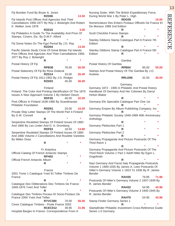| Fiji Bomber Fund By Bryan A. Jones                                                                                                                | RZD06             |          | 13.50      |
|---------------------------------------------------------------------------------------------------------------------------------------------------|-------------------|----------|------------|
| Fiji Islands Post Offices And Agencies And Their<br>Cancellations 1956-1977 By Roy J. Botwright And Robert                                        |                   |          |            |
| K. Walker June 1978                                                                                                                               |                   |          |            |
| Fiji Philatelics A Guide To The Availability And Price Of<br>Stamps, Covers, Etc. By D.W.F. Alford                                                | RZD15             |          | 3.00       |
| Fiji Some Notes On The Kgvi Period By J.D. Ray                                                                                                    | R<br>RZD04        |          | ×<br>13.50 |
| Pacific Islands Study Circle Of Great Britain Fiji Islands<br>Post Offices And Agencies And Their Cancellations 1956-<br>1977 By Roy J. Botwright |                   |          |            |
|                                                                                                                                                   | R                 | *        | ×          |
| Postal History Of Fiji                                                                                                                            | RPB38             | 78.00    | 50.00      |
| Postal Stationery Of Fiji By Ross Duberal                                                                                                         | RZD <sub>14</sub> | 33.00    | 26.40      |
| Postal History Of Fiji 1911-1952 By J.G. Rodger                                                                                                   | RZD03             | 45.00    | 36.00      |
| Finland: The Color And Printing Identification Of The 1875                                                                                        | Finland           |          |            |
| Issues A New Approach Volume 1 By Herbert Oesch                                                                                                   | <b>RDF35</b>      | 40.00    | 32.00      |
| Post Offices In Finland 1638-1985 By Scandinavian<br><b>Philatelic Foundation</b>                                                                 |                   |          |            |
| Private Ship Letter Stamps Of The World Part 4 Finland<br>By G.W. Connell                                                                         | RDD51             | 20.00    | 16.00      |
|                                                                                                                                                   | R                 |          |            |
| Serpentine Rouletted Stamps Of Finland Issues Of 1860<br>And 1866 By Leo Linder And D. A. Dromberg                                                | <b>RDF63</b>      | 18.50    | 14.80      |
| Serpentine Rouletted Stamps Of Finland Issues Of 1860<br>And 1866 Volume 2 Cancellations And Roulette Varieties                                   |                   |          |            |
| By Mikko Ossa                                                                                                                                     | R                 | *        |            |
| Official Catalog Of French Antarctic Stamps                                                                                                       | Fr Antartica      |          |            |
|                                                                                                                                                   | RFH <sub>02</sub> |          | *          |
| Official French Antarctic Album                                                                                                                   | R                 | $^\star$ | *          |
|                                                                                                                                                   | France            |          |            |
| 2001 Tome 1 Catalogue Yvert Et Tellier Timbres De<br>France                                                                                       | R                 |          |            |
| Catalogue Des Obliterations Des Timbres De France<br>1849-1876 Yvert And Teller                                                                   |                   |          |            |
| Catalogue Des Timbres Fiscaux Et Socio-Postaux De<br>France 2000 Yvert And Tellier                                                                | R                 |          |            |
| Ceres Catalogue Timbres - Poste France 2002                                                                                                       | <b>RYVC300</b>    | 70.00    | 56.00      |
|                                                                                                                                                   | <b>RCEC012</b>    | 39.95    | 31.96      |
| Hospital Barges In France- Correspondence From A                                                                                                  |                   |          |            |

| Nursing Sister, With The British Expeditionary Force,                                                                                                                         |                 |       |         |
|-------------------------------------------------------------------------------------------------------------------------------------------------------------------------------|-----------------|-------|---------|
| During World War 1 By Peter L. High                                                                                                                                           | <b>RDG05</b>    |       |         |
| Nomenclature Des Entiers Postaux Officiels De France Et<br>De Monaco 1989 2nd Edition                                                                                         |                 |       | 10.00   |
| <b>Scott Checklist France Stamps</b>                                                                                                                                          | R               |       |         |
| Stanley Gibbons Stamp Catalogue Part 6 France 7th<br>Edition                                                                                                                  | R               |       |         |
| Stanley Gibbons Stamp Catalogue Part 6 France 5th<br>Edition                                                                                                                  | R<br>R          |       | $\star$ |
| Postal History Of Gambia<br>Stamps And Postal History Of The Gambia By J.O.<br>Andrew                                                                                         | Gambia<br>RPB04 | 95.00 | 50.00   |
|                                                                                                                                                                               | RRLD06          | 32.50 | 26.00   |
| Germany 1872 - 1900 A Philatelic And Postal History<br>Handbook Of Germany And Her Colonies By Darryl<br><b>Hinton Blaker</b>                                                 | Germany         |       |         |
|                                                                                                                                                                               | R               |       | *       |
| Germany Efo Specialist Catalogue Part One 1st                                                                                                                                 | R               |       | ×       |
| Germany Empire By Album Publishing Company, Inc                                                                                                                               | R               |       |         |
| Germany Philatelic Society 1949-1989 40th Anniversary<br>Anthology                                                                                                            |                 |       |         |
| Germany Plebiscites Part 1                                                                                                                                                    | R               |       | *       |
| Germany Plebiscites Part 2                                                                                                                                                    | R               |       | *       |
| Germany Propaganda And Picture Postcards Of The                                                                                                                               | R               |       |         |
| Third Reich 1                                                                                                                                                                 | R               |       | *       |
| Germany Propaganda And Picture Postcards Of The<br>Third Reich Volume 1 Part 2 Adolf Hitler By Egon L.<br>Gogolinski                                                          |                 |       |         |
| Nazi Germany And Facist Italy Propaganda Postcards<br>Volume 1 1900-1935 By James A. Lees Postcards Of<br>Hitler's Germany Volume 1 1923 To 1936 By R. James<br><b>Bender</b> | R               |       | $\star$ |
| Postcards Of Hitler's Germany Volume 2 1937-1939 By<br>R. James Bender                                                                                                        | <b>RAH35</b>    | 79.95 | 71.96   |
| Postcards Of Hitler's Germany Volume 3 1940-1945 By                                                                                                                           | <b>RAH32</b>    | 54.95 | 43.96   |
| R. James Bender                                                                                                                                                               | RAH70           | 54.95 | 43.96   |
| <b>Stamp Finder Germany Series 1</b>                                                                                                                                          | R               |       |         |
| Stampfinder Philatelic Investment Cross-Reference Guide<br>Series 1.0 Germany                                                                                                 |                 |       |         |

REFERENCE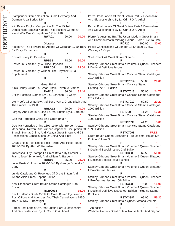| $\overline{4}$ |                                                                                                                       |                      |       |       |                                                                                                           |                   |        |             |
|----------------|-----------------------------------------------------------------------------------------------------------------------|----------------------|-------|-------|-----------------------------------------------------------------------------------------------------------|-------------------|--------|-------------|
|                |                                                                                                                       | ĸ                    |       |       |                                                                                                           |                   |        |             |
| 囯              | Stampfinder Stamp Selection Guide Germany And                                                                         |                      |       |       | Parcel Post Labels Of Great Britain Part- 2 Devonshire                                                    |                   |        |             |
| $\bigcirc$     | German Area Series 1.94                                                                                               |                      |       |       | And Gloucestershire By Lt. Cdr. J.O.A. Arkell                                                             |                   |        |             |
| REFEREN        | Will Payne English Companion To The Michel<br>Deutschland-Spezial Katalog This Section: Germany:                      |                      |       |       | Parcel Post Labels Of Great Britain Part- 1 Devonshire<br>And Gloucestershire By Lt. Cdr. J.O.A. Arkell   |                   |        |             |
|                | World War One Occupations 1914-1918                                                                                   | <b>RWA01</b>         | 20.00 | 20.00 | Pierron's Anything But The Usual Modern Great Britain                                                     |                   |        |             |
|                |                                                                                                                       | Gibraltar            |       |       | And Commonwealth Missing Colour Errors 1952 To Date                                                       | RDF <sub>20</sub> | 100.00 | 30.00       |
|                |                                                                                                                       |                      |       |       | History Of The Forwarding Agents Of Gibraltar' 1750-1880 Postal Cancellations Of London 1840-1890 By H.C. |                   |        |             |
|                | By Ricky Richardson                                                                                                   |                      |       |       | Westley - 1 Copy                                                                                          |                   |        |             |
|                |                                                                                                                       | R                    |       |       |                                                                                                           |                   |        |             |
|                | Postal History Of Gibraltar                                                                                           |                      |       |       | Scott Checklist Great Britain Stamps                                                                      |                   |        |             |
|                | Posted In Gibraltar By W. Hine-Haycock                                                                                | RPB36                | 78.00 | 50.00 | Stanley Gibbons Great Britain Volume 4 Queen Elizabeth                                                    | R                 |        |             |
|                |                                                                                                                       | RRLC06               | 35.00 | 28.00 | li Decimal Definitive Issues                                                                              |                   |        |             |
|                | Posted In Gibraltar By William Hine-Haycock 1983                                                                      |                      |       |       |                                                                                                           |                   |        |             |
|                | Supplement                                                                                                            | R                    |       |       | Stanley Gibbons Great Britain Concise Stamp Catalogue<br>2014 Edition                                     |                   |        |             |
|                |                                                                                                                       |                      |       |       |                                                                                                           | <b>RSTC7014</b>   | 58.00  | 29.00       |
|                | Alnis Handy Guide To Great Britain Revenue Stamps                                                                     | <b>Great Britain</b> |       |       | Stanley Gibbons Great Britain Concise Stamp<br>Catalogue2013 Edition                                      |                   |        |             |
|                |                                                                                                                       | <b>RAN18</b>         | 36.00 | 32.40 |                                                                                                           | <b>RSTC7013</b>   | 55.00  | 24.75       |
|                | British Postage Stamps By S.C. Johnson - 1 Copy                                                                       | R                    |       |       | Stanley Gibbons Great Britain Concise Stamp Catalogue<br>2012 Edition                                     |                   |        |             |
|                | Die Proofs Of Waterlow And Sons Part 1 Great Britain And                                                              |                      |       |       |                                                                                                           | <b>RSTC7012</b>   | 50.50  | 20.20       |
|                | The Empire To 1960                                                                                                    | RRLA <sub>12</sub>   | 25.00 | 20.00 | Stanley Gibbons Great Britain Concise Stamp Catalogue<br>2009 Edition                                     |                   |        |             |
|                | Forgery And Reprint Guide 1 Great Britain By J. Barefoot                                                              |                      |       |       |                                                                                                           | <b>RST709</b>     | 41.25  | 12.38       |
|                |                                                                                                                       | R                    |       |       | Stanley Gibbons Great Britain Concise Stamp Catalogue                                                     |                   |        |             |
|                | Gee-Ma Forgeries China And Great Britain                                                                              | R                    |       |       | 1999 Edition                                                                                              | <b>RSTC7099</b>   | 41.25  | 5.00        |
|                | Gee-Ma Forgeries China 1897-1949 With Border Areas,                                                                   |                      |       |       | Stanley Gibbons Great Britain Concise Stamp Catalogue                                                     |                   |        |             |
|                | Manchuria, Taiwan, And Yunnan-Japanese Occuptaion Of                                                                  |                      |       |       | 1998 Edition                                                                                              |                   |        |             |
|                | Brunei, Burma, China, And Malaya-Great Britain And 24                                                                 |                      |       |       |                                                                                                           | <b>RSTC7098</b>   |        | <b>FREE</b> |
|                | Possessions-Cancellations Of China And Tibet                                                                          |                      |       |       | Great Britain Queen Elizabeth Ii Pre-Decimal Issues 5th                                                   |                   |        |             |
|                | Great Britain Post Roads Post Towns And Postal Rates                                                                  |                      |       |       | <b>Edition Volume 3</b>                                                                                   | R                 |        |             |
|                | 1635-1839 By Alan W. Robertson                                                                                        |                      |       |       | Stanley Gibbons Great Britain Volume 5 Queen Elizabeth                                                    |                   |        |             |
|                |                                                                                                                       | ĸ                    |       |       | li Decimal Special Issues 2nd Edition                                                                     |                   |        |             |
|                | Impressed Duty Stamps Of Great Britain By Samuel B.                                                                   |                      |       |       |                                                                                                           | <b>RSTC358</b>    | 62.50  | 50.00       |
|                | Frank, Josef Schonfeld, And William A. Barber -                                                                       |                      |       |       | Stanley Gibbons Great Britain Volume 5 Queen Elizabeth                                                    |                   |        |             |
|                | Local Posts Of London 1680-1840 By George Brumell - 1                                                                 | RDD96                | 35.00 | 28.00 | li Decimal Special Issues Binder                                                                          | R                 |        |             |
|                | Copy                                                                                                                  |                      |       |       | Stanley Gibbons Great Britain Volume 3 Queen Elizabeth                                                    |                   |        |             |
|                |                                                                                                                       | R                    |       |       | li Pre-Decimal Issues                                                                                     |                   |        |             |
|                | Lundy Catalogue Of Revenues Of Great Britain And                                                                      |                      |       |       |                                                                                                           | R                 |        |             |
|                | Ireland Alnis Press Reprint Edition                                                                                   |                      |       |       | Stanley Gibbons Great Britain Volume 3 Queen Elizabeth<br>li Pre-Decimal Issues 10th Edition              |                   |        |             |
|                | New Stoneham Great Britain Stamp Catalogue 12th                                                                       |                      |       |       |                                                                                                           | <b>RSTC328</b>    | 75.00  | 15.00       |
|                | Edition                                                                                                               |                      |       |       | Stanley Gibbons Great Britain Volume 4 Queen Elizabeth                                                    |                   |        |             |
|                |                                                                                                                       | <b>RGBC018</b>       |       | 15.00 | Ii Decimal Definitive Issues 9th Edition Including Stamp                                                  |                   |        |             |
|                | Pacific Islands Study Circle Of Great Britain Fiji Islands<br>Post Offices And Agencies And Their Cancellations 1956- |                      |       |       | <b>Booklets</b>                                                                                           | <b>RSTC3382</b>   | 69.00  | 55.20       |
|                | 1977 By Roy J. Botwright                                                                                              |                      |       |       | Stanley Gibbons Great Britain Queen Victoria Volume 1                                                     |                   |        |             |
|                |                                                                                                                       |                      |       |       |                                                                                                           | ĸ                 |        |             |
|                | Parcel Post Labels Of Great Britain Part- 3 Devonshire<br>And Gloucestershire By Lt. Cdr. J.O.A. Arkell               |                      |       |       | 7th edition<br>Wartime Airmails Great Britain Transatlantic And Beyond                                    | R                 |        |             |
|                |                                                                                                                       |                      |       |       |                                                                                                           |                   |        |             |

14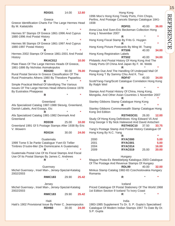|                                                                                         | <b>RDG01</b>   | 14.00 | 12.60 | 1996 Moo's Hong Kong Treaty Ports, Frim Chops,                                                                               | Hong Kong          |       |                |
|-----------------------------------------------------------------------------------------|----------------|-------|-------|------------------------------------------------------------------------------------------------------------------------------|--------------------|-------|----------------|
| Greece Identification Charts For The Large Hermes Head                                  | Greece         |       |       | Perfins, And Postage Cancels Stamps Catalogue 1841-<br>1938                                                                  |                    |       |                |
| By M. Kaitatzidis                                                                       |                |       |       |                                                                                                                              | RDF01              | 40.00 | 36.00          |
| Hermes 97 Stamps Of Greece 1861-1996 And Cyprus                                         | R              |       |       | Anna-Lisa And Sven-Eric Beckeman Collection Hong<br>Kong 1 November 2007                                                     |                    |       |                |
| 1880-1996 And Postal History                                                            | R              |       |       | Hong Kong Fiscal Stamp By Frits G. Huygen                                                                                    | R                  |       |                |
| Hermes 98 Stamps Of Greece 1861-1997 And Cyprus                                         |                |       |       |                                                                                                                              | R                  |       | $\star$        |
| 1880-1997 Postal History                                                                | R              |       |       | Hong Kong Picture Postcards By Ming W. Tsang                                                                                 | <b>RTS06</b>       | 40.00 | 34.00          |
| Hermes 2002 Stamps Of Greece 1861-2001 And Postal<br>History                            |                |       |       | Hong Kong Registration Labels                                                                                                | <b>RTS02</b>       | 40.00 | 34.00          |
|                                                                                         | RKAC012        |       | 10.00 | Philatelic And Postal History Of Hong Kong And The                                                                           |                    |       |                |
| Plate Flaws Of The Large Hermes Heads Of Greece,<br>1861-1886 By Nicholas Asimakopulos  |                |       |       | Treaty Ports Of China And Japan By F. W. Webb                                                                                |                    |       |                |
| Rural Postal Service In Greece Classification Of The                                    | <b>RDG93</b>   | 90.00 | 78.00 | Postage Due And The Handling Of Underpaid Mail Of<br>Hong Kong T By Sammy Chiu And K. Tsui                                   | RDF47              |       |                |
| Rural Postmarks Athens 1980 By Theodore Papaeliou                                       | R              |       |       | Scott/Yang-Yang/Scott Catalogue Correlation Hong Kong                                                                        |                    | 40.00 | 34.00          |
| Simple Practical Method Of Identifying The Various                                      |                |       |       | By Ralph Weil                                                                                                                |                    |       |                |
| Issues Of The Large Hermes Head Athens-Greece 1978<br>By Eustratios Phaippeas           |                |       |       | Stamps And Postal History Of China, Hong Kong,                                                                               | R                  |       |                |
|                                                                                         | R              |       |       | Mongolia, And Other Asian Countries 1 November 2007                                                                          |                    |       |                |
|                                                                                         | Greenland      |       |       | Stanley Gibbons Stamp Catalogue Hong Kong                                                                                    |                    |       |                |
| Afa Specialized Catalog 1987-1988 Slesvig, Greenland,<br>Danish Labels, And Essays, Etc |                |       |       | Stanley Gibbons Commonwealth Stamp Catalogue Hong                                                                            |                    |       |                |
| Afa Specialized Catalog 1981-1982 Denmark And                                           | R              |       |       | Kong 3rd Edition                                                                                                             | <b>RSTH03C01</b>   | 26.00 | 12.00          |
| Greenland                                                                               | RDD39          | 25.00 | 10.00 | Study Of Hong Kong Definitives: King Edward Vii And<br>King George V By Nick Halewood And David Antscheri                    |                    |       |                |
| Greenland 1991 Gf 5 Postage Stamps After 1938 By Eric<br>V. Wowern                      |                |       |       | Yang's Postage Stamp And Postal History Catalogue Of                                                                         | <b>RSTH03C10</b>   | 37.50 | 33.75          |
|                                                                                         | <b>RDG34</b>   | 30.00 | 24.00 | Hong Kong By N.C. Yang                                                                                                       | R                  |       |                |
|                                                                                         | Guatemala      |       |       | 2000                                                                                                                         | RYAC000            |       | 5.00           |
| 1999 Tome 5 3e Partie Catalogue Yvert Et Tellier                                        |                |       |       | 2001                                                                                                                         | RYAC001            |       | 5.00           |
| Timbres D'outre-Mer (De Dominicaine A Guatemala)                                        | R              |       |       | 2004<br>2009                                                                                                                 | RYAC014<br>RYAC019 | 25.00 | 16.00<br>20.00 |
| Guatemala Postal Use Of Its Fiscal Stamps And Fiscal                                    |                |       |       |                                                                                                                              |                    |       |                |
| Use Of Its Postal Stamps By James C. Andrews                                            | R              |       |       | Magyar Posta-Es Illetekbelyeg Katalogus 2003 Catalogue                                                                       | Hungary            |       |                |
|                                                                                         | Guernsey       |       |       | Of The Postage And Revenue Stamps Of Hungary                                                                                 | <b>RDL99</b>       | 40.00 | 32.00          |
| Michel Guernsey-, Insel Man-, Jersey-Spezial-Katalog<br>2002/2003                       |                |       |       | Minkus Stamp Catalog 1982-83 Czechoslovakia Hungary<br>Romania                                                               |                    |       |                |
|                                                                                         | <b>RMIC183</b> | 29.90 | 25.42 |                                                                                                                              | $\mathsf{R}$       |       |                |
|                                                                                         | Jersey         |       |       |                                                                                                                              | Iceland            |       |                |
| Michel Guernsey-, Insel Man-, Jersey-Spezial-Katalog<br>2002/2003                       |                |       |       | Priced Catalogue Of Postal Stationery Of The World 1968<br>1st Edition Section 9 Iceland To Ivory Coast                      |                    |       |                |
|                                                                                         | <b>RMIC183</b> | 29.90 | 25.42 |                                                                                                                              | R                  |       | $\ast$         |
|                                                                                         | Haiti          |       |       |                                                                                                                              | India              |       |                |
| Haiti's 1902 Provisional Issue By Peter C. Jeannopoulos                                 | RDH60          | 30.00 | 24.00 | 1983-1985 Supplement To Dr. S. P. Gupta's Specialised<br>Catalogue Of Modern Indian Stamps 1947 To Date By Dr.<br>S.P. Gupta |                    |       |                |

**REFERENCE** REFERENCE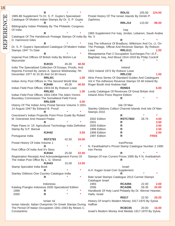| 16        |                                                                                                                     |                |         |             |                                                                 |                                |                |              |
|-----------|---------------------------------------------------------------------------------------------------------------------|----------------|---------|-------------|-----------------------------------------------------------------|--------------------------------|----------------|--------------|
|           |                                                                                                                     | R              |         |             |                                                                 | RDL01                          | 155.00         | 124.00       |
|           | 1985-88 Supplement To Dr. S. P. Gupta's Specialised<br>Catalogue Of Modern Indian Stamps By Dr. S. P. Gupta         |                |         |             | Postal History Of The Ionian Islands By Dimitri P.<br>Zaphiriou |                                |                |              |
| REFERENCE | Bibliography Indian Phiilately By The Philatelic Congress                                                           |                |         |             |                                                                 | RRLJ14                         | 110.00         | 88.00        |
|           | Of India                                                                                                            | $\mathsf{R}$   |         |             |                                                                 | Iraq                           |                |              |
|           | Catalogue Of The Handstruck Postage Stamps Of India By No. 5                                                        |                |         |             | 1965 Supplement For Iraq, Jordan, Lebanon, Saudi Arabia         |                                |                |              |
|           | D. Hammond Giles                                                                                                    |                |         |             |                                                                 | R                              |                |              |
|           |                                                                                                                     | R              |         |             | Iraq The Influence Of Bradbury, Wilkinson And Co. Lt. On        |                                |                |              |
|           | Dr. S. P. Gupta's Specialised Catalogue Of Modern Indian                                                            |                |         |             | The Postage, Official And Revenue Stamps By Robson              |                                |                |              |
|           | Stamps 1947 To Date                                                                                                 | R              |         |             | Lowe<br>Mesopotamia Part 2 Occupation Surcharges For I.E.F.,    | RRLG11                         |                | 1.00         |
|           | Imperial Post Offices Of British India By Mohini Lal<br>Mazumdar                                                    |                |         |             | Baghdad, Iraq, And Mosul 1914-1919 By Philip Cockrill           | R                              |                |              |
|           |                                                                                                                     | <b>RJH15</b>   | 45.00   | 40.50       |                                                                 |                                |                |              |
|           | India The Specialised Collection Of Essays, Proofs, And                                                             |                |         |             |                                                                 | Ireland                        |                |              |
|           | Reprints Formed By James A. Spence Wednesday 7th<br>December 1977 At 10.30 And 14.30 Hours                          |                |         |             | 1922 Ireland 1972 By Robson Lowe                                | RRLC02                         |                | 1.00         |
|           |                                                                                                                     | RRLI01         |         | 1.00        | Alnis Press Series Of Standard Guides And Catalogues            |                                |                |              |
|           | Indian Army Post Offices In The Second World War                                                                    |                |         |             | Vol 4 The Adhesive Revenue Stamps Of All Ireland By             |                                |                |              |
|           |                                                                                                                     | <b>RJH40</b>   | 45.00   | 40.50       | Roger Booth And Andrew Hall                                     |                                |                |              |
|           | Indian Field Post Offices 1903-04 By Robson Lowe                                                                    | <b>RRLI02</b>  |         | 1.00        | Lundy Catalogue Of Revenues Of Great Britain And                | <b>RDM24</b>                   |                | 6.00         |
|           | Indian Field Post Offices 1903-1904 The Aden-Yemini                                                                 |                |         |             | Ireland Alnis Press Reprint Edition                             |                                |                |              |
|           | Boundary Commission The Somaliland Field Force                                                                      |                |         |             |                                                                 | R                              |                |              |
|           |                                                                                                                     | RRLG09         |         | 3.00        |                                                                 |                                |                |              |
|           | History Of The Indian Army Postal Service Volume 3 1931-<br>14 August 1947 By Edward B. Proud                       |                |         |             | Stanley Gibbons Collect Channel Islands And Isle Of Man         | Isle Of Man                    |                |              |
|           |                                                                                                                     |                |         | Stamps 2010 |                                                                 |                                |                |              |
|           | Overstreet's Indian Projectile Point Price Guide By Robert                                                          |                |         |             |                                                                 | R                              |                |              |
|           | M. Overstreet And Howard Peake                                                                                      | R              |         |             | 2002 Edition<br>2001                                            | <b>RSTC7802</b><br>R           | 28.75          | 4.00<br>3.50 |
|           | Plate Flaws In '15' Agricultural Technology India Definitive                                                        |                |         |             | 2000 Edition                                                    | R                              |                | 3.00         |
|           | Stamp By S.P. Bansal                                                                                                |                |         |             | 1998 Edition                                                    | R                              |                | 2.50         |
|           |                                                                                                                     | <b>RJH42</b>   |         | 3.00        | 1999 Edition                                                    | ${\sf R}$                      |                | 2.00         |
|           | Portuguese India                                                                                                    | <b>RST2793</b> | 42.50   | 34.00       | 1997 Edition                                                    | R                              |                | <b>FREE</b>  |
|           | Postal History Of India Volume 1                                                                                    |                |         |             |                                                                 | Iran/Persia                    |                |              |
|           |                                                                                                                     | R              | $\star$ | *           | N. Farahbakhsh's Priced Stamp Catalogue Number 2 1990           |                                |                |              |
|           | Post Office Of India And It's Story                                                                                 |                |         |             | Iran Persia                                                     |                                |                |              |
|           | Registration Receipts And Acknowledgement Forms Of                                                                  | RJH44          | 25.00   | 22.50       | Stamps Of Iran Current Prices 1995 By F.N. Arahbakhsh           | $\mathsf{R}$                   |                |              |
|           | The Indian Post Office By L. G. Shenoi                                                                              |                |         |             |                                                                 | R                              |                |              |
|           |                                                                                                                     | <b>RJH43</b>   | 15.00   | 13.50       |                                                                 |                                |                |              |
|           | Stamp Specialist India Book                                                                                         |                |         |             |                                                                 | <b>Israel</b>                  |                |              |
|           | Stanley Gibbons One Country Catalogue India                                                                         | R              |         |             | A.H. Kagan Israel Coin Supplement                               | R                              |                |              |
|           |                                                                                                                     | R              |         | *           | Bale Israel Stamps Catalogue 2013 Carmel Stamps                 |                                |                |              |
|           |                                                                                                                     |                |         |             | Catalogue Israel                                                |                                |                |              |
|           |                                                                                                                     | Indonesia      |         |             | 1993<br>2006                                                    | <b>RCA094</b><br><b>RCA096</b> | 22.00<br>59.35 | 2.00         |
|           | Katalog Prangko Indonesia 2000 Specialized Edition<br>1999                                                          | R              |         | $\ast$      | Handbook Of Holy Land Philately By Dr. Werner Hoexter,          |                                |                | 20.00        |
|           | 2000                                                                                                                | R              |         | *           | Haifa, Israel                                                   |                                |                |              |
|           |                                                                                                                     |                |         |             |                                                                 | <b>RIS17</b>                   | 22.50          | 20.25        |
|           |                                                                                                                     | Ionian Isl     |         |             | History Of Israel's Modern Money 1917-1970 By Sylvia            |                                |                |              |
|           | Ionian Islands: Italian Overprints On Greek Stamps During<br>The Period Of Italian Occupation 1941-1943 By Moses C. |                |         |             | Haffner                                                         | RCBC05                         | 20.00          | 16.00        |
|           | Constantinis                                                                                                        |                |         |             | Israel's Modern Money And Medals 1917-1970 By Sylvia            |                                |                |              |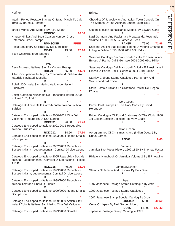**Haffner R** \* **\*** Interim Period Postage Stamps Of Israel March To July 1948 By Bruno J. Forsher **R** \* **\*** Israels Money And Medals By A.H. Kagan **RCBC06 10.00** Krause-Minkus And Scott Catalog Number Cross-Reference Israel Stamps **RMKSCISR FREE** Postal Stationery Of Israel By Sid Morginstin **RIS15** 19.00 **17.10** Scott Checklist Israel Stamps **R** \* **\*** Italy Aero Espresso Italiana S.A. By Vincent Prange **RDL70** 55.00 **44.00** Allied Occupations In Italy By Emanuele M. Gabbini And Maurizio Raybaudi Massilia **R** \* **\*** Bolaffi 2004 Italia San Marino Vaticanoemissioni Plurinvest **R** \* **\*** Bolaffi Catalogo Nazionale Dei Francobolli Italiani 2000 Volume 1, 2, And 3 **R** \* **\*** Catalogo Unificato Della Carta-Moneta Italiana By Alfa **Edizioni R** \* **\*** Catalogo Enciclopedico Italiano 2000-2001 Citta Del Vaticano - Repubblica Di San Marino **RCIC031** 26.50 **21.20** Catalogo Enciclopedico Italiano 2001-2002 Repubblica Italiana - Trieste A E B **RCIC012** 34.50 **27.60** Catalogo Enciclopedico Italiano 2003/2004 Regno D'italia - Occupazioni **R** \* **\*** Catalogo Enciclopedico Italiano 2002/2003 Repubblica Sociale Italiana - Luogotenenza - Comitati Di Liberazione **R** \* **\*** Catalogo Enciclopedico Italiano 2005 Repubblica Sociale Italiana - Luogotenenza - Comitati Di Liberazione - Trieste A E B **RCIC015** 40.00 **32.00** Catalogo Enciclopedico Italiano 1999/2000 Repubblica Sociale Italiana, Luogotenenza, Comitati Di Liberazione **R** \* **\*** Catalogo Enciclopedico Italiano 1999/2000 Repubblica Italiana Territorio Libero Di Trieste **R** \* **\*** Catalogo Enciclopedico Italiano 1999/2000 Regno D'italia **Occupazioni R** \* **\*** Catalogo Enciclopedico Italiano 1999/2000 Antichi Stati Italiani Colonie Italiane San Marino Citta Del Vaticano **R** \* **\***

Catalogo Enciclopedico Italiano 1999/2000 Somalia

**Eritrea R** \* **\*** Checklist Of Jugoslavian And Italian Town Cancels On The Stamps Of The Austrian Empire 1850-1883 **R** \* **\*** Goethe's Italian Renaissance Medals By Edward Gans **R** \* **\*** Nazi Germany And Facist Italy Propaganda Postcards Volume 1 1900-1935 By James A. Lees **RAH35** 79.95 **71.96** Sassone Antichi Stati Italiana Regno Di Vittorio Emanuele Ii Regno D'italia 1850-1900 2001 60th Edition **R** \* **\*** Sassone Catalogo Dei Francobolli D'italia E Paesi Italiani Emessi A Partire Dal 1 Gennaio 2001 2002 61st Edition **R** \* **\*** Sassone Catalogo Dei Francobolli D' Italia E Paesi Italiani Emessi A Partire Dal 1` Gennaio 2004 63rd Edition **R** \* **\*** Stanley Gibbons Stamp Catalogue Part 8 Italy And Switzerland 3rd Edition **R** \* **\*** Storia Postale Italiana Le Collettorie Postali Del Regno D'italia **R** \* **\*** Ivory Coast Parcel Post Stamps Of The Ivory Coast By David L. Herendeen **R** \* **\*** Priced Catalogue Of Postal Stationery Of The World 1968 1st Edition Section 9 Iceland To Ivory Coast **R** \* **\*** Indian Ocean Aerogrammes Of Christmas Island (Indian Ocean) By Rufus Barnes **RZD01 9.00** Jamaica Jamaica The Postal History 1662-1860 By Thomas Foster **R** \* **\*** Philatelic Handbook Of Jamaica Volume 2 By E.F. Aguilar **R** \* **\*** Jammu/Kashmir Stamps Of Jammu And Kashmir By Frits Staal **R** \* **\*** Japan 1997 Japanese Postage Stamp Catalogue By Jsda **R** \* **\*** 1999 Japanese Postage Stamp Catalogue **R** \* **\*** 2002 Japanese Stamp Special Catalog By Jsca **RJDC022** 55.00 **49.50** Coins Of Japan By Neil Gordon Munro

**RDU56** 149.90 **127.42**

Japanese Postage Stamp Catalogue 1977

# REFERENCE **REFERENCE**

17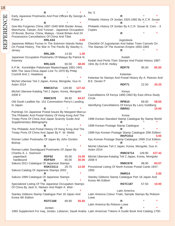| 18        |                                                                                                                                                               |                        |                |                |                                                                                                              |                                 |        |        |
|-----------|---------------------------------------------------------------------------------------------------------------------------------------------------------------|------------------------|----------------|----------------|--------------------------------------------------------------------------------------------------------------|---------------------------------|--------|--------|
|           |                                                                                                                                                               | R                      |                |                | No. 5                                                                                                        |                                 |        |        |
|           | Early Japanese Postmarks And Post Offices By George A.<br>Fisher Jr                                                                                           |                        |                |                | Philatelic History Of Jordan 1920-1982 By K.C.R. Souan                                                       | R                               |        |        |
|           | Gee-Ma Forgeries China 1897-1949 With Border Areas,                                                                                                           | R                      |                |                | Philatelic History Of Jordan By K.C.R. Souan B. Com. - 3                                                     | R                               |        |        |
|           | Manchuria, Taiwan, And Yunnan - Japanese Occupation<br>Of Brunei, Burma, China, Malaya - Great Britain And 24<br>Possessions Cancellations Of China And Tibet |                        |                |                | Copies                                                                                                       | $\mathsf{R}$                    |        |        |
| REFERENCE | Japanese Military Forces In The Solomon Islands Notes<br>On Postal History, The War In The Pacific By Stanley C.                                              | RRLA04                 |                | 4.00           | Checklist Of Jugoslavian And Italian Town Cancels On<br>The Stamps Of The Austrian Empire 1850-1883          | Jugoslavia                      |        |        |
|           | Jersey                                                                                                                                                        | <b>RRLJ09</b>          | 13.50          | 1.00           |                                                                                                              |                                 |        |        |
|           | Japanese Occupation Postmarks Of Malaya By Patrick N.<br>Kearney                                                                                              |                        |                |                | Kedah And Perlis Their Stamps And Postal History 1887-                                                       | Kedah                           |        |        |
|           |                                                                                                                                                               | RRLG25                 | 60.00          | 48.00          | 1941 By D.R.M. Holley                                                                                        |                                 |        |        |
|           | K.P.M. Koninklijke Paketvaart Maatschappij 1891-1941<br>With The Java-China-Japan Line To 1970 By Philip                                                      |                        |                |                |                                                                                                              | RDF70                           | 95.00  | 85.50  |
|           | Cockrill And J. Haalebos                                                                                                                                      |                        |                |                |                                                                                                              | Kelantan                        |        |        |
|           | Michel Ubersee Teil 2 Japan, Korea, Mongolei, Gus In                                                                                                          | R                      |                |                | Kelantan Its Stamps And Postal History By A. Reeves And<br><b>B.E. Dexter P</b>                              |                                 |        |        |
|           | Asien 2014                                                                                                                                                    | <b>RMIC6714</b>        | 149.90         | 127.42         |                                                                                                              | <b>RDF71</b>                    | 22.50  | 20.25  |
|           | Michel Ubersee-Katalog Teil 2 Japan, Korea, Mongolei                                                                                                          |                        |                |                |                                                                                                              | Kenya                           |        |        |
|           | 20089                                                                                                                                                         |                        |                |                | Cancellations Of Kenya 1890-1963 By East Africa Study                                                        |                                 |        |        |
|           |                                                                                                                                                               | <b>RMIC678</b>         | 98.90          | 84.07          | Circle                                                                                                       |                                 |        |        |
|           | Old South Leaflets No. 151 Commodore Perry's Landing<br>In Japan                                                                                              |                        |                |                | Identifying Cancellations Of Kenya By Larry Goldberg                                                         | <b>RPB10</b>                    | 69.00  | 58.65  |
|           |                                                                                                                                                               | R.                     |                |                |                                                                                                              | <b>RBR01</b>                    |        | 10.00  |
|           | Paintings On Japanese Postal Issues By Margaret Marcuz<br>The Philatelic And Postal History Of Hong Kong And The                                              |                        |                |                |                                                                                                              | Korea                           |        |        |
|           | Treaty Ports Of China And Japan Scarcity Guide And<br>Supplementary Bibliography                                                                              |                        |                |                | 1996 Korean Standard Stamp Catalogue By Stamp World                                                          | R.                              |        |        |
|           |                                                                                                                                                               |                        |                |                | 1998 Korean Postage Stamp Catalogue                                                                          |                                 |        |        |
|           | The Philatelic And Postal History Of Hong Kong And The<br>Treaty Ports Of China And Japan By F. W. Webb                                                       | R.                     |                |                | 1998 Kpc-Korean Postage Stamp Catalogue 20th Edition                                                         | <b>RKPC012</b>                  |        | 5.00   |
|           | Roman Letter Postmarks Of Japan By John Gordon<br><b>Bishop</b>                                                                                               |                        |                |                | Kpc-Korean Postage Stamp Catalogue 1999 21st Edition                                                         | R                               |        |        |
|           | Roman-Letter Swordguard Postmarks Of Japan By                                                                                                                 | R.                     |                | $\ast$         | Michel Ubersee Teil 2 Japan, Korea, Mongolei, Gus In<br>Asien 2014                                           |                                 |        |        |
|           | Charles A. L. Swenson                                                                                                                                         |                        |                |                |                                                                                                              | <b>RMIC6714</b>                 | 149.90 | 127.42 |
|           | paperback<br>hardbound                                                                                                                                        | <b>RDF92</b><br>RDF92H | 45.00<br>65.00 | 15.00<br>30.00 | Michel Ubersee-Katalog Teil 2 Japan, Korea, Mongolei<br>20089                                                |                                 |        |        |
|           | Sakura 2011 Catalogue Of Japanese Stamps                                                                                                                      | <b>RSKC0111</b>        | 29.75          | 12.00          | Provisional Listing Of North Korean Postal Cards 1947-                                                       | <b>RMIC678</b>                  | 98.90  | 84.07  |
|           | Sakura Catalog Of Japanese Stamps 2002                                                                                                                        | R                      |                | $\star$        | 1950                                                                                                         | <b>RMR14</b>                    |        | 2.00   |
|           | Sakura 1999 Catalogue Of Japanese Stamps                                                                                                                      | R                      |                |                | Stanley Gibbons Stamp Catalogue Part 18 Japan And<br>Korea 4th Edition                                       |                                 |        |        |
|           | Specialized Listing Of The Japanese Occupation Stamps<br>Of China By Jack G. Nielsen And Ralph A. Weil -                                                      | R.                     |                |                |                                                                                                              | <b>RSTC187</b><br>Latin America | 57.50  | 10.00  |
|           | Stanley Gibbons Stamp Catalogue Part 18 Japan And<br>Korea 4th Edition                                                                                        |                        |                |                | Latin America Colour Trials, Sample Stamps By Robson<br>Lowe                                                 |                                 |        |        |
|           |                                                                                                                                                               | <b>RSTC188</b>         | 69.90          | 55.92          | Latin America By Robson Lowe                                                                                 | $\mathsf{R}$                    |        |        |
|           |                                                                                                                                                               | Jordan                 |                |                |                                                                                                              | R.                              |        |        |
|           |                                                                                                                                                               |                        |                |                | 1965 Supplement For Iraq, Jordan, Lebanon, Saudi Arabia Latin American Tokens A Guide Book And Catalog 1700- |                                 |        |        |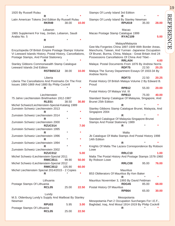| 1920 By Russell Rulau                                                                                                                                       | R                                  |         |           | Stamps Of Lundy Island 3rd Edition                                                                                                                                                                                    | R                            |                | $\star$        |
|-------------------------------------------------------------------------------------------------------------------------------------------------------------|------------------------------------|---------|-----------|-----------------------------------------------------------------------------------------------------------------------------------------------------------------------------------------------------------------------|------------------------------|----------------|----------------|
| Latin American Tokens 2nd Edition By Russell Rulau                                                                                                          | <b>RKR49</b>                       | 38.00   | 10.00     | Stamps Of Lundy Island By Stanley Newman                                                                                                                                                                              | <b>RPU019</b>                | 35.00          | 28.00          |
| 1965 Supplement For Iraq, Jordan, Lebanon, Saudi<br>Arabia No. 5                                                                                            | Lebanon<br>R                       |         |           | Macao Postage Stamp Catalogue 1999                                                                                                                                                                                    | Macao<br><b>RYAC109</b>      |                | 5.00           |
| Encyclopedia Of British Empire Postage Stamps Volume<br>Vi Leeward Islands History, Postal History, Cancellations,<br>Postage Stamps, And Postal Stationery | Leeward<br>R                       |         |           | Gee-Ma Forgeries China 1897-1949 With Border Areas,<br>Manchuria, Taiwan, And Yunnan -Japanese Occupation<br>Of Brunei, Burma, China, Malaya - Great Britain And 24<br>Possessions Cancellations Of China And Tibet - | Malaya/Malaysia<br>RRLA04    |                | 4.00           |
| Stanley Gibbons Commonwealth Stamp Catalogue<br>Leeward Islands 2nd Edition                                                                                 | <b>RSTB65C12</b>                   | 38.00   | 10.00     | Malaya: Postal Documents From 1876 By Andrew Norris<br>Malaya The Survey Department Essays Of 1933-34 By<br><b>Andrew Norris</b>                                                                                      | <b>RDF75</b>                 | 22.50          | 20.25          |
| Liberia The Cancellations And Postmarks On The First<br>Issues 1860-1869 And 1880 By Philip Cockrill                                                        | Liberia<br>R                       |         |           | Postal History Of British Malaya Volume 2 By Edward B.<br>Proud<br>Postal History Of Malaya Vol. III                                                                                                                  | <b>RDF73</b><br><b>RPB12</b> | 22.50<br>55.00 | 20.25<br>20.00 |
| 75 Jahre Liechtenstein Briefmarken 1912-1987                                                                                                                | Liechtenstein<br>RLE <sub>01</sub> | 38.50   | 30.80     | Standard Stamp Catalogue Of Malaysia, Singapore, And<br>Brunei 25th Edition                                                                                                                                           | RPB <sub>13</sub>            | 75.00          | 40.00          |
| Michel Schweiz/Liechtenstein-Spezial-Katalog 1989<br>Zumstein Schweiz Liechtenstein 2013                                                                    | R                                  |         | *         | Stanley Gibbons Stamp Catalogue Brunei, Malaysia, And<br>Singapore 2004                                                                                                                                               | R                            |                |                |
| Zumstein Schweiz Liechtenstein 2014                                                                                                                         | R                                  | $\star$ | *         | Standard Catalogue Of Malaysia-Singapore-Brunei                                                                                                                                                                       | R                            |                |                |
| Zumstein Schweiz Liechtenstein 2000                                                                                                                         | <b>RZUC014</b>                     |         | 7.00      | Stamps And Postal Stationery 1989                                                                                                                                                                                     | R.                           |                |                |
| Zumstein Schweiz Liechtenstein 1995<br>Zumstein Schweiz Liechtenstein 1996                                                                                  | R                                  | $\star$ |           | Jb Catalogue Of Malta Stamps And Postal History 1998                                                                                                                                                                  | Malta                        |                |                |
| Zumstein Schweiz Liechtenstein 1994                                                                                                                         | R                                  | $\star$ | *         | 14th Edition                                                                                                                                                                                                          | R                            |                |                |
| Zumstein Schweiz Liechtenstein 2002                                                                                                                         | R<br><b>RZUC012</b>                |         | *<br>5.00 | Knights Of Malta The Lazara Correspondence By Robson<br>Lowe                                                                                                                                                          | RRLC10                       |                | 1.00           |
| Michel Schweiz-/Liechtenstein-Spezial 2011                                                                                                                  | <b>RMIC3511</b>                    | 99.90   | 50.00     | Malta The Postal History And Postage Stamps 1576-1960<br>By Robson Lowe                                                                                                                                               |                              |                |                |
| Michel Schweiz-/Liechtenstein-Spezial 2012                                                                                                                  | <b>RMIC3512</b>                    | 105.90  | 60.00     |                                                                                                                                                                                                                       | RRLC08                       | 95.00          | 76.00          |
| Michel Liechtenstein Spezial 2014/2015 - 2 Copies                                                                                                           | R                                  |         | *         | B53 Obliterators Of Mauritius By Ken Baker                                                                                                                                                                            | <b>Mauritius</b><br>R        |                | $\star$        |
| Postage Stamps Of Lithuania                                                                                                                                 | Lithuania<br><b>RCL05</b>          | 25.00   | 22.50     | Mauritius Novermber 3, 1993 By David Feldman<br>Postal History Of Mauritius                                                                                                                                           | <b>RDG45</b>                 | 85.00          | 68.00          |
|                                                                                                                                                             | Lundy                              |         |           |                                                                                                                                                                                                                       | RPB64                        | 65.00          | 30.00          |
| M.S. Oldenburg Lundy's Supply And Mailboat By Stanley<br>Newman                                                                                             |                                    |         |           | Mesopotamia Part 2 Occupation Surcharges For I.E.F.,                                                                                                                                                                  | Mesopotania                  |                |                |
| Postage Stamps Of Lithuania                                                                                                                                 | <b>RPU03</b>                       | 5.95    | 3.00      | Baghdad, Iraq, And Mosul 1914-1919 By Philip Cockrill                                                                                                                                                                 | R                            |                |                |
|                                                                                                                                                             | <b>RCL05</b>                       | 25.00   | 22.50     |                                                                                                                                                                                                                       |                              |                |                |

REFERENCE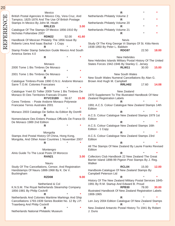| 20        |                                                                                                             |       |                                                                                                           |       |
|-----------|-------------------------------------------------------------------------------------------------------------|-------|-----------------------------------------------------------------------------------------------------------|-------|
|           | Mexico                                                                                                      |       | $\mathsf{R}$                                                                                              |       |
|           | British Postal Agencies In Mexico City, Vera Cruz, And<br>Tampico, 1825-1876 And The Use Of British Postage |       | Netherlands Philately Volume 2<br>R                                                                       |       |
| REFERENCE | Stamps In Mexico By John M. Heath                                                                           |       | Netherlands Philately Volume 20                                                                           |       |
|           | RRLE <sub>15</sub>                                                                                          | 3.00  | R                                                                                                         |       |
|           | Catalogue Of The Stamps Of Mexico 1856-1910 By<br>Nicholas Follansbee 2007                                  |       | Netherlands Philately Volume 21<br>R                                                                      |       |
|           | <b>RDM22</b><br>52.00                                                                                       | 41.60 |                                                                                                           |       |
|           | Handbook Of Mexican Philately The 1856 Issue By<br>Roberto Liera And Isaac Backal - 1 Copy                  |       | <b>Nevis</b><br>Study Of The King George Vi Stamps Of St. Kitts-Nevis                                     |       |
|           |                                                                                                             |       | 1938-1950 By Peter L. Baldwin                                                                             |       |
|           | Stamp Finder Stamp Selection Guide Mexico And South                                                         |       | <b>RDG97</b><br>22.50                                                                                     | 18.00 |
|           | America Series 4.0<br>R                                                                                     |       | <b>New Hebrides</b>                                                                                       |       |
|           |                                                                                                             |       | New Hebrides Islands Military Postal History Of The United                                                |       |
|           | Monaco<br>2000 Tome 1 Bis Timbres De Monaco                                                                 |       | States Forces 1942-1946 By Stanley C. Jersey<br><b>RLW11</b><br>30.00                                     | 15.00 |
|           | R                                                                                                           |       |                                                                                                           |       |
|           | 2001 Tome 1 Bis Timbres De Monaco                                                                           |       | New South Wales                                                                                           |       |
|           | R<br>Catalogue Timbres-Poste 1990 O.N.U. Andorre Monaco                                                     |       | New South Wales Numeral Cancellations By Alan G.<br>Brown And Hugh M. Campbell                            |       |
|           | Sarre T.O.M. Colonies Francaises                                                                            |       | RRLH02<br>17.60                                                                                           | 14.08 |
|           | R<br>Catalogue Yvert Et Tellier 2009 Tome 1 Bis Timbres De                                                  |       | New Zealand                                                                                               |       |
|           | Monaco Et Des Territoires Francais D'outre                                                                  |       | 1970 Supplement To The Illustrated Handbook Of New                                                        |       |
|           | RYVC01B9<br>56.67                                                                                           | 15.00 | Zealand Registration Labels                                                                               |       |
|           | Ceres Timbres - Poste Andorre Monaco Polynesie<br>Francaise Terres Australes 2001                           |       | 1991 A.C.S. Colour Catalogue New Zealand Stamps 14th                                                      |       |
|           | R                                                                                                           |       | Edition                                                                                                   |       |
|           | Monaco 2003 Catalogo De Sellos 4a Edition By Domfil                                                         |       | R<br>A.C.S. Colour Catalogue New Zealand Stamps 1979 1st                                                  |       |
|           | Nomenclature Des Entiers Postaux Officiels De France Et                                                     |       | Edition                                                                                                   |       |
|           | De Monaco 1989 2nd Edition<br>R                                                                             |       | R<br>A.C.S. Colour Catalogue New Zealand Stamps 16th                                                      |       |
|           |                                                                                                             |       | Edition - 1 Copy                                                                                          |       |
|           | Mongolia                                                                                                    |       | R.                                                                                                        |       |
|           | Stamps And Postal History Of China, Hong Kong,<br>Mongolia, And Other Asian Countries 1 November 2007       |       | A.C.S. Colour Catalogue New Zealand Stamps 23rd<br>Edition                                                |       |
|           | R                                                                                                           |       | R                                                                                                         |       |
|           | Montengro                                                                                                   |       | All The Stamps Of New Zealand By Laurie Franks Revised<br>Edition                                         |       |
|           | Alnis Guide To The Local Posts Of Morocco                                                                   |       | R                                                                                                         |       |
|           | <b>RAN21</b>                                                                                                | 3.00  | Collectors Club Handbook 22 New Zealand The Great<br>Barrier Island 1898-99 Pigeon Post Stamps By J. Reg. |       |
|           | Nauru                                                                                                       |       | Walker                                                                                                    |       |
|           | Study Of The Cancellations, Censor, And Registration<br>Handstamps Of Nauru 1888-1968 By K. De V.           |       | RCL04<br>15.00<br>Handbook-Catalogue Of New Zealand Stamps By                                             | 12.00 |
|           | Buckingham                                                                                                  |       | Campbell Peterson Ltd                                                                                     |       |
|           | RZD08                                                                                                       | 9.00  | R                                                                                                         |       |
|           | Netherland & Col                                                                                            |       | History Of The New Zealand Military Postal Services 1845-<br>1991 By R.M. Startup And Edward B. Proud     |       |
|           | K.N.S.M. The Royal Netherlands Steamship Company                                                            |       | <b>RPB30</b><br>78.00                                                                                     | 30.00 |
|           | 1856-1981 By Philip Cockrill<br>R                                                                           |       | Illustrated Handbook Of New Zealand Registration Labels<br>1908-1965                                      |       |
|           | Netherlands And Colonies Maritime Markings And Ship                                                         |       | R                                                                                                         |       |
|           | Cancellations 1793-1939 Series Booklet No. 12 By J.P.<br><b>Traanberg And Philip Cockrill</b>               |       | Len Jury 2004 Edition Catalogue Of New Zealand Stamps<br>R                                                |       |
|           | *<br>R                                                                                                      |       | New Zealand Antarctic Postal History To 1941 By Robert                                                    |       |
|           | Netherlands National Philatelic Museum                                                                      |       | J. Duns                                                                                                   |       |
|           |                                                                                                             |       |                                                                                                           |       |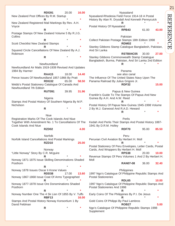**RDG91** 20.00 **16.00** New Zealand Post Offices By R.M. Startup **R** \* **\*** New Zealand Registered Mail Markings By Rev. A.H. Voyce **R** \* **\*** Postage Stamps Of New Zealand Volume 5 By R.J.G. **Collins R** \* **\*** Scott Checklist New Zealand Stamps **R** \* **\*** Squared Circle Cancellations Of New Zealand By A.J. Robinson **R** \* **\*** Newfoundland Newfoundland Air Mails 1919-1939 Revised And Updates 1984 By Harmer **RAA15** 18.00 **14.40** Pence Issues Of Newfoundland 1857-1866 By Pratt **RDG32** 65.00 **58.50** Webb's Postal Stationery Catalogue Of Canada And Newfoundland 7th Edition **RUT091** 39.95 **31.96** Nigeria Stamps And Postal History Of Southern Nigeria By M.P. **Nicholson R** \* **\*** Niue Registration Marks Of The Cook Islands And Niue Together With Amendment No. 1 To Cancellations Of The Cook Islands And Niue **RZD02 4.00** Norfolk Norfolk Island Cancellations And Postal Markings **RZD10 25.00** Norway "Little Norway" Story By C.R. Mcguire **R** \* **\*** Norway 1871-1875 Issue Skilling Denominations Shaded Posthorn **R** \* **\*** Norway 1878 Issues Oscar Ii Krone Values **RDD38** 17.00 **13.60** Norway 1867-1868 Issue Coat Of Arms Typographed **R** \* **\*** Norway 1877-1878 Issue Ore Donominations Shaded Posthorn **R** \* **\*** Norway Number One The 4 Sk Lion Of 1855 By V. Tuffs **RBF13 16.00** Stamps And Postal History Norway Konsortium 1 By David Feldman **R** \* **\*** Nyasaland Nyasaland-Rhodesia Field Force 1914-18 A Postal History By Alan R. Drysdall And Kenneth Pennycuick **R** \* **\*** Postal History Of Nyasaland **RPB43** 61.00 **43.00** Pakistan Collect Pakistan Postage Stamps 18th Edition 1998 **RDM02** \* **\*** Stanley Gibbons Stamp Catalogue Bangladesh, Pakistan, And Sri Lanka **RSTB04C05** 30.00 **27.00** Stanley Gibbons Commonwealth Stamp Catalogue Bangladesh, Burma, Pakistan, And Sri Lanka 2nd Edition **R** \* **\*** Panama see also canal The Influence Of The United States Navy Upon The Panama Railroad By Julius Grigore Jr. **RDF32 15.00** Papua & New Guinea Franklin's Guide To The Stamps Of Papua And New Guinea By A.H. And A.W. Reed **R** \* **\*** Postal History Of Papua New Guinea 1945-1998 Volume 2 By M.J. Garwood And R.A.D. Heward **R** \* **\*** Perlis Kedah And Perlis Their Stamps And Postal History 1887- 1941 By D.R.M. Holley **RDF70** 95.00 **85.50** Peru Peruvian Civil Aviation By Herbert H. Moll **R** \* **\*** Postal Stationery Of Peru Envelopes, Letter Cards, Postal Cards, And Wrappers By Herbert H. Moll **RPS38** 20.00 **10.00** Revenue Stamps Of Peru Volumes 1 And 2 By Herbert H. Moll **RAN07-08** 36.00 **32.40 Philippines** 1997 Ngo's Catalogue Of Philippine Republic Stamps And Postal Stationeries **RDL65 10.00** 1997 Ngo's Catalogue Of Philippine Republic Stamps And Postal Stationeries And 1998 **R** \* **\*** Early Coins Of The Philippines By P.I. De Jesus **R** \* **\*** Gold Coins Of Philippi By Paul Lambros **ROB27 5.00** Ngo's Catalogue Of Philippine Republic Stamps 1998 **Supplement** 

**REFERENCE** REFERENCE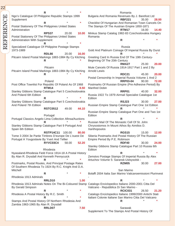| R                                                                                                         | Romania                                                                                |
|-----------------------------------------------------------------------------------------------------------|----------------------------------------------------------------------------------------|
| Ngo's Catalogue Of Philippine Republic Stamps 1999                                                        | Bulgaria And Romania Revenues By J. Barefoot Ltd                                       |
| Supplement<br>$\ast$<br>R                                                                                 | <b>RBF221</b><br>35.00<br>28.00<br>Checklist Of Hungarian And Romanian Town Cancels On |
| Postal Stationery Of The Philippines United States                                                        | The Stamps Of The Austrian Empire 1850-1871                                            |
| Administration                                                                                            | RTM <sub>17</sub><br>16.00<br>14.40                                                    |
| <b>RPS37</b><br>20.00<br>10.00                                                                            | Minkus Stamp Catalog 1982-83 Czechoslovakia Hungary                                    |
| Postal Stationery Of The Philippines United States                                                        | Romania                                                                                |
| Administration With Supplement                                                                            | R                                                                                      |
|                                                                                                           |                                                                                        |
| Specialized Catalogue Of Philippine Postage Stamps<br>1973-1989                                           | Russia<br>Gold And Platinum Coinage Of Imperial Russia By Durst                        |
| RDL66<br>16.00<br>20.00                                                                                   | R                                                                                      |
| Pitcairn Island Postal Markings 1883-1984 By Cy Kitching                                                  | Greeting Card In Russia End Of The 19th Century-                                       |
| R                                                                                                         | Beginning Of The 20th Century                                                          |
|                                                                                                           | 20.00<br>RMA <sub>27</sub><br>25.00                                                    |
| Pitcairn                                                                                                  | Mute Cancels Of Russia 1914-1917 Part 1 and 2 By                                       |
| Pitcairn Island Postal Markings 1883-1984 By Cy Kitching                                                  | <b>Arnold Lewis</b>                                                                    |
| R                                                                                                         | <b>RDC21</b><br>20.00<br>45.00<br>Postal Censorship In Imperial Russia Volume 1 And 2  |
| Poland                                                                                                    | <b>RRP03-04</b><br>72.00<br>90.00                                                      |
| Post Office Townlist For Republic Of Poland As Of 1968                                                    | Postmarks Of Russian Empire (Pre-Adhesive Period) By                                   |
| <b>RTM14</b><br>8.50                                                                                      | <b>Manfred Dobin</b>                                                                   |
| Stanley Gibbons Stamp Catalogue Part 5 Czechoslovakia                                                     | RRP01<br>32.00<br>40.00                                                                |
| And Poland 6th Edition                                                                                    | Russia 1922 To 1979 Airmail Specialist Catalogue 1st                                   |
| R<br>Stanley Gibbons Stamp Catalogue Part 5 Czechoslovakia                                                | Edition<br><b>RSJ23</b><br>27.00<br>30.00                                              |
| And Poland 7th Edition                                                                                    | Russian Empire Stamp Catalogue Part One 1st Edition                                    |
| <b>RSTC0512</b><br>49.00<br>44.10                                                                         | R                                                                                      |
|                                                                                                           |                                                                                        |
|                                                                                                           | Russian Empire Stamp Catalogue Part One and Two 1st                                    |
| Portugal                                                                                                  | Edition                                                                                |
| Portugal Classics Angelo Lima Collection Afinsa/Auctions                                                  | R                                                                                      |
|                                                                                                           | Russian Mail Of The Monastic Cell Of St. John                                          |
| Stanley Gibbons Stamp Catalogue Part 9 Portugal And                                                       | Chrysostomos In Mount Athos By Aimilios D.                                             |
| Spain 6th Edition<br><b>RSTP14C11</b><br>80.00<br>100.00                                                  | Xanthopoulos<br><b>RGS15</b><br>12.00<br>15.00                                         |
| Tome 3 2004 3e Partie Timbres D'europe De L'ouest De                                                      | Siberia Postmarks And Postal History Of The Russian                                    |
| Portugal A Yougoslavie By Yvert And Tellier                                                               | Empire Period By P.E. Robinson                                                         |
| <b>RYVC03C4</b><br>58.00<br>52.20                                                                         | RDF40<br>30.00<br>24.00                                                                |
|                                                                                                           | Stanley Gibbons Stamp Catalogue Part 10 Russia 6th                                     |
| Rhodesia                                                                                                  | Edition<br>R                                                                           |
| Nyasaland-Rhodesia Field Force 1914-18 A Postal History<br>By Alan R. Drysdall And Kenneth Pennycuick     | Zemstvo Postage Stamps Of Imperial Russia By Alex                                      |
|                                                                                                           | Artuchov Volume 5: Saransk-Ustsysolsk -                                                |
| Postmarks, Postal Routes, And Principal Postage Rates                                                     | <b>RZM05</b><br>27.00<br>30.00                                                         |
| Of Southern Rhodesia To 1924 By R.C. Knight And D.A.                                                      |                                                                                        |
| Mitchell                                                                                                  | San Marino                                                                             |
| R                                                                                                         | Bolaffi 2004 Italia San Marino Vaticanoemissioni Plurinvest                            |
| Rhodesia 1913 Admirals<br>1.00<br>RRLD <sub>10</sub>                                                      | R                                                                                      |
| Rhodesia 1913 Admirals Notes On The Bi-Coloured Stamp Catalogo Enciclopedico Italiano 2000-2001 Citta Del |                                                                                        |
| By Gerald Simpson                                                                                         | Vaticano - Repubblica Di San Marino -                                                  |
| R                                                                                                         | <b>RCIC031</b><br>26.50<br>21.20                                                       |
| Rhodesia A Postal History By R.C. Smith                                                                   | Catalogo Enciclopedico Italiano 1999/2000 Antichi Stati                                |
|                                                                                                           | Italiani Colonie Italiane San Marino Citta Del Vaticano<br>R                           |
| Stamps And Postal History Of Northern Rhodesia And<br>Zambia 1963-1965 By Alan R. Drysdall                |                                                                                        |
| 7.50<br>RRLD07                                                                                            | Sarawak<br>Supplement To The Stamps And Postal History Of                              |

REFERENCE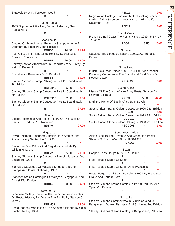Sarawak By W.R. Forrester-Wood **R** \* **\*** Saudi Arabia 1965 Supplement For Iraq, Jordan, Lebanon, Saudi Arabia No. 5 - **R** \* **\*** Scandinavia Catalog Of Scandinavian Revenue Stamps Volume 2 Denmark By Peter Poulsen Roskilde **RDD53** 14.00 **11.20** Post Offices In Finland 1638-1985 By Scandinavian Philatelic Foundation **RDD51** 20.00 **16.00** Railway Station Architecture In Scandinavia: A Survey By Keith L. Bryant Jr. **R** \* **\*** Scandinavia Revenues By J. Barefoot **RBF14 10.00** Stanley Gibbons Stamp Catalogue Part 11 Scandinavia 7th Edition **RSTC113** 65.00 **52.00** Stanley Gibbons Stamp Catalogue Part 11 Scandinavia 6th Edition **RSTC118** 52.00 **8.00** Stanley Gibbons Stamp Catalogue Part 11 Scandinavia 5th Edition - **R 27.50** Siberia Siberia Postmarks And Postal History Of The Russian Empire Period By P.E. Robinson **RDF40 27.00** Singapore David Feldman, Singapore Auction Rare Stamps And Postal History September 7, 1995 **R** \* **\*** Singapore Post Offices And Registration Labels By William H. Lyons **RDF72** 25.00 **20.00** Stanley Gibbons Stamp Catalogue Brunei, Malaysia, And Singapore 2004 **R** \* **\*** Standard Catalogue Of Malaysia-Singapore-Brunei Stamps And Postal Stationery 1989 **R** \* **\*** Standard Stamp Catalogue Of Malaysia, Singapore, And Brunei 25th Edition **RDD60** 38.50 **30.80** Solomon Isl Japanese Military Forces In The Solomon Islands Notes On Postal History, The War In The Pacific By Stanley C. Jersey **RRLH08 13.50** Postal Agency Markings Of The Solomon Islands By Colin Hinchcliffe July 1986 **RZD11 9.00** Registration Postage Paid And Meter Franking Machine Marks Of The Solomon Islands By Colin Hinchcliffe November 1986 **RZD12 6.00** Somali Coast French Somali Coast The Postal History 1939-45 By A.R. **Torrance RDG11** 16.50 **10.00** Somalia Catalogo Enciclopedico Italiano 1999/2000 Somalia Eritrea **R** \* **\* Somaliland** Indian Field Post Offices 1903-1904 The Aden-Yemini Boundary Commission The Somaliland Field Force By Robson Lowe **RRLG09 3.00** South Africa History Of The South African Army Postal Service By Edward B. Proud - **RPB32** 53.00 **42.40** Maritime Marks Of South Africa By R.D. Allen **R** \* **\*** South African Stamp Colour Catalogue 2000 24th Edition **RSOC00 8.00** South African Stamp Colour Catalogue 1999 23rd Edition **RSOC010** \* **5.00** South African Stamp Colour Catalogue 1998 22nd Edition **RSOC098** \* **3.00** South West Africa Alnis Guide 10 The Revenue And Other Non-Postal Stamps Of South West Africa 1900-1978 **RRBA061 10.00 Spain** Copper Coins Of Spain By O.P. Eklund **R** \* **\*** First Postage Stamp Of Spain **R** \* **\*** First Postage Stamp Of Spain Afinsa/Auctions **R** \* **\*** Postal Forgeries Of Spain Barcelona 1997 By Francisco Graus And Enrique Soro **R** \* **\*** Stanley Gibbons Stamp Catalogue Part 9 Portugal And Spain 6th Edition **R** \* **\*** Sri Lanka Stanley Gibbons Commonwealth Stamp Catalogue Bangladesh, Burma, Pakistan, And Sri Lanka 2nd Edition **R** \* **\*** Stanley Gibbons Stamp Catalogue Bangladesh, Pakistan,

**REFERENCE** REFERENCE

23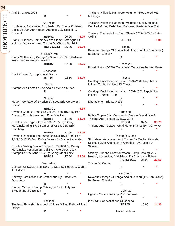| 24        |                                                                        |                   |         |         |                                                                   |                       |         |       |
|-----------|------------------------------------------------------------------------|-------------------|---------|---------|-------------------------------------------------------------------|-----------------------|---------|-------|
|           |                                                                        |                   |         |         |                                                                   |                       |         |       |
|           | And Sri Lanka 2004                                                     | R                 |         |         | Thailand Philatelic Handbook Volume 4 Registered Mail<br>Markings |                       |         |       |
| REFERENCE |                                                                        |                   |         |         |                                                                   | $\mathsf{R}$          |         |       |
|           |                                                                        | St Helena         |         |         | Thailand Philatelic Handbook Volume 5 Mail Markings:              |                       |         |       |
|           | St. Helena, Ascension, And Tristan Da Cunha Philatelic                 |                   |         |         | Certified Money Order Non Delivered Postage Due Cod               |                       |         |       |
|           | Society's 20th Anniversary Anthology By Russell V.                     |                   |         |         |                                                                   | R                     |         |       |
|           | Skavaril                                                               |                   |         |         | Thailand The Waterlow Proof Sheets 1917-1960 By Peter             |                       |         |       |
|           |                                                                        | <b>RDM01</b>      | 60.00   | 48.00   | Collins                                                           |                       |         |       |
|           | Stanley Gibbons Commonwealth Stamp Catalogue St.                       |                   |         |         |                                                                   | RRLT01                |         | 1.00  |
|           | Helena, Ascension, And Tristan Da Chuna 4th Edition                    |                   |         |         |                                                                   |                       |         |       |
|           |                                                                        | <b>RSTS02C12</b>  | 25.00   | 20.00   |                                                                   | Tonga                 |         |       |
|           |                                                                        |                   |         |         | Revenue Stamps Of Tonga And Niuafo'ou (Tin Can Island)            |                       |         |       |
|           |                                                                        | St Kitts/Nevis    |         |         | By Steven Zirinsky                                                |                       |         |       |
|           | Study Of The King George Vi Stamps Of St. Kitts-Nevis                  |                   |         |         |                                                                   | R                     |         |       |
|           | 1938-1950 By Peter L. Baldwin                                          |                   |         |         |                                                                   |                       |         |       |
|           |                                                                        | <b>RDG97</b>      | 37.50   | 33.75   |                                                                   | Transkei              |         |       |
|           |                                                                        |                   |         |         | Postal History Of The Transkeian Territories By Ken Baker         |                       |         |       |
|           |                                                                        | <b>St Vincent</b> |         |         |                                                                   | R                     |         |       |
|           | Saint Vincent By Napier And Bacon                                      | RTP36             | 22.50   | 18.00   |                                                                   | <b>Trieste</b>        |         |       |
|           |                                                                        |                   |         |         | Catalogo Enciclopedico Italiano 1999/2000 Repubblica              |                       |         |       |
|           |                                                                        | Sudan             |         |         | Italiana Territorio Libero Di Trieste                             |                       |         |       |
|           | Stamps And Posts Of The Anglo-Egyptian Sudan                           |                   |         |         |                                                                   | R                     |         |       |
|           |                                                                        | R                 |         |         | Catalogo Enciclopedico Italiano 2001-2002 Repubblica              |                       |         |       |
|           |                                                                        |                   |         |         | Italiana - Trieste A E B                                          |                       |         |       |
|           |                                                                        | Sweden            |         |         |                                                                   | R                     |         |       |
|           | Modern Coinage Of Sweden By Scott Eric Cordry 1st                      |                   |         |         | Liberazione - Trieste A E B                                       |                       |         |       |
|           | Edition                                                                |                   |         |         |                                                                   | R                     |         |       |
|           |                                                                        | RSEC01            |         | 5.99    |                                                                   |                       |         |       |
|           | Sweden Coat Of Arms Ore Values 1858-1872 By Per                        |                   |         |         |                                                                   | Trinidad              |         |       |
|           | Sjoman, Erik Helmers, And Einer Wockatz                                | RDD64             | 17.50   |         | British Empire Civil Censorship Devices World War 2               |                       |         |       |
|           | Sweden Lion Type Stamps 1862-1872 By Georg                             |                   |         | 14.00   | Trinidad And Tobago By R.G. Wike                                  | <b>RDG06</b>          | 37.50   | 33.75 |
|           | Menzinsky Ring Type Stamps 1872-1892 By Erik                           |                   |         |         | Trinidad And Tobago Postal Meter Stamps By R.G. Wike              |                       |         |       |
|           | Blomberg                                                               |                   |         |         |                                                                   | R                     |         |       |
|           |                                                                        | <b>RDD65</b>      | 17.50   | 14.00   |                                                                   |                       |         |       |
|           | Sweden Replating The Large Officials 1874-1893 Part                    |                   |         |         |                                                                   | Tristan D Cunha       |         |       |
|           | 1,2,3,4,5,12,20,And 30 Ore Values By Martin Fishenden                  |                   |         |         | St. Helena, Ascension, And Tristan Da Cunha Philatelic            |                       |         |       |
|           |                                                                        | R                 |         |         | Society's 20th Anniversary Anthology By Russell V.                |                       |         |       |
|           | Sweden Skilling Banco Stamps 1855-1858 By Georg                        |                   |         |         | Skavaril                                                          |                       |         |       |
|           | Menzinsky, Per Sjoman And Sven Akerstedt Local                         |                   |         |         |                                                                   | $\mathsf{R}$          |         |       |
|           | Stamps Of 1856 And 1862 By Georg Menzinsky                             |                   |         |         | Stanley Gibbons Commonwealth Stamp Catalogue St.                  |                       |         |       |
|           |                                                                        | RDD37             | 17.50   | 14.00   | Helena, Ascension, And Tristan Da Chuna 4th Edition               |                       |         |       |
|           |                                                                        |                   |         |         |                                                                   | <b>RSTS02C12</b>      | 25.00   | 22.50 |
|           |                                                                        | Switzerland       |         |         | Tristan Da Cunha                                                  |                       |         |       |
|           | Coinage Of Switzerland 1850 To Date By Robert L. Clarke<br>1st Edition |                   |         |         |                                                                   | $\mathsf{R}$          |         |       |
|           |                                                                        | $\mathsf{R}$      |         |         |                                                                   | Tin Can Isl           |         |       |
|           | Railway Post Offices Of Switzerland By Anthony M.                      |                   |         |         | Revenue Stamps Of Tonga And Niuafo'ou (Tin Can Island)            |                       |         |       |
|           | Goodbody                                                               |                   |         |         | By Steven Zirinsky                                                |                       |         |       |
|           |                                                                        | $\mathsf{R}$      |         |         |                                                                   | R                     |         |       |
|           | Stanley Gibbons Stamp Catalogue Part 8 Italy And                       |                   |         |         |                                                                   |                       |         |       |
|           | Switzerland 3rd Edition                                                |                   |         |         |                                                                   | Uganda                |         |       |
|           |                                                                        |                   |         |         |                                                                   |                       |         |       |
|           |                                                                        | R                 |         |         | Uganda Missionaries By Robson Lowe                                |                       |         |       |
|           |                                                                        |                   |         |         |                                                                   | R                     | $\star$ |       |
|           |                                                                        | Thailand          |         |         | Identifying Cancellations Of Uganda                               |                       |         |       |
|           | Thailand Philatelic Handbook Volume 3 Thai Railroad Post               |                   |         |         |                                                                   | <b>RBR05</b>          | 15.95   | 14.36 |
|           | Offices                                                                | $\mathsf{R}$      | $\star$ | $\star$ |                                                                   | <b>United Nations</b> |         |       |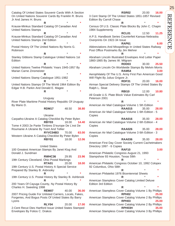| Catalog Of United States Souvenir Cards With A Section        |                   |         |                                                         | <b>RSR02</b>      | 20.00 | 16.00   |
|---------------------------------------------------------------|-------------------|---------|---------------------------------------------------------|-------------------|-------|---------|
| On United Nations Souvenir Cards By Franklin R. Bruns         |                   |         | 3 Cent Stamp Of The United States 1851-1857 Revised     |                   |       |         |
| Jr And James H. Bruns                                         |                   |         | Edition By Carroll Chase                                |                   |       |         |
| R                                                             |                   |         |                                                         | R                 |       |         |
| Krause-Minkus Standard Catalog Of Canadian And                |                   |         | Census Of U.S. Classic Plate Blocks By John C. Chapin   |                   |       |         |
| <b>United Nations Stamps</b>                                  |                   |         | 1984 Supplementy                                        |                   |       |         |
| R.                                                            |                   |         |                                                         | RCL01             | 12.50 | 11.25   |
| Krause-Minkus Standard Catalog Of Canadian And                |                   |         | A.P.S. Handbook Series Counterfeit Kansas-Nebraska      |                   |       |         |
| United Nations Stamps 2nd Edition                             |                   |         | Overprints On 1922-34 Issue                             |                   |       |         |
| R.                                                            |                   |         |                                                         | <b>RAP61</b>      |       | 6.00    |
| Postal History Of The United Nations By Norris G.<br>Robinson |                   |         | Abbreviations And Misspellings In United States Railway |                   |       |         |
| R                                                             |                   |         | Post Office Postmarks By Jim Mehrer                     |                   |       |         |
|                                                               |                   |         |                                                         | R                 |       |         |
| Stanley Gibbons Stamp Catalogue United Nations 1st<br>Edition |                   |         | Abraham Lincoln Illustrated Envelopes And Letter Paper  |                   |       |         |
| R                                                             |                   |         | 1860-1865 By James W. Milgram                           | RDD03             | 30.00 | 25.50   |
| United Nations Twelve Philatelic Years 1945-1957 By           |                   |         |                                                         |                   |       |         |
| Marian Carne Zinsmeister                                      |                   |         | Abraham Lincoln On Worldwide Stamps By Melvin Morris    | <b>RAM54</b>      |       | 3.00    |
| R.                                                            |                   |         | Aerophilately Of The U.S. Army First Pan American Good  |                   |       |         |
|                                                               |                   |         | Will Flight By Julius Grigore Jr.                       |                   |       |         |
| United Nations Stamp Catalogue 1951-1982<br>R.                |                   |         |                                                         | <b>RDF31</b>      | 20.00 | 16.00   |
| United Nations Stamps Of The World 1964 Edition By            |                   |         | Airman Special Delivery Stamps Of The United States By  |                   |       |         |
| Edgar H.B. Parkin And Donald E. Magee                         |                   |         | Ralph L. Sloat                                          |                   |       |         |
| R.                                                            |                   |         |                                                         | <b>RBI10</b>      | 12.00 | 10.80   |
|                                                               |                   |         | All Grade U.S. Plate Block Value Estimates By Carl      |                   |       |         |
| Uruguay                                                       |                   |         | Peterson 2001                                           |                   |       |         |
| River Plate Maritime Postal History Republic Of Uruguay       |                   |         |                                                         | R                 |       |         |
| By Mario D.                                                   |                   |         | American Air Mail Catalogue Volume 1 5th Edition        |                   |       |         |
| <b>RDM17</b>                                                  | 48.50             | 38.80   |                                                         | <b>RAA015</b>     | 35.00 | 28.00   |
|                                                               |                   |         | American Air Mail Catalogue Volume 1 6th Edition - 5    |                   |       |         |
| Ukraine                                                       |                   |         | Copies                                                  |                   |       |         |
| Carpatho-Ukraine A Catalog Checklist By Peter Bylen           |                   |         |                                                         | <b>RAA016</b>     | 35.00 | 28.00   |
| <b>RBY03</b>                                                  | 18.00             | 14.40   | American Air Mail Catalogue Volume 2 6th Edition - 4    |                   |       |         |
| Tome 4 2003 2e Partie Timbres D'europe De L'est De            |                   |         | Copies                                                  |                   |       |         |
| Roumanie A Ukraine By Yvert And Tellier                       |                   |         |                                                         | <b>RAA026</b>     | 35.00 | 28.00   |
|                                                               | RYVC04B3<br>70.00 | 63.00   | American Air Mail Catalogue Volume 3 6th Edition - 3    |                   |       |         |
| Western Ukraine A Catalog Checklist By Peter Bylen            |                   |         | Copies                                                  |                   |       |         |
|                                                               | RBY01 18.00 12.06 |         |                                                         | <b>RAA036</b>     | 35.00 | 28.00   |
|                                                               |                   |         | American First Day Cover Society Current Cachetmakers   |                   |       |         |
| <b>United States</b>                                          |                   |         | Directory 1997 - 6 Copies                               |                   |       |         |
| 100 Greatest American Stamps By Janet Klug And                |                   |         |                                                         | <b>RAF10</b>      |       | 3.00    |
| Donald J. Sundman                                             |                   |         | American Philatelic Congress August 21, 1993            |                   |       |         |
| RWHC36                                                        | 29.95             | 23.96   | Stampshow 93 Houston, Texas 59th                        |                   |       |         |
| 19th Century Cleveland, Ohio Postal Markings                  |                   |         |                                                         | R                 |       |         |
| <b>RTA01</b>                                                  | 20.00             | 18.00   | American Philatelic Congress October 10, 1992 Colopex   |                   |       |         |
| 19th Century U.S. Postal History A Special Service            |                   |         | 92 Columbus, Ohio 58th                                  |                   |       |         |
| Prepared By Stanley B. Asbrooky                               |                   |         |                                                         | R                 |       | *       |
| R.                                                            |                   | $\star$ | American Philatelist 1976 Bicentennial Sheets           |                   |       |         |
| 19th Century U.S. Postal History By Stanley B. Ashbrook       |                   |         |                                                         | R                 |       | $\star$ |
| R.                                                            |                   |         | American Stampless Cover Catalog Limited Deluxe         |                   |       |         |
| 200 Years Of Cayuga County, Ny Postal History By              |                   |         | <b>Edition 3rd Edition</b>                              |                   |       |         |
| Charles H. Sweeting 1998                                      |                   |         |                                                         | R                 |       |         |
| REM07                                                         | 40.00             | 36.00   | American Stampless Cover Catalog Volume 1 By Phillips   |                   |       |         |
| 2007 Pricing Guide For Unlisted Carriers, Locals, Fakes,      |                   |         |                                                         | RPH <sub>02</sub> |       | 25.00   |
| Forgeries, And Bogus Posts Of United States By Barry          |                   |         | American Stampless Cover Catalog Volume 2 By Phillips   |                   |       |         |
| Lyons                                                         |                   |         |                                                         | RPH <sub>03</sub> |       | 25.00   |
| <b>RLY04</b>                                                  | 20.00             | 17.00   | American Stampless Cover Catalog Volume 2 By Phillips   |                   |       |         |
| 2-Cent Recut Dies Hartford Issue United States Stamped        |                   |         |                                                         | RPH03H            |       | 35.00   |
| Envelopes By Fotios C. Drakos                                 |                   |         | American Stampless Cover Catalog Volume 3 By Phillips   |                   |       |         |

**RSR02** 20.00 **16.00**

**REFERENCE** REFERENCE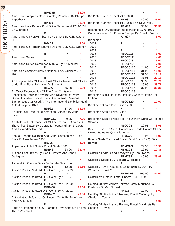| 26        |                                                                          |                                                          |                                    |                |                |
|-----------|--------------------------------------------------------------------------|----------------------------------------------------------|------------------------------------|----------------|----------------|
|           | RPH09H<br>35.00                                                          |                                                          | $\mathsf{R}$                       |                |                |
| REFERENCE | American Stampless Cover Catalog Volume 3 By Phillips                    | Bia Plate Number Checklist 1-20000                       |                                    |                |                |
|           | Paperback                                                                |                                                          | <b>RBI08</b>                       | 40.00          | 36.00          |
|           | RPH <sub>09</sub><br>25.00                                               | Bia Plate Number Checklist 20000 To 41303 Part 2         |                                    |                |                |
|           | American State Papers Post Office Department 1789-1833<br>By Wierenga    | Bicentennial Of American Independence 1776-1976          | <b>RBI08A</b>                      | 35.00          | 31.50          |
|           | R                                                                        | Commemorated On Foreign Stamps By Donald Brenke          |                                    |                |                |
|           | Americana On Foreign Stamps Volume 1 By C.E. Wagner                      |                                                          | <b>RAM07</b>                       |                | 6.00           |
|           | Jr                                                                       | Brookman                                                 |                                    |                |                |
|           | <b>RVA24</b><br>8.00                                                     | 2002                                                     | $\mathsf{R}$                       |                |                |
|           | Americana On Foreign Stamps Volume 2 By C.E. Wagner                      | 2003                                                     | $\mathsf{R}$                       |                |                |
|           | Jr                                                                       | 2004                                                     | R                                  |                |                |
|           | $\mathsf{R}$                                                             | 2006                                                     | <b>RBOC016</b>                     |                | 3.00           |
|           | Americana Series                                                         | 2007                                                     | <b>RBOC017</b>                     |                | 4.00           |
|           | R                                                                        | 2008                                                     | <b>RBOC018</b>                     |                | 5.00           |
|           | Americana Series Reference Manual By Art Maniker                         | 2009                                                     | <b>RBOC019</b>                     |                | 7.00           |
|           | R<br>America's Commemorative National Park Quarters 2010-                | 2010<br>2012                                             | <b>RBOC0110</b><br><b>RBOC0112</b> | 24.95<br>31.95 | 10.00<br>15.00 |
|           | 2021                                                                     | 2013                                                     | <b>RBOC0113</b>                    | 31.95          | 19.17          |
|           | R                                                                        | 2014                                                     | <b>RBOC0114</b>                    | 33.95          | 27.16          |
|           | An Encyclopedia Of Texas Post Offices Texas Post Offices                 | 2015                                                     | <b>RBOC0115</b>                    | 35.95          | 28.76          |
|           | Under Five Flags By Walter G. Schmidt                                    | 2016                                                     | <b>RBOC0116</b>                    | 35.95          | 28.76          |
|           | <b>RLW27</b><br>45.00<br>36.00                                           | 2017                                                     | <b>RBOC0117</b>                    | 37.95          | 30.36          |
|           | An Exact Reproduction Of The Book Containing                             | 2018                                                     | <b>RBOC0118</b>                    |                |                |
|           | Specimens Showing Obverse And Reverse Of Every                           | Brookman Black Heritage First Day Cover Catalog 1st      |                                    |                |                |
|           | Official Invitation, Ticket, Pass, And Internal Revenue                  | Edition                                                  |                                    |                |                |
|           | Stamp Issued Or Used At The International Exhibition Held                |                                                          | <b>RBOC129</b>                     |                | 10.00          |
|           | At Philadelphia 1876<br><b>RDF22</b><br>17.50<br>15.75                   | Brookman Stamp Price Guide 2003                          | R                                  |                |                |
|           | An Historical Account Of American Coinage By John H.                     | Brookman Stamp Price Guide                               |                                    |                |                |
|           | Hickcox                                                                  |                                                          |                                    |                |                |
|           | <b>RBMC21</b><br>9.95<br>7.96                                            | Brookman Stamp Prices For The Disney World Of Postage    |                                    |                |                |
|           | An Historical Reference List Of The Revenue Stamps Of                    | <b>Stamps</b>                                            |                                    |                |                |
|           | The United States By George L. Toppan Hiram E. Deats                     |                                                          | RBOC04                             | 19.95          | 8.95           |
|           | And Alexandfer Holland                                                   | Buyer's Guide To Silver Dollars And Trade Dollars Of The |                                    |                |                |
|           | R                                                                        | United States By Q. David Bowers                         |                                    |                |                |
|           | Annual Reports Railroad And Canal Companies Of The                       | Buyers Guide To United States Gold Coins By Q. David     | RBMC70                             | 19.95          | 15.96          |
|           | State Of New Jersey 1854<br><b>RNJ06</b><br>4.00                         | <b>Bowers</b>                                            |                                    |                |                |
|           | Appleton's United States Postal Guide 1863                               |                                                          | RBMC28H                            | 29.95          | 15.96          |
|           | RDH46<br>22.40<br>28.00                                                  |                                                          | RBMC28                             | 12.95          | 10.36          |
|           | Arizona Post Offices By Alan H. Patera And John S.                       | California Coiners And Assayers By Dan Owens             |                                    |                |                |
|           | Gallagher                                                                |                                                          | RBMC31                             | 49.95          | 39.96          |
|           | $\star$<br>R                                                             | California Doanes By Richard W. Helbock                  |                                    |                |                |
|           | Ashland An Oregon Oasis By Janelle Davidson                              |                                                          | R                                  |                | $\star$        |
|           | RPN <sub>15</sub><br>12.95<br>11.66                                      | California Town Postmarks 1849-1935 By John H.           |                                    |                |                |
|           | Auction Prices Realized U.S. Coins By KP 1993<br>$\star$                 | Williams Volume 2                                        |                                    |                |                |
|           | R<br>Auction Prices Realized U.S. Coins By KP 1997                       | California's Pictorial Letter Sheets 1849-1869           | <b>RHT07-08</b>                    | 105.00         | 84.00          |
|           | $\star$<br>R                                                             |                                                          | R                                  |                |                |
|           | Auction Prices Realized U.S. Coins By KP 2000                            | Catalog Of New Jersey Railway Postal Markings By         |                                    |                |                |
|           | <b>RKR480</b><br>10.00                                                   | Frederick D. Mac Donald                                  |                                    |                |                |
|           | Auction Prices Realized U.S. Coins By KP 2002                            |                                                          | <b>RNJ13</b>                       | 10.00          | 8.00           |
|           | <b>RKR482</b><br>20.00                                                   | Catalog Of New Mexico Railway Postal Markings By         |                                    |                |                |
|           | Authoritative Reference On Lincoln Cents By John Wexler Charles L. Towle |                                                          |                                    |                |                |
|           | And Kevin Flynn                                                          |                                                          | <b>RLP13</b>                       |                | 4.00           |
|           | R                                                                        | Catalog Of New Mexico Railway Postal Markingts By        |                                    |                |                |
|           | Bartels Catalogue Of U.S. Stamped Envelopes 5th Edition Charles L. Towle |                                                          | R                                  |                | $\ast$         |
|           | Thorp Volume 1                                                           |                                                          |                                    |                |                |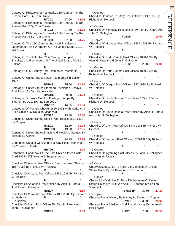Catalog Of Philadelphia Postmarks 18th Century To The Present Part 1 By Tom Clarke **RTC01** 27.50 **24.75** Catalog Of Philadelphia Postmarks 18th Century To The Present Part 2 By Tom Clarke **RTC02** 27.50 **24.75** Catalog Of Philadelphia Postmarks 18th Century To The Present Part 3 By Tom Clarke **RTC03** 27.50 **24.75** Catalog Of The 19th Century Stamped Envelopes, Lettersheets, And Wrappers Of The United States 2012 3rd Edition **R** \* **\*** Catalog Of The 20th And 21st Century Stamped Envelopes And Wrappers Of The United States 2011 3rd **Edition R** \* **\*** Catalog Of U.S. County And Postmaster Postmarks **R** \* **\*** Catalog Of United States Naval Postmarks 5th Edition 1997 **RDH42** 35.00 **31.50** Catalog Of United States Stamped Envelopes, Essays, And Proofs By Dan Undersander **RPS191H** 30.00 **24.00** Catalogue Of Errors On U.S. Postage Stamps By Stephen R. Datz 10th Edition 2001 **RDZ011** 14.95 **11.96** Catalogue Of Nevada Checks 1860-1933 With Rarity And Price Guides By Douglas Mcdonald **RCS20** 19.50 **15.60** Census Of United States Clasic Plate Blocks 1851-1882 By Chapin **RCL01** 12.50 **11.25 RCL01H** 19.50 **17.55** Census Of United States Match And Medicine Stamps By Michael E. Aldrich **RCS11** 24.95 **19.96** Centennial Catalog Of Arizona Railway Postal Markings By Charles L. Towle **RBT06 8.00** Centennial Handbook Of The First United States Postal Card 1873-1973 Volume 1 Supplement 1 **R** \* **\*** Checklist Of Alaska Post Offices, Branches, And Stations 1867-1988 By Richard W. Helbock **R** \* **\*** Checklist Of Arizona Post Offices 1856-1988 By Richard W. Helbock **R** \* **\*** Checklist Of Arkansas Post Offices By Alan H. Patera And John S. Gallagher **RDE07 6.50** Checklist Of Colorado Post Offices 1858-1988 By Richard W. Helbock **R**  - 2 Copies Checklist Of Idaho Post Offices By Alan H. Patera And John S. Gallagher - 4 Copies

Checklist Of Indian Territory Post Offices 1824-1907 By Richard W. Helbock **R** \* **\*** - 3 Copies Checklist Of Kentucky Post Offices By Alan H. Patera And John S. Gallagher **RDE09 10.00** - 5 Copies Checklist Of Montana Post Offices 1864-1988 By Richard W. Helbock **R** \* **\*** - 1 Copy Checklist Of North Dakota Post Offices 1850-1982 By Alan H. Patera And John S. Gallagher **RDE12** 20.00 **16.00** - 4 Copies Checklist Of North Dakota Post Offices 1850-1994 By Richard W. Helbock **R** \* **\*** - 1 Copy Checklist Of Oregon Post Offices 1847-1988 By Richard W. Helbock **R** \* **\*** - 2 Copies Checklist Of South Dakota Post Offices 1850-1994 By Richard W. Helbock **R** \* **\*** - 2 Copies Checklist Of South Dakota Post Offices By Alan H. Patera And John S. Gallagher **R** \* **\*** - 1 Copy Checklist Of Utah Post Offices 1849-1988 By Richard W. **Helbock R** \* **\*** - 2 Copies Checklist Of Vermont Post Offices 1783-1995 By Richard W. Helbock **R** \* **\*** - 5 Copies Checklist Of Wyoming Post Offices By John S. Gallagher And Alan H. Patera **R** \* **\*** - 1 Copy Cherrypickers Guide To Rare Die Varieties Of United States Coins By Bill Bivaz And J.T. Stanton **R** \* **\*** - 5 Copies Cherrypicker's Guide To Rare Die Varieties Of United States Coins By Bill Fivaz And J.T. Stanton 5th Edition Volume 1 **RBMC65H** 39.95 **27.16** - 5 Copies Chicago Postal History By Harvey M. Karlen - 2 Copies **RLW02** 35.00 **28.00**

Chicago Postal Markings And Postal History By Leonard Piszkiewicz **RLP25** 75.00 **37.50** 27

REFERENCE

 $\overline{\Xi}$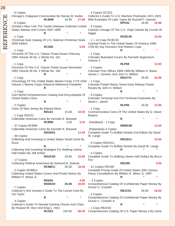Chicago's Crabgrass Communities By Harvey M. Karlen **RLW09** 34.95 **27.96** - 6 Copies Christie's New York The Tyohei Ishikawa Collection United - 5 Copies States Stamps And Covers 1847-1869 **R** \* **\*** - 1 Copy Christmas Seal Catalog Of U.S. National Christmas Seals 2006 Edition **RCS50 5.00** - 1 Copy Chronicle Of The U.S. Classic Postal Issues February 1994 Volume 46 No. 1 Whole No. 161 **R** \* **\*** - 1 Copy Chronicle Of The U.S. Classic Postal Issues November 1993 Volume 45 No. 4 Whole No. 160 **R** \* **\*** - 1 Copy Chronology Of The United States Marine Corps 1775-1934 - 1 Copy Volume 1 Marine Corps Historical Reference Pamphlet **R** \* **\*** - 1 Copy Coin World Comprehensive Catalog And Encyclopedia Of United States Coins **R** \* **\*** - 2 Copies Coins Of New Jersey By Edward Maris **RDU21** 15.00 **10.50** - 1 Copy RDU21 Collectible American Coins By Kenneth E. Bressett **RCB99** 4.00 **3.20** - 37 Copies RCB99 Collectible American Coins By Kenneth E. Bressett **RDUD01 12.50** - 49 Copies Collecting And Investing In United States Small Cents By **Durst R** \* **\*** Collecting And Investing Strategies For Walking Liberty Half Dollars By Jeff Ambio **RDUC50** 29.95 **23.96** - 17 Copies Collecting Political Americana By Edmund B. Sullivan **RCBB11** 20.00 **16.00** - 2 Copies RCBB11 Collecting United States Covers And Postal History By William R. Weiss Jr. **RDD01 4.00 RDD01H 25.00 20.00** - 7 Copies Collector's And Investor's Guide To The Lincoln Cent By Sol Taylor **R** \* **\*** - 3 Copies Collector's Guide To Nevada Gaming Checks And Chips By Howard W. Herz And Kreg L. Herz **RCS23** 100.50 **80.40**

 - 4 Copies RCS23 Collector's Guide To U.S. Machine Postmarks 1871-1925 With Examples Of Later Types By Russell F. Hanmer **RPH31** 19.95 **16.96** Colonial Coinage Of The U.S. Virgin Islands By Lincoln W. Higgie **RCBC30 10.00** - 1 + 14 Copy RCBC30 Colonial Posts In The United States Of America 1606- 1783 By Kay Horowicz And Robson Lowe **R** \* **\*** - 1 Copy Colorado Illustrated Covers By Kenneth Segerstrom Volume 3 **RLP08 12.00** - 3 Copies Colorado Post Offices 1859-1989 By William H. Bauer, James L. Ozment, And John H. Willard **RDD774** 29.95 **26.96** Colorado Postal History Some Early Railway Postal Routes By John H. Willard **R** \* **\*** - 9 Copies Colorado Territorial And Pre-Territorial Postmarks By David L. Jarrett **RLP05** 16.00 **12.80** - 1 Copy Commemorative Coins Of The United States By Q. David **Bowers R** \* **\*** (Hardback) - 1 Copy **RBMC80 12.00** (Paperback) 4 Copies Complete Guide To Buffalo Nickels 2nd Edition By David W. Lange **RDUD11 10.00** - 6 Copies RDUD11 Complete Guide To Buffalo Nickels By David W. Lange **R** \* **\*** - 4 Copies Complete Guide To Walking Liberty Half Dollars By Bruce Fox **RDU99 5.00** - 11 Copies RDU99 Complete Pricing Guide Of United States 20th Century Fancy Cancellations By William R. Weiss Jr. 1987 **R** \* **\*** - 3 Copies Comprehensive Catalog Of Confederate Paper Money By Grover C. Criswell **RBJC01** 35.00 **28.00** - 2 Copies Comprehensive Catalog Of Confederate Paper Money By Grover C. Criswell Jr. **R** \* **\*** - 1 Copy RBJC01

Comprehensive Catalog Of U.S. Paper Money 4 By Gene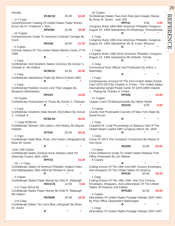**Hessler RCBC32** 20.00 **16.00** - 1+7 Copy Comprehensive Catalog Of United States Paper Money Errors By Dr. Frederick J. Bart **RPK062** 24.99 **19.99** - 10 Copies Comprehensive Guide To American Colonial Coinage By **Durst RDU06** 30.00 **21.00** - 4 Copies Concise History Of The United States Marine Corps 1775- 1969 **R** \* **\*** - 1 Copy Confederate And Southern States Currency By Grover C. Criswell Jr. 4th Edition **RCBK01** 40.00 **32.00** - 1 Copy Confederate Handstamp Paids By Morris Everett 1981 **R** \* **\*** - 1 Copy Confederate Patriotic Covers And Their Usages By Benjamin Wishnietsky **RPH23 10.00** - 26 Copies Confederate Postmasters In Texas By Grover C. Ramsey **R** \* **\*** - 1 Copy Confederate Southern State Bonds 2nd Edition By Grover C. Criswell Jr **RCBC04 35.00** . - 1 Copy RCBC04 Confederate Stamps, Old Letters, And History By Raynor Hubbell **RTP30** 25.00 **20.00** - 1 Copy Confederate State Blue, Rose, And Green Lithographs By Brian M. Green **R** \* **\*** Over 100 Copies Confederate States General Issue Stamps Used On Adversity Covers 1861-1865 **RPF43 15.00**  $-18 + 1$  Copy Confederate States Of America Philatelic Subject Index And Bibliography 1862-1864 By Richard H. Byne **R** \* **\*** - 2 Copies Confederate States Paper Money By Arlie R. Slabaugh **RDUC35** 12.00 **8.40** - 1+2 Copy RDUC35 Confederate States Paper Money By Arlie R. Slabaugh 8th Edition **RKR508** 29.99 **15.00** - 1+8 Copy Confederate States Ten Cent Blue Lithograph By Brian M. Green **R** \* **\*** - 16 Copies Confederate States Two-Cent Red-Jack Intaglio Stamp By Brian M. Green - over 200 **RPF41** 9.95 **3.00** Congress Book 1994 60th American Philatelic Congress August 19, 1994 Stampshow 94 Pittsburgh, Pennsylvania **R** \* **\*** - 1 Copy Congress Book 1995 61st American Philatelic Congress August 25, 1995 Stampshow 95 St. Louis, Missouri **R** \* **\*** - 1 Copy Congress Book 1996 62nd American Philatelic Congress August 23, 1996 Stampshow 96 Orlando, Florida **R** \* **\*** - 1 Copy Connecticut Post Offices And Postmarks By Arthur J. **Warmsley R** \* **\*** - 1 Copy Contemporary Account Of The First United States Postal Card 1870-1875 By Charles A. Fricke - The United States International Single Postal Cards Of 1879-1898 Volume 1 - Plating By Charles A. Fricke **RPS08 10.00** - 11 Copies Copper Coins Of Massachusetts By Hillyer Ryder **RDU33** 8.00 **5.60** - 2 Copies County And Postmaster Cancels Of New York State By David Proulx **R** \* **\*** - 1 Copy Crawford W. Long Proceedings In Statuary Hall Of The United States Capitol 69th Congress March 30, 1926 **R** \* **\*** - 1 Copy Crime Of 1873 The Comstock Connection By Robert R. Van Ryzin **RKR29** 34.95 **25.00** - 3 Copies Cross Reference Guide To United States Railway Post Office Postmarks By Jim Mehrer - 6 Copies **R** \* **\*** Cutting Knives Of The 19th And 20th Century Envelopes And Wrappers Of The United States Of America **RPS30** 50.00 **25.00** - 1 Copy Cutting Knives Of The 19th, 20th, And 21st Century Envelopes, Wrappers, And Lettersheets Of The United States Of America 2nd Edition **RPS301** 50.00 **20.00** - 2 Copies Description Of United States Postage Stamps 1847-1943 By Post Office Department Washington **R** \* **\*** - 1 Copy Description Of United States Postage Stamps 1847-1947

29

REFERENCE REFERENCE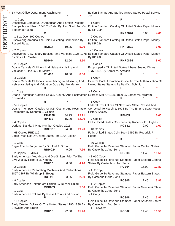| 30        |                                                                                     |                   |       |       |                                                                                                                                      |                |       |       |
|-----------|-------------------------------------------------------------------------------------|-------------------|-------|-------|--------------------------------------------------------------------------------------------------------------------------------------|----------------|-------|-------|
|           | By Post Office Department Washington                                                |                   |       |       | Edition Stamps And Stories United States Postal Service                                                                              |                |       |       |
|           |                                                                                     | R.                |       |       | 7th                                                                                                                                  | R              |       |       |
|           | $-1$ Copy<br>Descriptive Catalogue Of American And Foreign Postage                  |                   |       |       | $-1$ Copy                                                                                                                            |                |       |       |
| REFERENCE | September 1868                                                                      |                   |       |       | Stamps Issued From 1840 To Date By J.W. Scott And Co. Edition Standard Catalog Of United States Paper Money<br>By KP 20th            |                |       |       |
|           |                                                                                     | R                 |       |       |                                                                                                                                      | <b>RKR0820</b> | 5.00  | 4.00  |
|           | - 1 Box Over 100 Copies                                                             |                   |       |       | - 2 Copies                                                                                                                           |                |       |       |
|           | Discovering America The Coin Collecting Connection By                               |                   |       |       | Edition Standard Catalog Of United States Paper Money                                                                                |                |       |       |
|           | <b>Russell Rulau</b>                                                                | <b>RKR17</b>      | 19.95 | 5.00  | By KP 21st                                                                                                                           | <b>RKR0821</b> |       | 6.00  |
|           | - 2 Copies                                                                          |                   |       |       | - 6 Copies                                                                                                                           |                |       |       |
|           |                                                                                     |                   |       |       | Discovering U.S. Rotary Booklet Pane Varieties 1926-1978 Edition Standard Catalog Of United States Paper Money                       |                |       |       |
|           | By Bruce H. Mosher                                                                  |                   |       |       | By KP 24th                                                                                                                           |                |       |       |
|           |                                                                                     | <b>RDM04</b>      | 12.50 | 8.50  |                                                                                                                                      | <b>RKR0824</b> |       | 8.00  |
|           | - 29 Copies                                                                         |                   |       |       | - 8 Copies                                                                                                                           |                |       |       |
|           | Doane Cancels Of Illinois And Nebraska Listing And<br>Valuation Guide By Jim Mehrer |                   |       |       | Encyclopedia Of United States Liberty Seated Dimes<br>1837-1891 By Kamal M. Ahwash                                                   |                |       |       |
|           |                                                                                     | <b>RJM02</b>      | 10.00 | 8.00  |                                                                                                                                      | R              |       |       |
|           | - 3 Copies                                                                          |                   |       |       | $-1$ Copy                                                                                                                            |                |       |       |
|           | Doane Cancels Of Illinois, Iowa, Michigan, Missouri, And                            |                   |       |       | Expert's Book A Practical Guide To The Authentication Of                                                                             |                |       |       |
|           | Nebraska Listing And Valuation Guide By Jim Mehrer                                  |                   |       |       | United States Stamps By Paul W. Schmid                                                                                               |                |       |       |
|           | $-1$ Copy                                                                           |                   |       |       | $-1$ Copy                                                                                                                            | R              |       |       |
|           |                                                                                     |                   |       |       | Doane-Thompson Catalog Of U.S. County And Postmaster Express Mail Of 1836-1839 By James W. Milgram                                   |                |       |       |
|           | Postmarks                                                                           |                   |       |       |                                                                                                                                      | R              |       |       |
|           |                                                                                     | $\mathsf{R}$      |       |       | $-1$ Copy                                                                                                                            |                |       |       |
|           | - 59 Copies                                                                         |                   |       |       | Federal Post Offices Of New York State Revised And                                                                                   |                |       |       |
|           | Postmarks By Kenneth L. Gilman                                                      |                   |       |       | Doane-Thompson Catalog Of U.S. County And Postmaster Corrected To March 1, 1973 By The Empire State Postal<br><b>History Society</b> |                |       |       |
|           |                                                                                     | RPH16H            | 34.95 | 29.71 |                                                                                                                                      | <b>REM05</b>   |       | 6.00  |
|           |                                                                                     | RPH <sub>16</sub> | 15.00 | 12.00 | - 7 Copies                                                                                                                           |                |       |       |
|           | - 4 Copies                                                                          |                   |       |       | Fell's United States Coin Book By Roderick P. Hughes                                                                                 | <b>RCB12</b>   |       |       |
|           | Durland Standard Plate Number Catalog 2016                                          | <b>RBI0116</b>    | 24.00 | 19.20 | - 18 Copies                                                                                                                          |                | 2.00  | 1.60  |
|           | - 68 Copies RBI0116                                                                 |                   |       |       | Fell's United States Coin Book 1996 By Roderick P.                                                                                   |                |       |       |
|           | Eagle Price List Of United States Pnc 1994 Edition                                  |                   |       |       | Hughe                                                                                                                                |                |       |       |
|           |                                                                                     | R.                |       |       |                                                                                                                                      | R              |       |       |
|           | $-1$ Copy<br>Eagle That Is Forgotten By Dr. Joel J. Orosz                           |                   |       |       | - 30 Copies<br>Field Guide To Revenue Stamped Paper Central States                                                                   |                |       |       |
|           |                                                                                     | RBMC24            | 9.95  | 7.96  | By Castenholz And Sons                                                                                                               |                |       |       |
|           | - 2 Copies RBMC24                                                                   |                   |       |       |                                                                                                                                      | <b>RCS03</b>   | 14.45 | 11.56 |
|           | Early American Medalists And Die-Sinkers Prior To The                               |                   |       |       | $-1 + 10$ Copy                                                                                                                       |                |       |       |
|           | Civil War By Richard D. Kenney                                                      | RDU <sub>15</sub> | 6.00  | 4.20  | Field Guide To Revenue Stamped Paper Eastern Central<br>States By Castenholz And Sons                                                |                |       |       |
|           | - 2 Copies                                                                          |                   |       |       |                                                                                                                                      | <b>RCS04</b>   | 16.00 | 12.80 |
|           | Early American Perforating Machines And Perforations                                |                   |       |       | $-1+2$ Copy                                                                                                                          |                |       |       |
|           | 1857-1867 By Winthrop S. Boggs                                                      |                   |       |       | Field Guide To Revenue Stamped Paper Eastern States                                                                                  |                |       |       |
|           |                                                                                     | <b>RUT41</b>      | 3.95  | 2.00  | By Castenholz And Sons                                                                                                               |                |       | 13.96 |
|           | - 9 Copies<br>Early American Tokens 3rd Edition By Russell Rulau                    |                   |       |       | - 1+2 Copies                                                                                                                         | <b>RCS05</b>   | 17.45 |       |
|           |                                                                                     | <b>RKR053</b>     |       | 5.00  | Field Guide To Revenue Stamped Paper New York State                                                                                  |                |       |       |
|           | - 1 Copy                                                                            |                   |       |       | By Castenholz And Sons                                                                                                               |                |       |       |
|           | Early American Tokens By Russell Rualu 2nd Edition                                  |                   |       |       | $-1$ Copy                                                                                                                            |                |       |       |
|           | - 16 Copies                                                                         | R                 |       |       | Field Guide To Revenue Stamped Paper Southern States                                                                                 | <b>RCS06</b>   | 17.45 | 13.96 |
|           | Early Quarter Dollars Of The United States 1796-1838 By                             |                   |       |       | By Castenholz And Sons                                                                                                               |                |       |       |
|           | <b>Browning And Breen</b>                                                           |                   |       |       | $-1 + 12Copy$                                                                                                                        |                |       |       |
|           |                                                                                     | <b>RDU10</b>      | 22.00 | 15.40 |                                                                                                                                      | <b>RCS02</b>   | 14.45 | 11.56 |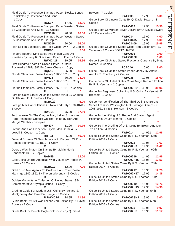31 REFERENC REFERENCE

 $\overline{\Xi}$ 

Field Guide To Revenue Stamped Paper Stocks, Bonds, Rr Tickets By Castenholz And Sons - 1 Copy

**RCS07** 17.45 **13.96** Field Guide To Revenue Stamped Paper Western States By Castenholz And Sons - 17 Copies **RCS016** 20.00 **16.00** Field Guide To Revenue Stamped Paper Western States By Castenholz And Sons - 2 Copies **RCS016** 20.00 **16.00** Fifth Edition Baseball Card Price Guide By KP - 2 Copies **RBK90 2.00** Finders Report Flying Eagle And Indian Cent Die Varieties By Larry R. Steve And Kevin J. Flynn - 1 Copy **RWHC416** 19.95 **15.96** First Hundred Years Of United States Territorial Postmarks 1787/1887 By Carrol Chase - 1 Copy **RQU10** 35.00 **15.00** Florida Stampless Postal History 1763-1861 - 1 Copy **RPH25** 30.00 **24.00** Florida Stampless Postal History 1763-1861 - 1 Copy **R** \* **\*** Florida Stampless Postal History 1763-1861 - 7 Copies **R** \* **\*** Foreign Coins Struck At United States Mints By Charles G. Altz And E.H. Barton - 1 Copy **RCBC29 5.00** Foreign Mail Cancellations Of New York City 1870-1878 - 1 Copy **RWE01** 75.00 **67.50** Fort Laramie On The Oregon Trail, Indian Skirmishes, Rare Postmarks Outpost On The Plains By Bert And Margie Webber - 3 Copies **RPN07** 11.95 **10.76** Fresno And San Francisco Bicycle Mail Of 1894 By Lowell B. Cooper - 1 Copy **RHT03** 5.00 **40.00** General Scheme Of New Jersey With Diagram Of Post Routes September 1, 1891 - 1 Copy **R** \* **\*** George Washington On Stamps By Melvin Morris Handbook 132 - 2 Copies **RAM55 12.00** Gold Coins Of The Americas With Values By Robert P. Harris - 17 Copies **RCBC12** 12.00 **7.00** Gold Rush Mail Agents To California And Their Postal Markings 1849-1852 By Theron Wierenga - 2 Copies **R** \* **\*** Golden Moments: A Collection Of United States 1984 Commemorative Olympic Issues - 1 Copy **R** \* **\*** Grading Guide For Modern U.S. Coins By Richard S. Montgomery And David W. Lange - 5 Copies **R RWHC14** 14.95 **11.96** Guide Book Of Civil War Tokens 2nd Edition By Q. David Bowers - 1 Copy **R** \* **\***

Guide Book Of Double Eagle Gold Coins By Q. David

Bowers - 7 Copies **RWHC33** 17.95 **5.00** Guide Book Of Lincoln Cents By Q. David Bowers - 3 Copies **RWHC419** 19.95 **15.96** Guide Book Of Morgan Silver Dollars By Q. David Bowers - 28 Copies edition? **RWHC34** 16.00 **4.00 RWHC3405** 17.95 **5.00 RWHC3406** 19.95 **15.96** Guide Book Of United States Coins 48th Edition By R.S. Yeoman - 2 Copies SOFT? HARD? **RWHC095 1.00 RWHC095H 1.00** Guide Book Of United States Fractional Currency By Matt Rother - 3 Copies **RCBC40** 10.00 **8.00** Guide Book Of United States Paper Money By Arthur L. And Ira S. Friedberg - 9 Copies **RWHC35** 19.95 **15.00** Guide Fook Of United States Coins Mega Red 4th Edition By R.S. Yeoman - 2 Copies **RWHC02H019** 49.95 **39.96** Guide For Beginners Collecting U.S. Coins By Kenneth E. Bressett - 1 Copy **R** \* **\*** Guide For Identification Of The Third Definitive Bureau Series Franklin- Washington U.S. Postage Stamps Of 1908-1921 By E.B. Henson - 3 Copies **R** \* **\*** Guide To Identifying U.S. Route And Station Agent Postmarks By Jim Mehrer - 8 Copies **R** \* **\*** Guide To The Grading Of U.S. Coins By Brown And Dunn 7th Edition - 4 Copies **RWHC14** 14.95**1 11.96** Guide To United States Coins By R.S. Yeoman 55th Edition 2002 - 1 Copy **RWHC022** 10.95 **7.67 RWHC02H2** 14.95 **10.47** Guide To United States Coins By R.S. Yeoman 69th Edition 2016 - 5 Copies **RWHC0216** 14.95 **11.96 RWHC02H16** 16.95 **13.56** Guide To United States Coins By R.S. Yeoman 70th Edition 2017 - 6 Copies **RWHC0217** 15.95 **12.76 RWHC02H17** 17.95 **14.36** Guide To United States Coins By R.S. Yeoman 72nd Edition 2019 - 1 Copy **RWHC0219** 15.95 **12.76**

**RWHC02H19** 17.95 **14.36** Guide To United States Coins By R.S. Yeoman 54th Edition 2001 - 1 Copy **RWHC02SH9** 19.95 **3.00**

Guide To United States Coins By R.S. Yeoman 58th Edition 2005 - 2 Copies

| RWHC025  | 12.95 | 9.07  |
|----------|-------|-------|
| RWHC02H5 | 15.95 | 11.17 |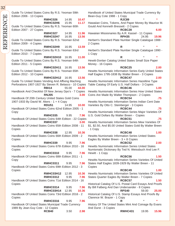| Guide To United States Coins By R.S. Yeoman 59th<br>Edition 2006 - 13 Copies            | Han<br>Bea     |
|-----------------------------------------------------------------------------------------|----------------|
| <b>RWHC026</b><br>14.95<br>10.47                                                        |                |
| RWHC02H6<br>11.17<br>15.95                                                              | Hav            |
| Guide To United States Coins By R.S. Yeoman 60th                                        | Gou            |
| Edition 2007 - 27 Copies                                                                |                |
| <b>RWHC027</b><br>14.95                                                                 |                |
| 11.96                                                                                   | Hav            |
| RWHC02H7<br>16.95<br>13.56                                                              |                |
| Guide To United States Coins By R.S. Yeoman 62nd                                        | Herl           |
| Edition 2009 - 4 Copies                                                                 | 2C             |
| RWHC02H9<br>16.95<br>13.59                                                              |                |
| Guide To United States Coins By R.S. Yeoman 63rd                                        | Herl           |
| Edition 2010 - 7 Copies                                                                 | 1 <sup>C</sup> |
|                                                                                         |                |
| RWHC02H10 16.95<br>11.00                                                                |                |
| Guide To United States Coins By R.S. Yeoman 64th                                        | Hev            |
| Edition 2011 - 5 Copies                                                                 | Mor            |
| RWHC02H11<br>16.95<br>13.56                                                             |                |
| Guide To United States Coins By R.S. Yeoman 65th                                        | Hev            |
| Edition 2012 - 10 Copies                                                                | Half           |
| RWHC02H12<br>16.95<br>13.56                                                             |                |
|                                                                                         |                |
| Guide To United States Vending And Affixing Maching                                     | Hev            |
| Perforations 1907-1927 By Steven R. Belasco - 10 Copies                                 | Tab            |
| <b>RBI14</b><br>55.00<br>44.00                                                          |                |
| Handbook And Checklist Of New Jersey Dpo's - 7 Copies                                   | Hev            |
| <b>RNJ05</b><br>3.00                                                                    | Coir           |
| Handbook Of 20th Century United States Gold Coins                                       |                |
| 1907-1933 By David W. Akers - 1 + 4 Copy                                                |                |
|                                                                                         | Hev            |
| <b>RDU51</b><br>14.95<br>10.00                                                          | Vari           |
| Handbook Of United States Coins 62nd Edition 2005 - 1                                   |                |
| Copy                                                                                    | Hev            |
| <b>RWHC035</b><br>9.95<br>7.96                                                          | U.S            |
| Handbook Of United States Coins 64th Edition - 22 Copies                                |                |
| RWHC037<br>3.00                                                                         | Hev            |
| Handbook Of United States Coins 65th Edition 2008 - 11                                  | \$1,           |
|                                                                                         |                |
| Copies                                                                                  | - 1 (          |
| <b>RWHC038</b><br>12.95<br>10.36                                                        |                |
| Handbook Of United States Coins 66th Edition 2009 - 2                                   | Hew            |
| Copies                                                                                  | Eag            |
| <b>RWHC039</b><br>9.95<br>7.96                                                          |                |
| Handbook Of United States Coins 67th Edition 2010 - 16                                  | Hev            |
| Copies                                                                                  | Nun            |
| <b>RWHC0310</b><br>9.95                                                                 | Hev            |
| 7.96                                                                                    |                |
| Handbook Of United States Coins 68th Edition 2011 - 1                                   |                |
| Copy                                                                                    | Hev            |
| <b>RWHC0311</b><br>9.95<br>7.96                                                         | Stat           |
| Handbook Of United States Coins 69th Edition 2012 - 3                                   | Cop            |
| Copies                                                                                  |                |
| RWHC03H12<br>12.95<br>10.36                                                             | Hev            |
|                                                                                         |                |
| <b>RWHC0312</b><br>9.95<br>7.96                                                         | <b>Stat</b>    |
| Handbook Of United States Coins 71st Edition 2014 - 16                                  |                |
| Copies                                                                                  | Hist           |
| <b>RWHC0314</b><br>9.95<br>7.96                                                         | By I           |
| RWHC03H14<br>12.95<br>10.36                                                             |                |
| Handbook Of United States Coins 73rd Edition 2016 - 2                                   | Hist           |
| Copies                                                                                  | Clar           |
|                                                                                         |                |
|                                                                                         |                |
| <b>RWHC0316</b><br>9.95<br>7.96                                                         |                |
| Handbook Of United States Municipal Trade Currency<br>1989 By Jean-Guy Cote - 12 Copies | Hist<br>And    |

**RCB40** 3.50 **2.98**

dbook of United States Municipal Trade Currency By Bean-Guy Cote 1988 - 1 Copy **RJC89** \* **\*** vaiian Coins, Tokens, And Paper Money By Maurice M. Ild And Kenneth Bressett - 2 Copies **RCBC28 6.00** vaiian Missionaries By A.R. Kassel - 11 Copies **RPH35** 24.95 **19.96** bert's Standard Plate Number Single Catalogue 1988 opies **R** \* **\*** bert's Standard Plate Number Single Catalogue 1990 opy **R** \* **\*** vitt-Donlan Catalog United States Small Size Paper ney - 16 Copies **RCBC25 2.00** vitts Numismatic Information Series Early United States Eagles 1795-1838 By Walter Breen - 3 Copies **RCBC47 2.00** vitts Numismatic Information Series Hazeltine Type le Catalog Of Early U.S. Half Dollars - 3 Copies **RCBC46 1.00** vitts Numismatic Information Series How United States ns Are Made By Walter Thompson - 2 Copies **RCBC54 .75** vitts Numismatic Information Series Indian Cent Date ieties By Otto C. Steinberger - 3 Copies **RCBC44 .75** vitts Numismatic Information Series Major Varieties Of . Gold Dollars By Walter Breen - Copies **RCBC51 .75** vitts Numismatic Information Series Mew Varieties Of \$2.50, And \$5.00 United States Gold By Walter Breen Copy **RCBC48 1.00** vitts Numismatic Information Series United States les By Walter Breen - 3 + 8 Copies **RCBC52 2.00** vitts Numismatic Information Series United States nismatic Dictionary By Ted N. Weissbuch And Lee F. vitt - 1 Copy **RCBC56 1.50** vitts Numismatic Information Series Varieties Of United tes Half Eagles 1839-1929 By Walter Breen - 11 ies **RCBC49 1.00** vitts Numismatic Information Series Varieties Of United tes Quarter Eagles By Walter Breen - 7 Copies **RCBC57 1.50** orical Catalog Of U.S. Postal Card Essays And Proofs Bill Falberg And Dan Undersander - 8 Copies **RPS40** 59.00 **25.00** orical Catalog Of U.S. Stamp Essays And Proofs By ence W. Brazer - 1 Copy **R** \* **\*** ory Of The United States Mint And Coinage By Evans Durst - 3 Copies **RWHC431** 19.95 **15.96**

# 32

REFERENCE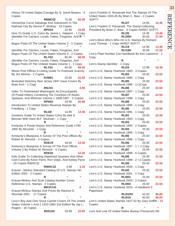33 **REFERENCE** REFERENCE

Copies **RBMC02** 75.00 **60.00** Horseshoe Curve Sabatoge And Subversion In The Railroad City By Dennis P. Mcilnay - 19 Copies **RPH33** 24.95 **19.95** How To Grade U.S. Coins By James L. Halperin - 1 Copy Identifier For Carriers, Locals, Fakes, Forgeries, And **R** \* **\*** Bogus Posts Of The United States Volume 2 - 2 Copies **R** \* **\*** Identifier For Carriers, Locals, Fakes, Forgeries, And Bogus Posts Of The United States Volume 3 - 2 Copies **RLY03** 85.00 **68.00** Identifier For Carriers, Locals, Fakes, Forgeries, And Bogus Posts Of The Uniteed States Volume 1 - 1 Copy **RLY01** 85.00 **68.00** Illinois Post Offices A Listing Guide To Postmark Scarcity By Jim Mehrer - 2 Copies **RJM01** 25.00 **22.50** Illustrated Directory New Jersey 1847 Issue Covers By Brad Arch - 1 Copy **RNJ10 4.00** Index To Postmarked Washington An Encyclopedia Of Postal History Combining The Countries Of Asotin, Spokane, And Whitman Volume 1 1858-1897 - 5 Copies **RPN02** 29.95 **26.96** Introduction To United States Revenue Stamps By Friedberg - 1 Copy **RLI28** 14.95 **13.46** Investors Guide To United States Coins By Neil S Berman With Hans M.F. Shulman - 1 Copy **R** \* **\*** Kentucky A Postal History And Reference Guide 1790- 1855 By Mccarter - 1 Copy **R** \* **\*** Kentucky's Bluegrass A Survey Of The Post Offices By Robert M. Rennick - 5 Copies **RDE19** 18.00 **14.40** Kentucky's Bluegrass A Survey Of The Post Offices Volume 2 By Robert M. Rennick - 5 Copies **RDE20 12.50** Kids Guide To Collecting Statehood Quarters And Other Cool Coins By Kevin Flynn, Ron Volpe, And Kelsey Flynn - 20 Copies RWHC32 **RWHC32** 3.99 **3.19** Krause - Minkus Standard Catalog Of U.S. Stamps 5th Edition 2002 - 2 Copies **R** \* **\*** Krause-Minkus And Scott Catalog Number Cross-Reference U.S. Stamps - 2 Copies **MKSCUS 0** Krause-Minkus Stamps And Prices By Maurice D. Wozniak 2001 - 17 Copies **R** \* **\*** Levy's Boy And Girls Scout Cachet Covers Of The United States Volume 1 And 2 1910-1960 2nd Edition By Jay L. Rogers - 16 Copies **RDD102** 29.99 **15.00**

History Of United States Coinage By Q. David Bowers - 4

| United States 1933-45 By Brian C. Baur - 2 Copies<br>SOFT?    |                |         |         |
|---------------------------------------------------------------|----------------|---------|---------|
|                                                               | <b>RLI27</b>   | 14.95   | 13.46   |
| Linn's Franklin D. Roosevelt: The Stamp-Collecting            |                |         |         |
| President By Brian C. Baur - 3 Copies HARD? SOFT?             |                |         |         |
|                                                               | <b>RLI35</b>   | 14.95   | 13.46   |
|                                                               | RLI35H         | 30.00   | 27.00   |
| Linn's More Who's Who On U.S. Stamps By Richard               |                |         |         |
| Louis Thomas - 1 Copy HARD? SOFT?                             |                |         |         |
|                                                               | <b>RLI19</b>   | 14.95   | 13.46   |
|                                                               | RLI19H         | 30.00   | 27.00   |
| Linn's Plate Number Coil Handbook By Ken Lawrence - 1<br>Copy |                |         |         |
| R                                                             |                | $\star$ | $\star$ |
| Linn's Stamp Identifier - 1 Copy                              |                |         |         |
|                                                               | <b>RLI24</b>   | 12.99   | 10.39   |
| Linn's U.S. Stamp Yearbook 1983 - 3 Copies                    |                |         |         |
|                                                               | <b>RLI83</b>   | 25.00   | 22.50   |
| Linn's U.S. Stamp Yearbook 1985 - 1 Copy                      |                |         |         |
|                                                               | <b>RLI85</b>   | 25.00   | 22.50   |
| Linn's U.S. Stamp Yearbook 1986 - 1+1Copy                     |                |         |         |
|                                                               | <b>RLI86</b>   | 25.00   | 22.50   |
| Linn's U.S. Stamp Yearbook 1987 - 1 Copy                      | <b>RLI87</b>   | 25.00   | 22.50   |
| Linn's U.S. Stamp Yearbook 1988 - 1 Copy                      |                |         |         |
|                                                               | <b>RLI88</b>   | 25.00   | 22.50   |
| Linn's U.S. Stamp Yearbook 1990 - 1 Copy                      |                |         |         |
|                                                               | <b>RLI90</b>   | 25.00   | 22.50   |
| Linn's U.S. Stamp Yearbook 1991 - 1 Copy                      |                |         |         |
|                                                               | <b>RLI91</b>   | 25.00   | 22.50   |
| Linn's U.S. Stamp Yearbook 1993 - 1 Copy                      |                |         |         |
|                                                               | <b>RLI93</b>   | 25.00   | 22.50   |
| Linn's U.S. Stamp Yearbook 1994 - 2 Copies                    |                |         |         |
|                                                               | <b>RLI94</b>   | 25.00   | 22.50   |
| Linn's U.S. Stamp Yearbook 1995 - 1 Copy                      |                |         |         |
|                                                               | <b>RLI95</b>   | 25.00   | 22.50   |
| Linn's U.S. Stamp Yearbook 1996 - 1 Copy                      |                |         |         |
|                                                               | <b>RLI96</b>   | 25.00   | 22.50   |
| Linn's U.S. Stamp Yearbook $1997 - 1 + 2$ Copy                |                |         |         |
|                                                               | <b>RLI97</b>   | 25.00   | 22.50   |
| Linn's U.S. Stamp Yearbook 1998 - 6 Copies                    | <b>RLI99</b>   | 25.00   | 22.50   |
| Linn's U.S. Stamp Yearbook 1999 - 2 +2 Copies                 |                |         |         |
|                                                               | <b>RLI99</b>   | 25.00   | 22.50   |
| Linn's U.S. Stamp Yearbook 2000 - 1 Copy                      |                |         |         |
|                                                               | <b>RLI00</b>   | 25.00   | 22.50   |
| Linn's U.S. Stamp Yearbook 2001 - 1 Copy                      |                |         |         |
|                                                               | <b>RLI001</b>  | 25.00   | 22.50   |
| Linn's U.S. Stamp Yearbook 2003 - 2 Copies                    |                |         |         |
|                                                               | <b>RLI003</b>  | 25.00   | 22.50   |
| Linn's U.S. Stamp Yearbook 2010 - 4 Hardback 5                |                |         |         |
| Paperback                                                     |                |         |         |
|                                                               | <b>RLI010H</b> | 52.00   | 46.80   |
|                                                               | <b>RLI010</b>  | 40.00   | 36.00   |
| Linn's United States Stamps 1927-32 By Gary Griffith - 15     |                |         |         |
| Copies                                                        |                |         | $\star$ |
| R<br>Lure And Lore Of United States Bureau Precancels 5th     |                |         |         |
|                                                               |                |         |         |

Linn's Franklin D. Roosevelt And The Stamps Of The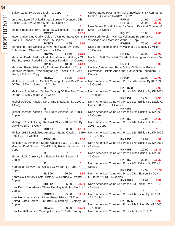| Edition 1981 By George Klein - 1 Copy                                                                                                                                               | United States Postmarks And Cancellations By Kenneth L.<br>Gilman - 4 Copies HARD? SOFT?                                                                |
|-------------------------------------------------------------------------------------------------------------------------------------------------------------------------------------|---------------------------------------------------------------------------------------------------------------------------------------------------------|
| Lure And Lore Of United States Bureau Precancels 5th<br>Edition 1981 By George Klein - 69 Copies                                                                                    | 11.95<br>RPH <sub>10</sub><br>14.95<br>RPH10H<br>29.95<br>25.46                                                                                         |
| Maine Precancels By Crandall R. Wallenstein - 4 Copies                                                                                                                              | New Jersey Postal History By John L. Kay And Chester M.<br>Smith - 16 Copies                                                                            |
| RPP <sub>12</sub><br>15.00<br>Major Variety And Oddity Guide To United States Coins By New York Foreign Mail Cancellations By Arthur Van<br>Frank G. Spadone 8th Edition - 5 Copies | <b>RQU01</b><br>15.00<br>12.00<br>Vlissingen And Morrison Waud - 1 Copy                                                                                 |
| <b>RCB71</b><br>4.95<br>3.96<br>Manuscript Post Offices Of New York State By Henry<br>Chlanda And Chester E. Wilcox - 1 Copy                                                        | RWE01<br>75.00<br>67.50<br>New York Postmaster's Provisional By Stanley P. Miller -<br>13 Copies                                                        |
| REM <sub>02</sub><br>14.50<br>11.60<br>Maryland Postal History And Handstamped Markings Of                                                                                          | RNY01<br>20.00<br>16.00<br>Noble's 1986 Cacheted Presidential Inaugural Covers - 52                                                                     |
| The Stampless Period By D. Homer Kendall - 14 Copies<br>RPH <sub>06</sub><br>18.00<br>14.40                                                                                         | Copies<br><b>RN011</b><br>1.00                                                                                                                          |
| Maryland Postal History By D. Homer Kendall - 1 Copy<br>Medallic Portraits Of Washington By Russell Rulau And<br>George Fuld - 1 Copy                                               | Noble's Catalog And Price Guide Of National Political<br>Convention Tickets And Other Convention Ephemera - 11<br>Copies                                |
| <b>RKR10</b><br>34.95<br>20.00<br>Mellone's Specialized Cachet Catalog Of First Day Covers<br>Of The 1960's Volume 1 - 3 Copies                                                     | <b>RPH24</b><br>20.00<br>17.00<br>North American Coins And Prices 7th Edition By KP 1998<br>- 3 CopieS                                                  |
| R                                                                                                                                                                                   | <b>RKR4598</b><br>6.00<br>Mellone's Specialized Cachet Catalog Of First Day Covers North American Coins And Prices 10th Edition By KP 2001              |
| Of The 1960's Volume 2 - 1 Copy                                                                                                                                                     | - 3 Copies<br><b>RKR451</b><br>17.95<br>14.36                                                                                                           |
| 1 Copy                                                                                                                                                                              | Michel Ubersee-Katalog Nord- Und Mittelamerika 2000 1 - North American Coins And Prices 11th Edition By David C.<br>Harper 2002 - 3 + 1 Copies          |
| R<br>Copies                                                                                                                                                                         | 2.00<br><b>RKR452</b><br>Michel Ubersee-Katalog Teil 1 Nord-Amerika 2007/08 1 - 3 North American Coins And Prices 12th Edition By KP 2003<br>- 2 Copies |
| R                                                                                                                                                                                   | <b>RKR453</b><br>17.95<br>14.36                                                                                                                         |
| Michigan Postal History The Post Offices 1805-1986 By<br>David M. Ellis - 1 Copy                                                                                                    | North American Coins And Prices 14th Edition By Krause<br>2005 - 1 Copy                                                                                 |
| 50.00<br>47.50<br><b>RDE10</b><br>About $20 + 6$ Copies                                                                                                                             | R<br>Minkus 1988 Specialized American Stamp Catalog - 1 Box North American Coins And Prices 15th Edition By KP 2006<br>$-1 + 2$ Copy                    |
| RMKU88<br>3.00                                                                                                                                                                      | <b>RKR456</b><br>17.99<br>14.39                                                                                                                         |
| Minkus New American Stamp Catalog 1969 - 1 Copy<br>Missouri Post Offices 1804-1981 By Robert G. Schultz - 1                                                                         | North American Coins And Prices 17th Edition By KP 2008<br>$-1$ Copy                                                                                    |
| Copy<br>$\ast$                                                                                                                                                                      | <b>RKR458</b><br>22.99<br>18.39                                                                                                                         |
| R<br>Modern U.S. Currency 8th Edition By Neil Shafer - 2                                                                                                                            | North American Coins And Prices 18th Edition By KP 2009<br>- 1 Copy                                                                                     |
| Copies<br>*                                                                                                                                                                         | <b>RKR459</b><br>22.99<br>18.39                                                                                                                         |
| R<br>Nebraska Railway Post Offices By William F. Rapp - 4                                                                                                                           | North American Coins And Prices 20th Edition By KP - 2<br>Copies                                                                                        |
| Copies<br><b>RJB06</b><br>26.50                                                                                                                                                     | <b>RKR4511</b><br>15.99<br>19.99<br>2.85 North American Coins And Prices 22nd Edition By David                                                          |
| Nebraska Territory Postal History By Charles W. Winter - 7 C. Harper 2013 - 5 Copies                                                                                                | <b>RKR4513</b><br>21.99<br>17.59                                                                                                                        |
| Copies<br><b>RHT12</b><br>35.00<br>28.00                                                                                                                                            | North American Coins And Prices 3rd Edition By KP 1994                                                                                                  |
| New Dietz Confederate States Catalog And Handbook - 3<br>Copies                                                                                                                     | $-1$ Copy<br>$\star$<br>R                                                                                                                               |
| RDIC01<br>95.00<br>30.00                                                                                                                                                            | North American Coins And Prices 4th Edition By KP 1995                                                                                                  |
| New Hebrides Islands Military Postal History Of The                                                                                                                                 | - 21 Copies                                                                                                                                             |
| United States Forces 1942-1946 By Stanley C. Jersey - 31                                                                                                                            | <b>RKR4595</b><br>5.00                                                                                                                                  |
| Copies<br><b>RLW11</b><br>15.00<br>30.00                                                                                                                                            | North American Coins And Prices 9th Edition By KP 2000<br>- 3 Copies                                                                                    |
|                                                                                                                                                                                     |                                                                                                                                                         |

REFERENCE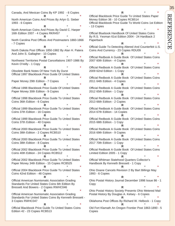REi REFERENCE **FERENC** 

 $\blacktriangleright$ 

Canada, And Mexican Coins By KP 1992 - 6 Copies **R** \* **\*** North American Coins And Prices By Arlyn G. Sieber 1993 - 6 Copies **R** \* **\*** North American Coins And Prices By David C. Harper 16th Edition 2007 - 4 Copies RKR457 **R** \* **\*** North Carolina Post Offices And Postmasters 1860-1866 - 7 Copies **R** \* **\*** North Dakota Post Offices 1850-1982 By Alan H. Patera And John S. Gallagher - 10 Copies **R** \* **\*** Northwest Territories Postal Cancellations 1907-1986 By Kevin O'reilly - 1 Copy **R** \* **\*** Obsolete Bank Notes Of New York By Durst Official 1997 Blackbook Price Guide Of United States **R** \* **\*** Paper Money 29th Edition - 7 Copies **R** \* **\*** Official 1998 Blackbook Price Guide Of United States Paper Money 30th Edition - 9 Copies **R** \* **\*** Official 1998 Blackbook Price Guide To United States Coins 36th Edition - 6 Copies **R** \* **\*** Official 1999 Blackbook Price Guide To United States Coins 37th Edition - 16 Copies **R** \* **\*** Official 1999 Blackbook Price Guide To United States Coins 37th Edition - 40 Copies **R** \* **\*** Official 2000 Blackbook Price Guide To United States Coins 38th Edition - 2 Copies RCB510 **R** \* **\*** Official 2000 Blackbook Price Guide To United States Coins 38th Edition - 8 Copies **R** \* **\*** Official 2002 Blackbook Price Guide To United States Coins 40th Edition - 24 Copies RCB512 **R** \* **\*** Official 2002 Blackbook Price Guide To United States Paper Money 34th Edition - 15 Copies RCB525 **R** \* **\*** Official 2004 Blackbook Price Guide To United States Coins 42nd Edition - 48 Copies **R** \* **\*** Official American Numismatic Association Grading Standards For United States Coins 6th Edition By Bressett And Bowers - 2 Copies RWHC046 **R** \* **\*** Official American Numismatic Association Grading Standards For United States Coins By Kenneth Bressett - 3 Copies RWHC047 **R** \* **\***

Official Blackbook Price Guide To United States Coins Edition 42 - 23 Copies RCB513

**R** \* **\*** Official Blackbook Price Guide To United States Paper Money Edition 36 - 10 Copies RCB514 Official Blackbook Price Guide To World Coins 1st Edition - 13 Copies **R** \* **\*** Official Bluebook Handbook Of United States Coins By R.S. Yeoman 61st Edition 2004 - 24 Hardback 2 Paperback **R** \* **\*** Official Guide To Detecting Altered And Counterfeit U.S. Coins And Currency - 23 Copies RDU09 **R** \* **\*** Official Redbook A Guide Book Of United States Coins 2007 60th Edition - 4 Copies **R** \* **\*** Official Redbook A Guide Book Of United States Coins 2009 62nd Edition - 1 Copy **R** \* **\*** Official Redbook A Guide Book Of United States Coins 2011 64th Edition - 4 Copies **R** \* **\*** Official Redbook A Guide Book Of United States Coins 2012 65th Edition - 1 Copy **R** \* **\*** Official Redbook A Guide Book Of United States Coins 2013 66th Edition - 2 Copies **R** \* **\*** Official Redbook A Guide Book Of United States Coins 2014 67th Edition - 14 Copies **R** \* **\*** Official Redbook A Guide Book Of United States Coins 2015 68th Edition - 1 Copy **R** \* **\*** Official Redbook A Guide Book Of United States Coins 2016 69th Edition - 9 Copies **R** \* **\*** Official Redbook A Guide Book Of United States Coins 2017 70th Edition - 1 Copy **R** \* **\*** Official Redbook A Guide Book Of United States Coins Limited Edition 2005 - 1 Copy **R** \* **\*** Official Whitman Statehood Quarters Collector's Handbook By Kenneth Bressett - 1 Copy **R** \* **\*** Ohio Doane Cancels Revision 2 By Bart Billings May 1993 - 6 Copies **R** \* **\*** Ohio Postal History Journal December 1998 Issue 86 - 1 Copy **R** \* **\*** Ohio Postal History Society Presents Ohio Metered Mail Postal History By Douglas A. Kelsey - 6 Copies **R** \* **\*** Oklahoma Post Offices By Richard W. Helbock - 1 Copy

**R** \* **\*** Old Fort Klamath An Oregon Frontier Post 1863-1890 - 5 Copies

35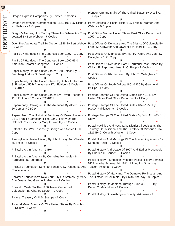**R** \* **\*** Oregon Express Companies By Forster - 3 Copies **R** \* **\*** Oregon Postmaster Compensation, 1851-1911 By Richard Pony Express, A Postal History By Frajola, Kramer, And W. Helbock - 2 Copies **R** \* **\*** Oregon's Names; How To Say Them And Where Are They Post Office Manual United States Post Office Department Located By Bert Webber - 7 Copies **R** \* **\*** Over The Applegate Trail To Oregon 1846 By Bert Webber Post Offices Of Delaware And The District Of Columbia By - 1 Copy **R** \* **\*** Pacific 97 Handbook The Congress Book 1997 - 1 Copy **R** \* **\*** Pacific 97 Handbook The Congress Book 1997 63rd American Philatelic Congress - 5 Copies **R** \* **\*** Paper Money Of The United States 16th Edition By L. Friedberg And Ira S. Friedberg - 1 Copy **R** \* **\*** Paper Money Of The United States By Arthur L. And Ira S. Friedberg 50th Anniversary 17th Edition - 5 Copies RCB1017 **R** \* **\*** Paper Money Of The United States By Rovert Friedberg 11th Edition - 5 Copies RCB1011 **R** \* **\*** Papermoney Catalogue Of The Americas By Albert Pick - 26 Copies RCBC14 **R** \* **\*** Papers From The Historical Seminary Of Brown University By J. Franklin Jameson Ii The Early History Of The Colonial Post Office By Mary E. Woolley - 2 Copies **R** \* **\*** Patriotic Civil War Tokens By George And Melvin Fuld - 1 Copy **R** \* **\*** Pennsylvania Postal History By John L. Kay And Chester M. Smith - 7 Copies **R** \* **\*** Philatelic Art In America - 1 Box **R** \* **\*** Philatelic Art In America By Cornelius Vermeule - 8 Hardback, 46 Paperback **R** \* **\*** Philatelic Foundation Seminar Series: U.S. Postmarks And Tuscon, Arizona - 1 Copy **Cancellations R** \* **\*** Philatelic Foundation's New York City On Stamps By Mary Ann Owens And George T. Guzzio - 2 Copies **R** \* **\*** Philatelic Guide To The 1936 Texas Centennial Celebration By Charles Deaton - 1 Copy **R** \* **\*** Pictoral Treasury Of U.S. Stamps - 1 Copy **R** \* **\*** Pictorial Meter Stamps Of The United States By Douglas A. Kelsey - 1 Copy **R** \* **\*** Pioneer Airplane Mails Of The United States By O'sullivan - 3 Copies **R** \* **\*** Walske - 9 Copies **R** \* **\*** 1952 - 1 Copy **R** \* **\*** Frank M. Crowther And Lawrence M. Merolla - 1 Copy **R** \* **\*** Post Offices Of Minnesota By Alan H. Patera And John S. Gallagher - 1 +1 Copy **R** \* **\*** Post Offices Of Nebraska Part 1 Territorial Post Offices By William F. Rapp And Janet L. C. Rapp - 7 Copies **R** \* **\*** Post Offices Of Rhode Island By John S. Gallagher - 7 Copies **R** \* **\*** Post Offices Of South Dakota 1861-1930 By George H. Phillips - 1 Copy **R** \* **\*** Postage Stamps Of The United States 1847-1949 By United States Post Office Department - 1 Copy **R** \* **\*** Postage Stamps Of The United States 1847-1955 By P.O.D. Publication 9 - 2 Copies **R** \* **\*** Postage Stamps Of The United States By John N. Luff - 1 Copy **R** \* **\*** Postal Facilities And Postmarks District Of Louisiana, The Territory Of Louisiana And The Territory Of Missouri 1804- 1821 By C. Corwith Wagner - 1 Copy **R** \* **\*** Postal History And Markings Of The Forwarding Agents By Kenneth Rowe - 2 Copies **R** \* **\*** Postal History And Usage Of 1907 And Earlier Precancels By Charles C. Souder - 6 Copies **R** \* **\*** Postal History Foundation Presents Postal History Seminar 91' Thursday January 24, 1991 Holiday Inn Broadway, **R** \* **\*** Postal History Of Maryland, The Demarva Peninsula , And The District Of Columbia - By Smith And Kay - 8 Copies **R** \* **\*** Postal History Of Montana Through June 30, 1870 By Daniel Y. Meschtder - 4 Copies **R** \* **\*** Postal History Of Washington County, Arkansas - 1 + 3

匞 REFERENCE REFEREN

36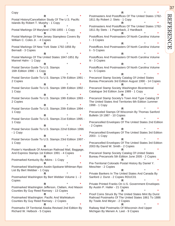Copy **R** \* **\*** Postal History/Cancellation Study Of The U.S. Pacific Islands By Robert T. Murphy - 1 Copy **R** \* **\*** Postal Markings Of Maryland 1766-1855 - 1 Copy **R** \* **\*** Postal Markings Of New Jersey Stampless Covers By William C. Coles Jr. - 4 Copies **R** \* **\*** Postal Markings Of New York State 1792-1856 By Bernadt - 3 Copies **R** \* **\*** Postal Markings Of The United States 1847-1851 By Mannel Hahn - 1 Copy **R** \* **\*** Postal Service Guide To U.S. Stamps 16th Edition 1990 - 1 Copy **R** \* **\*** Postal Service Guide To U.S. Stamps 17th Edition 1991 - 2 Copies **R** \* **\*** Postal Service Guide To U.S. Stamps 18th Edition 1992 - 1 Copy **R** \* **\*** Postal Service Guide To U.S. Stamps 19th Edition 1993 - 2 Copies **R** \* **\*** Postal Service Guide To U.S. Stamps 20th Edition 1994 - 1 Copy **R** \* **\*** Postal Service Guide To U.S. Stamps 21st Edition 1995 - 1 Copy **R** \* **\*** Postal Service Guide To U.S. Stamps 22nd Edition 1996 - 1 Copy **R** \* **\*** Postal Service Guide To U.S. Stamps 23rd Edition 1997 - 1 Copy **R** \* **\*** Poster's Handbook Of American Railroad Mail, Baggage, And Express Stamps 1st Edition 1991 - 4 Copies **R** \* **\*** Postmarked Kentucky By Atkins - 1 Copy **R** \* **\*** Postmarked Washington Asotin-Spokane-Whitman-Rpo List By Bert Webber - 1 Copy **R** \* **\*** Postmarked Washington By Bert Webber Volume 1 - 2 Copies **R** \* **\*** Postmarked Washington Jefferson, Clallam, And Mason Counties By Guy Reed Ramsey - 13 Copies **R** \* **\*** Postmarked Washington: Pacific And Wahkiakum Counties By Guy Reed Ramsey - 2 Copies **R** \* **\*** Postmarks Of Territorial Alaska Revised 2nd Edition By Richard W. Helbock - 5 Copies

**R** \* **\*** Postmasters And Postoffices Of The United States 1782-1811 By Robert J. Stets - 1 Copy **R** \* **\*** Postmasters And Postoffices Of The United States 1782-1811 By Stets - 1 Paperback, 2 Hardback **R** \* **\*** Postoffices And Postmasters Of North Carolina Volume I - 3 Copies **R** \* **\*** Postoffices And Postmasters Of North Carolina Volume Ii - 5 Copies **R** \* **\*** Postoffices And Postmasters Of North Carolina Volume Iii - 3 Copies **R** \* **\*** Postoffices And Postmasters Of North Carolina Volume Iv - 5 Copies **R** \* **\*** Precancel Stamp Society Catalog Of United States Bureau Precancels 3rd Edition August 1990 - 14 Copies **R** \* **\*** Precancel Stamp Society Washington Bicentennial Catalogue 3rd Edition June 1989 - 1 Copy **R** \* **\*** Precancel Stamp Society's Town And Type Catalog Of The United States And Territories 6th Edition 1ummer 1998 - 1 Copy **R** \* **\*** Precanceled Stamps Of Wisconsin By Thomas Sanford Bulletin 19 1987 - 10 Copies **R** \* **\*** Precancelled Envelopes Of The United States 2nd Edition - 2 Copies **R** \* **\*** Precancelled Envelopes Of The United States 3rd Edition 2003 - 1 Copy **R** \* **\*** Precancelled Envelopes Of The United States 3rd Edition 2003 By David W. Smith - 2 Copies **R** \* **\*** Precancel Stamp Society Catalog Of United States Bureau Precancels 5th Edition June 2005 - 2 Copies **R** \* **\*** Pre-Territorial Colorado Postal History By Daniel Y. Meschter - 2 Copies **R** \* **\*** Private Bankers In The United States And Canada By Sanford J. Durst - 2 Copies RDUC01 **R** \* **\*** Private Printed Franks On U.S. Government Envelopes By Austin P. Haller - 21 Copies **R** \* **\*** Proof Coins Struck By The United States Mint By Durst Railroad Postmarks Of The United States 1861 To 1886 By Towle And Meyer - 2 Copies **R** \* **\*** Railway Mail Postmarks Of Wisconsin And Upper Michigan By Merwin A. Leet - 9 Copies

# 37

REFERENCE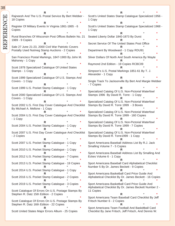**R** \* **\*** Rajneesh And The U.S. Postal Service By Bert Webber - 18 Copies **R** \* **\*** Register Of Military Events In Virginia 1861-1865 - 6 Copies **R** \* **\*** Rural Branches Of Wisconsin Post Offices Bulletin No. 21 1989 - 9 Copies **R** \* **\*** Sale 27 June 21-23, 2000 Civil War Patriotic Covers Postally Used Nutmeg Stamp Auctions - 2 Copies **R** \* **\*** San Francisco Postal Markings, 1847-1900 By John M. Mahoney - 1 Copy **R** \* **\*** Scott 1978 Specialized Catalogue Of United States Stamps - 1 Copy **R** \* **\*** Scott 1999 Specialized Catalogue Of U.S. Stamps And Covers - 1 Copy **R** \* **\*** Scott 1999 U.S. Pocket Stamp Catalogue - 1 Copy **R** \* **\*** Scott 2000 Specialized Catalogue Of U.S. Stamps And Covers - 1 Copy **R** \* **\*** Scott 2002 U.S. First Day Cover Catalogue And Checklist By Michael A. Mellone - 1 Copy **R** \* **\*** Scott 2004 U.S. First Day Cover Catalogue And Checklist - 1 Copy **R** \* **\*** Scott 2004 U.S. Pocket Stamp Catalogue - 1 Copy **R** \* **\*** Scott 2007 U.S. First Day Cover Catalogue And Checklist - 2 Copies **R** \* **\*** Scott 2007 U.S. Pocket Stamp Catalogue - 1 Copy **R** \* **\*** Scott 2010 U.S. Pocket Stamp Catalogue - 1 Copy **R** \* **\*** Scott 2012 U.S. Pocket Stamp Catalogue - 7 Copies **R** \* **\*** Scott 2013 U.S. Pocket Stamp Catalogue - 19 Copies **R** \* **\*** Scott 2014 U.S. Pocket Stamp Catalogue - 1 Copy **R** \* **\*** Scott 2016 U.S. Pocket Stamp Catalogue - 2 Copies **R** \* **\*** Scott 2019 U.S. Pocket Stamp Catalogue - 3 Copies **R** \* **\*** Scott Catalogue Of Errors On U.S. Postage Stamps By Stephen R. Datz 15th Edition - 2 Copies **R** \* **\*** Scott Catalogue Of Errors On U.S. Postage Stamps By Stephen R. Datz 16th Edition - 22 Copies **R** \* **\*** Scott United States Major Errors Album - 25 Copies **R** \* **\*** Scott's United States Stamp Catalogue Specialized 1956 - 1 Copy **R** \* **\*** Scott's United States Stamp Catalogue Specialized 1968 - 1 Copy **R** \* **\*** Seated Liberty Dollar 1840-1873 By Durst **R** \* **\*** Secret Service Of The United States Post Office **R** \* **\*** Department By Woodward - 1 Copy RDU91 **R** \* **\*** Silver Dollars Of North And South America By Wayte **R** \* **\*** Raymond 2nd Edition - 19 Copies RCBC09 **R** \* **\*** Simpson's U.S. Postal Markings 1851-61 By T. J. Alexander - 1 Copy **R** \* **\*** Single Track To Jacksonville By Bert And Margie Webber - 7 Copies **R** \* **\*** Specialized Catalog Of U.S. Non-Pictorial Waterfowl Stamps 1996 By David R. Torre - 1 Copy **R** \* **\*** Specialized Catalog Of U.S. Non-Pictorial Waterfowl Stamps By David R. Torre 1999 - 3 Boxes **R** \* **\*** Specialized Catalog Of U.S. Non-Pictorial Waterfowl Stamps By David R. Torre 1999 - 160 Copies **R** \* **\*** Specialized Catalog Of U.S. Non-Pictorial Waterfowl Stamps By David R. Torre 1999 - 7 Copies **R** \* **\*** Specialized Catalog Of U.S. Non-Pictorial Waterfowl Stamps By David R. Torre1999 - 1 Copy **R** \* **\*** Sport Americana Baseball Address List By R.J. Jack Smalling Volume 7 - 5 Copies **R** \* **\*** Sport Americana Baseball Address List By Smalling And Eckes Volume 6 - 1 Copy **R** \* **\*** Sport Americana Baseball Card Alphabetical Checklist Number 5 By Dr. James Beckett - 9 Copies **R** \* **\*** Sport Americana Basketball Card Price Guide And Alphabetical Checklist By Dr. James Beckett - 16 Copies **R** \* **\*** Sport Americana Basketball Card Price Guide And Alphabetical Checklist By Dr. James Beckett Number 2 - 11 Copies **R** \* **\*** Sport Americana Team Baseball Card Checklist By Jeff Fritsch Number 6 - 2 Copies **R** \* **\*** Sport Americana Team Football And Baskdtball Card Checklist By Jane Fritsch, Jeff Fritsch, And Dennis W.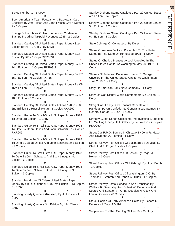Stanley Gibbons Stamp Catalogue Part 22 United States 4th Edition - 14 Copies **R** \* **\*** Stanley Gibbons Stamp Catalogue Part 22 United States 5th Edition - 2 Copies **R** \* **\*** Stanley Gibbons Stamp Catalogue Part 22 United States 6th Edition - 8 Copies **R** \* **\*** State Coinage Of Connecticut By Durst **R** \* **\*** Statue Of Andrew Jackson Presented To The United States By The State Of Tennessee 1928 - 1 Copy **R** \* **\*** Statue Of Charles Brantley Aycock Unveiled In The United States Capitol At Washington May 20, 1932 - 1 **R** \* **\*** Statues Of Jefferson Davis And James Z. George Unveiled In The United States Capitol At Washington June 2. 1931 - 1 Copy **R** \* **\*** Story Of American Bank Note Company - 1 Copy **R** \* **\*** Story Of Walt Disney World Commemorative Edition - 1 **R** \* **\*** Straightline, Fancy, And Unusual Cancels And Handstamps On Confederate General Issue Stamps By General Conrad L. Bush - 1 Copy **R** \* **\*** Strategy Guide Series Collecting And Investing Strategies For Walking Liberty Half Dollars By Jeff Ambio - 2 Copies **R** \* **\*** Street Car R.P.O. Service In Chicago By John R. Mason And Raymond A. Fleming - 1 Copy **R** \* **\*** Street Railway Post Offices Of Baltimore By Douglas N. Clark And F. Edgar Ruckle - 2 Copies **R** \* **\*** Street Railway Post Offices Of Boston By Roger J. Heinen - 1 Copy **R** \* **\*** Street Railway Post Offices Of Pittsburgh By Lloyd Booth **R** \* **\*** Street Railway Post Offices Of Washington, D.C. By Thomas E. Stanton And Robert A. Truax - 17 Copies **R** \* **\*** Street Railway Postal Service In San Francisco By Wallace R. Beardsley And Robert W. Parkinson And Seattle And Seattle R.P.O. By Douglas N. Clark And

**R** \* **\*** Struck Copies Of Early American Coins By Richard D. Kenney - 1 Copy RDU16

**R** \* **\*** Supplement To The: Catalog Of The 19th Century

Eckes Number 1 - 1 Copy **R** \* **\*** Sport Americana Team Football And Basketball Card Checklist By Jeff Fritsch And Jane Fritsch-Gavin Number 2 - 6 Copies **R** \* **\*** Springer's Handbook Of North American Cinderella Stamps Including Taxpaid Revenues 1985 - 2 Copies **R** \* **\*** Standard Catalog Of United States Paper Money 31st Edition By KP - 1 Copy RKR0831 **R** \* **\*** Standard Catalog Of United States Paper Money 31st Edition By KP - 1 Copy RKR0831 **R** \* **\*** Standard Catalog Of United States Paper Money By KP 14th Edition - 11 Copies RKR0819 **R** \* **\*** Standard Catalog Of United States Paper Money By KP 15th Edition - 6 Copies RKR15 **R** \* **\*** Standard Catalog Of United States Paper Money By KP 16th Edition - 11 Copies **R** \* **\*** Standard Catalog Of United States Paper Money By KP 18th Edition - 2 Copies **R** \* **\*** Standard Catalog Of United States Tokens 1700-1900 2nd Edition By Russell Rulau - 2 Copies RKR652 **R** \* **\*** Standard Guide To Small-Size U.S. Paper Money 1928 To Date 3rd Edition - 1 Copy **R** \* **\*** Standard Guide To Small-Size U.S. Paper Money 1928 To Date By Dean Oakes And John Schwartz - 12 Copies RKR645 **R** \* **\*** Standard Guide To Small-Size U.S. Paper Money 1928 To Date By Dean Oakes And John Schwartz 2nd Edition - 5 Copies **R** \* **\*** Standard Guide To Small-Size U.S. Paper Money 1928 To Date By John Schwartz And Scott Lindquist 8th Edition - 6 Copies **R** \* **\*** Standard Guide To Small-Size U.S. Paper Money 1928 To Date By John Schwartz And Scott Lindquist 9th Edition - 3 Copies **R** \* **\*** Standard Handbook Of Odern United States Paper Money By Chuck O'donnell 1982 7th Edition - 13 Copies RKR09X **R** \* **\*** Standing Liberty Quarters (Revised) By J.H. Cline - 1 Copy **R** \* **\*** Standing Liberty Quarters 3rd Edition By J.H. Cline - 1 Copy Copy RDUC50 - 2 Copies Lawton Gowey - 28 Copies

**R** \* **\***

Copy

39

**REFERENCE** REFERENCE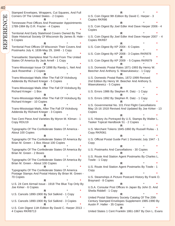Stamped Envelopes, Wrappers, Cut Squares, And Full Corners Of The United States - 2 Copies **R** \* **\*** Tennessee Post Offices And Postmaster Appointments 1789-1984 By D.R. Frazier - 4 Copies **R** \* **\*** Territorial And Early Statehood Covers Owned By The State Historical Society Of Wisconsin By James B. Hale - 5 Copies **R** \* **\*** Territorial Post Offices Of Wisconsin Their Covers And Postmarks July 4, 1836-May 29, 1848 - 1 Copy **R** \* **\*** Transatlantic Stampless Mail To And From The United States Of America By Jack Arnell - 1 Copy **R** \* **\*** Trans-Mississippi Issue Of 1898 By Randy L. Neil And Jack Rosenthal - 2 Copies **R** \* **\*** Trans-Mississippi Mails After The Fall Of Vicksburg Addenda By Richard Krieger - 5 Copies **R** \* **\*** Trans-Mississippi Mails After The Fall Of Vicksburg By Richard Krieger - 1 Box **R** \* **\*** Trans-Mississippi Mails After The Fall Of Vicksburg By Richard Krieger - 10 Copies **R** \* **\*** Trans-Mississippi Mails, After The Fall Of Vicksburg Addenda By Richard Krieger - 3 Copies **R** \* **\*** Two Cent Piece And Varieties By Myron M. Kliman - 1 Copy RDU19 **R** \* **\*** Typographs Of The Confederate States Of America - About 100 Copies **R** \* **\*** Typographs Of The Confederate States Of America By Brian M. Green - 1 Box About 100 Copies **R** \* **\*** Typographs Of The Confederate States Of America By Brian M. Green - 2 Boxes **R** \* **\*** Typographs Of The Confederate States Of America By Brian M. Green - About 100 Copies **R** \* **\*** Typographs Of The Confederate States Of America Postage Stamps And Postal History By Brian M. Green - 70 Copies **R** \* **\*** U.S. 24 Cent Airmail Issue - 1918 The Blue Top Only By Joe Kirker - 6 Copies **R** \* **\*** U.S. Cancels 1890-1900 By Sol Salkind - 1 Copy **R** \* **\*** U.S. Cancels 1890-1900 By Sol Salkind - 3 Copies **R** \* **\*** U.S. Coin Digest 11th Edition By David C. Harper 2013 - 4 Copies RKR8713

**R** \* **\*** U.S. Coin Digest 9th Edition By David C. Harper - 3 Copies RKR86 **R** \* **\*** U.S. Coin Digest By Joel Edler And Dave Harper 2006 - 4 Copies **R** \* **\*** U.S. Coin Digest By Joel Edler And Dave Harper 2007 - 4 Copies RKR87 **R** \* **\*** U.S. Coin Digest By KP 2004 - 6 Copies **R** \* **\*** U.S. Coin Digest By KP 2008 - 3 Copies RKR878 **R** \* **\*** U.S. Coin Digest By KP 2009 - 5 Copies RKR879 **R** \* **\*** U.S. Domestic Postal Rates 1871-1993 By Henry W. Beecher And Anthony S. Wawrukiewicz - 1 Copy **R** \* **\*** U.S. Domestic Postal Rates, 1872-1999 Revised 2nd Edition By Henry W. Beecher And Anthony S. Wawrukiewicz - 5 Copies **R** \* **\*** U.S. Errors 1986 By Stephen R. Datz - 1 Copy **R** \* **\*** U.S. Errors 1992 By Stephen R. Datz - 1 Copy **R** \* **\*** U.S. Governmental No. 101 First Flight Cancellations May 15-16 1918 Revised And Updated By Joe Kirker - 13 Copies **R** \* **\*** U.S. History As Portrayed By U.S. Stamps By Walter L. Tasker Topical Handbook 51 - 2 Copies **R** \* **\*** U.S. Merchant Tokens 1845-1860 By Russell Rulau - 1 Copy RKR061 **R** \* **\*** U.S. Official Postal Guide Part 1 Domestic July 1947 - 1 Copy **R** \* **\*** U.S. Postmarks And Cancellations - 30 Copies **R** \* **\*** U.S. Route And Station Agent Postmarks By Charles L. Towle - 1 Copy **R** \* **\*** U.S. Route And Station Agent Postmarks By Towle - 1 Copy **R** \* **\*** U.S. Steamships A Picture Postcard History By Frank O. Braynard - 8 Copies **R** \* **\*** U.S.A. Consular Post Offices In Japan By John D. And Sheila Riddell - 1 Copy **R** \* **\*** United Postal Stationery Society Catalog Of The 20th Century Stamped Envelopes Supplement 1985-1990 By Austin P. Haller - 35 Copies

**R** \* **\***

United States 1 Cent Franklin 1861-1867 By Don L. Evans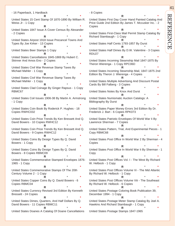- 16 Paperback, 1 Hardback **R** \* **\*** United States 15 Cent Stamp Of 1870-1890 By William R. Weiss Jr - 1 Copy **R** \* **\*** United States 1847 Issue A Cover Census By Alexander - 2 Copies **R** \* **\*** United States Airpost 1918 Issue Precancel Towns And Types By Joe Kirker - 13 Copies **R** \* **\*** United States Beer Stamps 1 Copy **R** \* **\*** United States Cancellations 1845-1869 By Hubert C. Skinner And Amos Eno - 2 Copies **R** \* **\*** United States Civil War Revenue Stamp Taxes By Michael Mahler - 1 Copy **R** \* **\*** United States Civil War Revenue Stamp Taxes By Michael Mahler - 1 Copy **R** \* **\*** United States Clad Coinage By Ginger Rapsus - 1 Copy RBMC67 **R** \* **\*** United States Coil Issues 1906-38 By Martin A. Armstrong - 1 Copy **R** \* **\*** United States Coin Book By Roderick P. Hughes - 18 Copies RWHC032 **R** \* **\*** United States Coin Price Trends By Ken Bressett And Q. David Bowers - 10 Copies RWHC12 **R** \* **\*** United States Coin Price Trends By Ken Bressett And Q. David Bowers - 9 Copies RWHC12 **R** \* **\*** United States Coins By Design Types By Q. David Bowers - 1 Copy **R** \* **\*** United States Coins By Design Types By Q. David Bowers - 8 Copies RBMC09 **R** \* **\*** United States Commemorative Stamped Envelopes 1876- 1965 - 1 Copy **R** \* **\*** United States Commemorative Stamps Of The 20th Century Volume 2 - 1 Copy **R** \* **\*** United States Copper Coins By Q. David Bowers - 6 Copies RBMC04 **R** \* **\*** United States Currency Revised 3rd Edition By Kenneth Bressett - 24 Copies **R** \* **\*** United States Dimes, Quarters, And Half Dollars By Q. David Bowers - 11 Copies RBMC11 **R** \* **\*** United States Doanes A Catalog Of Doane Cancellations

- 8 Copies **R** \* **\*** United States First Day Cover Hand Painted Catalog And Price Guide 2nd Edition By James T. Mccusker Inc. - 2 **Copies R** \* **\*** United States First-Class Mail Permit Stamp Catalog By Richard Stambaugh - 1 Copy **R** \* **\*** United States Half Cents 1793-1857 By Durst **R** \* **\*** United States Half Dimes By D.W. Valentine - 3 Copies RDU27 **R** \* **\*** United States Incoming Steamship Mail 1847-1875 By Theron Wierenga - 1 Copy RPC06D **R** \* **\*** United States Incoming Steamship Mail, 1847-1875 2nd Edition By Theron J. Wierenga - 4 Copies **R** \* **\*** United States Multiple Advertising And Discount Postal Cards By Bill Falberg - 3 Copies **R** \* **\*** United States Notes By Knox And Durst **R** \* **\*** United States Numismatic Auction Catalogs: A Bibliography By Durst **R** \* **\*** United States Paper Money Errors 3rd Edition By Dr. Frederick J. Bart - 6 Copies RPK073 **R** \* **\*** United States Patriotic Envelopes Of World War Ii By Lawrence Sherman - 7 Copies **R** \* **\*** United States Pattern, Trial, And Experimental Pieces - 1 Copy RBMC68 **R** \* **\*** United States Post Office In World War 2 By Sherman - 4 Copies **R** \* **\*** United States Post Office In World War Ii By Sherman - 1 Copy **R** \* **\*** United States Post Offices Vol. I - The West By Richard W. Helbock - 1 Copy **R** \* **\*** United States Post Offices Volume Vi - The Mid Atlantic By Richard W. Helbock - 1 Copy **R** \* **\*** United States Post Offices Volume Viii - The Southeast By Richard W. Helbock - 6 Copies **R** \* **\*** United States Postage Coloring Book Publication 39, December 1994 - 1 Copy **R** \* **\*** United States Postage Meter Stamp Catalog By Joel A. Hawkins And Richard Stambaugh - 1 Copy **R** \* **\*** United States Postage Stamps 1847-1965

41

REFERENCE

 $\overline{\Xi}$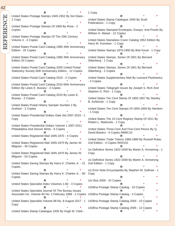REFERENCE REFEREN

42

**R** \* **\*** United States Postage Stamps 1945-1952 By Sol Glass - 1 Copy **R** \* **\*** United States Postage Stamps Of 1869 By Rose - 2 Copies **R** \* **\*** United States Postage Stamps Of The 20th Century Volume 4 - 3 Copies **R** \* **\*** United States Postal Card Catalog 1990 45th Anniversary Edition - 25 Copies **R** \* **\*** United States Postal Card Catalog 1990 45th Anniversary Edition 20 Copies **R** \* **\*** United States Postal Card Catalog 2005 United Postal Stationery Society 60th Anniversary Edition - 12 Copies **R** \* **\*** United States Postal Card Catalog 2010 - 2 Copies **R** \* **\*** United States Postal Card Catalog 2010 65th Anniversary Edition By Lewis E. Bussey - 3 Copies **R** \* **\*** United States Postal Card Catalog 2010 By Lewis E. Bussey - 2 Copies **R** \* **\*** United States Postal History Sampler Number 2 By Graham - 2 Copies **R** \* **\*** United States Presidential Dollars Date Set 2007-2015 - 1 Copy **R** \* **\*** United States Presidential Dollars Volume 1 2007-2011 Philadelphia And Denver Mints - 6 Copies **R** \* **\*** United States Registered Mail 1845-1870 - 4 Copies **R** \* **\*** United States Registered Mail 1845-1870 By James W. Milgram - 45 Copies **R** \* **\*** United States Registered Mail 1845-1870 By James W. Milgram - 53 Copies **R** \* **\*** United States Saving Stamps By Harry K. Charles Jr. - 21 Copies **R** \* **\*** United States Saving Stamps By Harry K. Charles Jr. - 60 Copies **R** \* **\*** United States Specialist Index Volumes 1-60 - 3 Copies **R** \* **\*** United States Specialist Journal Of The Bureau Issues Associatin Inc. Volume 60 No. 2 February 1989 - 2 Copies US/Bna Postage Stamp Catalog - 3 Copies **R** \* **\*** United States Specialist Volume 88 No. 8 August 2017 - 1 Copy **R** \* **\*** United States Stamp Catalogue 1935 By Hugh M. Clark -

1 Copy **R** \* **\*** United States Stamp Catalogue 1940 By Scott Publications - 1 Copy **R** \* **\*** United States Stamped Envelopes, Essays, And Proofs By William H. Maisel - 12 Copies **R** \* **\*** United States Stampless Cover Catalog 1952 Edition By Harry M. Konwiser - 1 Copy **R** \* **\*** United States Stamps 1870-1950 By Bob Koval - 1 Copy **R** \* **\*** United States Stamps, Series Of 1901 By Bernard Silberberg - 1 Copy **R** \* **\*** United States Stamps, Series Of 1901 By Bernard Silberberg - 2 Copies **R** \* **\*** United States Supplementary Mail By Leonard Piszkiewicz - 2 Copies **R** \* **\*** United States Telegraph Issues By Joseph S. Rich And Stephen G. Rich - 1 Copy **R** \* **\*** United States Ten Cent Stamp Of 1855-1857 By Stanley B. Ashbrook - 1 Copy **R** \* **\*** United States Ten Cent Stamps Of 1855-1859 By Neinken - 1 Copy **R** \* **\*** United States The 10 Cent Registry Stamp Of 1911 By Robert L. Markovits - 1 Copy **R** \* **\*** United States Three-Cent And Five-Cent Pieces By Q. David Bowers - 6 Copies RBMC10 **R** \* **\*** United States Trade Tokens 1866-1889 By Russell Rulau 2nd Edition - 4 Copies RKR152 **R** \* **\*** Us Definitive Series 1922-1939 By Martin A. Armstrong - 1 Copy **R** \* **\*** Us Definitive Series 1922-1939 By Martin A. Armstrong 2nd Edition - 1 Copy **R** \* **\*** Us Error Note Encyclopedia By Stephen M. Sullivan - 1 Copy **R** \* **\*** Us/ Bna 2009 - 24 Copies **R** \* **\*** US/Bna Postage Stamp Catalog - 10 Copies **R** \* **\* R** \* **\*** US/Bna Postage Stamp Catalog 2004 - 10 Copies **R** \* **\*** US/Bna Postage Stamp Catalog 2005 - 12 Copies

**R** \* **\***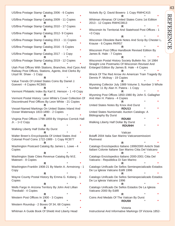| US/Bna Postage Stamp Catalog 2006 - 6 Copies                                                                                               |  |
|--------------------------------------------------------------------------------------------------------------------------------------------|--|
| US/Bna Postage Stamp Catalog 2009 - 11 Copies                                                                                              |  |
| US/Bna Postage Stamp Catalog 2010 - 17 Copies                                                                                              |  |
| US/Bna Postage Stamp Catalog 2012- 9 Copies<br>×                                                                                           |  |
| US/Bna Postage Stamp Catalog 2013 - 11 Copies<br>*                                                                                         |  |
| US/Bna Postage Stamp Catalog 2016 - 5 Copies                                                                                               |  |
| US/Bna Postage Stamp Catalog 2017 - 1 Copy                                                                                                 |  |
| US/Bna Postage Stamp Catalog 2019 - 12 Copies                                                                                              |  |
| Utah Post Offices With Stations, Branches, And Cpos And<br>Railway Post Offices, Stations, Agents, And Clerks By<br>Lloyd W. Shaw - 1 Copy |  |
| Value Trends Of United States Coins By Daniel J.                                                                                           |  |
| Goevert - 4 Copies RCB65                                                                                                                   |  |
| Vermont Philatelic Index By Karl E. Henson - 1 +9 Copy                                                                                     |  |
| Vermont Postal History: Leon White's Cover Collection Of<br>Discontinued Post Offices By Leon White - 21 Copies                            |  |
| Vessel-Named Markings On United States Inland And<br>Ocean Waterways 1810-1890 - 2 Copies<br>R                                             |  |
| Virginia Post Offices 1798-1859 By Virginius Cornick Hall<br>Jr. - 1+2 Copy                                                                |  |
| R<br>Walking Liberty Half Dollar By Durst                                                                                                  |  |
| Walter Breen's Encyclopedia Of United States And<br>Colonial Proof Coins 1722-1989 - 1 Copy RCB77                                          |  |
| R<br>Washington Postcard Catalog By James L. Lowe - 4<br>Copies                                                                            |  |
| *<br>R                                                                                                                                     |  |
| Washington State Cities Revenue Catalog By M.E.<br>Matesen - 8 Copies                                                                      |  |
| R<br>Washington-Franklin 1908-21 By Martin A. Armstrong - 1<br>Copy                                                                        |  |
| R<br>Wayne County Postal History By Emma G. Koberg - 3<br>Copies                                                                           |  |
| *<br>R<br>Wells Fargo In Arizona Territory By John And Lillian<br>Theobald - 4 Copies                                                      |  |
| *<br>R                                                                                                                                     |  |
| Western Post Offices In 1900 - 3 Copies<br>*<br>R                                                                                          |  |
| Western Roundup - 2 Boxes Of 34, 68 Copies<br>*<br>R                                                                                       |  |
| Whitman A Guide Book Of Shield And Liberty Head                                                                                            |  |

**R** \* **\*** Whitman Almanac Of United States Coins 1st Edition 2013 - 12 Copies RWHC0813 **R** \* **\*** Wisconsin Its Territorial And Statehood Post Offices - 1 +3 Copy **R** \* **\*** Wisconsin Obsolete Bank Notes And Scrip By Chester L. Krause - 6 Copies RKR57 **R** \* **\*** Wisconsin Post Office Handbook Revised Edition By James B. Hale - 7 Copies **R** \* **\*** Wisconsin Postal History Society Bulletin No. 14 1984 Straight Line Postmarks Of Wisconsin Revised And Enlarged Edition By James B. Hale - 4 Copies **R** \* **\*** Wreck Of The Red Arrow An American Train Tragedy By Dennis P. Mcilnay - 19 Copies **R** \* **\*** Wyoming Collector July 1989 Volume 3, Number 3 Whole Number 11 By Alan H. Patera - 1 Copy **R** \* **\*** Wyoming Post Offices 1850-1980 By John S. Gallagher And Alan H. Patera - 4 Copies **R** \* **\*** United States Notes By Knox And Durst **RDU13** \* **\*** United States Numismatic Auction Catalogs: A Bibliography By Durst **RDU60** \* **\*** Walking Liberty Half Dollar By Durst  **RDU94H** \* **\*** Vatican Bolaffi 2004 Italia San Marino Vaticanoemissioni Plurinvest **R** \* **\*** Catalogo Enciclopedico Italiano 1999/2000 Antichi Stati Italiani Colonie Italiane San Marino Citta Del Vaticano **R** \* **\*** Catalogo Enciclopedico Italiano 2000-2001 Citta Del Vaticano - Repubblica Di San Marino **R** \* **\*** Catalogo Unificado De Sellos Semiespecializado Estados De La Iglesia Vaticano Edifil 1996 **R** \* **\*** Catalogo Unificado De Sellos Semiespecializado Estados De La Iglesia Vaticano 1996 **R** \* **\*** Catalogo Unificado De Sellos Estados De La Iglesia Vaticano 2000 By Edifil **R** \* **\*** Coins And Medals Of The Vatican By Durst **RDU59** \* **\***

Nickels By Q. David Bowers- 1 Copy RWHC415

Victoria Instructional And Informative Markings Of Victoria 1852-

# 43

REFERENCE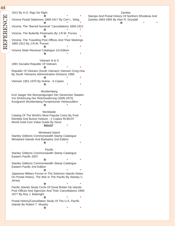| 44        |                                                                                                                                                                        |         |         |
|-----------|------------------------------------------------------------------------------------------------------------------------------------------------------------------------|---------|---------|
|           | 1913 By A.G. Rigo De Righi                                                                                                                                             |         |         |
| REFERENCE | R<br>Victoria Postal Stationery 1869-1917 By Carl L. Steig                                                                                                             |         |         |
|           | Victoria: The "Barred Numeral" Cancellations 1856-1912<br>R                                                                                                            |         |         |
|           | Victoria: The Butterfly Postmarks By J.R.W. Purves                                                                                                                     |         |         |
|           | Victoria: The Travelling Post Offices And Their Markings<br>1865-1912 By J.R.W. Purves                                                                                 |         |         |
|           | R<br>Victoria State Revenue Catalogue 1st Edition                                                                                                                      |         |         |
|           | R                                                                                                                                                                      |         |         |
|           | Vietnam N & S<br>1991 Socialist Republic Of Vietnam                                                                                                                    |         |         |
|           | R<br>Republic Of Vietnam (South Vietnam) Vietnam Cong Hoa                                                                                                              |         |         |
|           | By South Vietnams Administrative Divisions 1966                                                                                                                        |         |         |
|           | Vietnam 1951-1970 By Nuline - 6 Copies<br>R                                                                                                                            |         |         |
|           | Wurttemberg                                                                                                                                                            |         |         |
|           | Kurt Jaeger Die Munzpragungen Der Deutschen Staaten<br>Vor Einfuhrung Der Reichswahrung (1806-1873)<br>Konigreich Wurttemberg Furstentumer Hohenzollern                |         |         |
|           | R                                                                                                                                                                      |         |         |
|           | Worldwide<br>Catalog Of The World's Most Popular Coins By Fred<br>Reinfeld And Burton Hobson - 2 Copies RCBC07<br>World Gold Coin Value Guide By Durst<br><b>RDU37</b> |         |         |
|           | Windward Island<br>Stanley Gibbons Commonwealth Stamp Catalogue<br>Windward Islands And Barbados 2nd Edition<br>R                                                      |         | $\star$ |
|           | Pacific<br>Stanley Gibbons Commonwealth Stamp Catalogue                                                                                                                |         |         |
|           | Eastern Pacific 2007<br>R                                                                                                                                              |         | *       |
|           | Stanley Gibbons Commonwealth Stamp Catalogue<br>Eastern Pacific 2nd Edition                                                                                            |         | ÷       |
|           | R<br>Japanese Military Forces In The Solomon Islands Notes<br>On Postal History, The War In The Pacific By Stanley C.<br>Jersey                                        |         |         |
|           | R<br>Pacific Islands Study Circle Of Great Britain Fiji Islands<br>Post Offices And Agencies And Their Cancellations 1956-<br>1977 By Roy J. Botwright                 |         |         |
|           | R<br>Postal History/Cancellation Study Of The U.S. Pacific                                                                                                             |         |         |
|           | Islands By Robert T. Murphy<br>R                                                                                                                                       | $\star$ | *       |
|           |                                                                                                                                                                        |         |         |

| amr |  |
|-----|--|
|     |  |

Stamps And Postal History Of Northern Rhodesia And Zambia 1963-1965 By Alan R. Drysdall

**R** \* **\***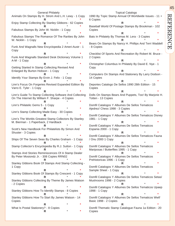General Philately Animals On Stamps By H. Strom And L.H. Lewy - 1 Copy **R** \* **\*** Enjoy Stamp Collecting By Stanley Gibbons - 62 Copies **R** \* **\*** Fabulous Stamps By John W. Nicklin - 1 Copy **R** \* **\*** Fabulous Stamps The Romance Of The Rarities By John W. Nicklin - 1 Copy **R** \* **\*** Funk And Wagnalls New Encyclopedia 2 Ameri-Austr - 1 Copy **R** \* **\*** Funk And Wagnalls Standard Desk Dictionary Volume 1 A-M - 1 Copy **R** \* **\*** Getting Started In Stamp Collecting Revised And Enlarged By Burton Hobson - 1 Copy **R** \* **\*** Identify Your Stamps By Ervin J. Felix - 1 Copy **R** \* **\*** Linn's Focus On Forgeries Revised Expanded Edition By Varro E. Tyler - 1 Copy **R** \* **\*** Linn's Guide To Stamp Collecting Software And Collecting On The Internet By William F. Sharpe - 4 Copies **R** \* **\*** Linn's Philatelic Gems 5 - 1 Copy **R** \* **\*** Linn's Stamp Collecting Made Easy - 30 Copies **R** \* **\*** Linn's The Worlds Greatest Stamp Collectors By Stanley M. Bierman - 1 Paperback, 2 Hardback **R** \* **\*** Scott's New Handbook For Philatelists By Simon And Shuster - 3 Copies **R** \* **\*** Ships Of The Seven Seas By Charles Graham - 1 Copy **R** \* **\*** Stamp Collector's Encyclopedia By R.J. Sutton - 1 Copy **R** \* **\*** Stamps And Stories Reminiscences Of A Stamp Dealer By Peter Mosiondz Jr. - 308 Copies RRN02 **R** \* **\*** Stanley Gibbons Book Of Stamps And Stamp Collecting - 1 Copy **R** \* **\*** Stanley Gibbons Book Of Stamps By Crescent - 1 Copy **R** \* **\*** Stanley Gibbons Collecting By Theme By James Watson - 2 Copies **R** \* **\*** Stanley Gibbons How To Identify Stamps - 8 Copies **R** \* **\*** Stanley Gibbons How To Start By James Watson - 14 Copies **R** \* **\*** What Is Postal Stationery? - 8 Copies **R** \* **\***

Topical Catalogs 1990 By Topic Stamp Annual Of Worldwide Issues - 11 + 6 Copies **R** \* **\*** Baseball World Of Postage Stamps By Brookman - 102 Copies **R** \* **\*** Bats In Philately By Thomas M. Lera - 3 Copies **R** \* **\*** Bears On Stamps By Nancy H. Phillips And Terri Waddell - 8 Copies **R** \* **\*** Checklist Of Sports And Recreation By Robert M. Bruce - 2 Copies **R** \* **\*** Christopher Columbus In Philately By David E. Nye - 1 Copy **R** \* **\*** Computers On Stamps And Stationery By Larry Dodson - 14 Copies **R** \* **\*** Deportes Catalogo De Sellos 1990 28th Edition - 15 Copies **R** \* **\*** Dolls On Stamps Bears And Puppets, Too! By Marjorie H. Totten - 13 Copies **R** \* **\*** Domfil Catalogos Y Albumes De Sellos Tematicos Ajedrez/ Chess 1998 - 3 Copies **R** \* **\*** Domfil Catalogos Y Albumes De Sellos Tematicos Disney 1981 - 1 Copy **R** \* **\*** Domfil Catalogos Y Albumes De Sellos Tematicos Espania 2000 - 1 Copy **R** \* **\*** Domfil Catalogos Y Albumes De Sellos Tematicos Fauna / Onu 2000 1 Copy **R** \* **\*** Domfil Catalogos Y Albumes De Sellos Tematicos Mariposas / Butterflies 1995 - 1 Copy **R** \* **\*** Domfil Catalogos Y Albumes De Sellos Tematicos Prehistoricas 1996 - 1 Copy **R** \* **\*** Domfil Catalogos Y Albumes De Sellos Tematicos Sample Sheet - 1 Copy **R** \* **\*** Domfil Catalogos Y Albumes De Sellos Tematicos Setas/ Mushrooms 1998 - 2 Copies **R** \* **\*** Domfil Catalogos Y Albumes De Sellos Tematicos Upaep 1998 - 1 Copy **R** \* **\*** Domfil Catalogos Y Albumes De Sellos Tematicos Wwf/ Basic 1998 - 2 Copies **R** \* **\*** Domfil Thematic Stamp Catalogue Fauna 1a Edition - 20

Copies

45

REFERENCE

 $\overline{\Xi}$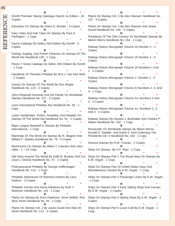**R** \* **\*** Domfil Thematic Stamp Catalogue Sports 1a Edition - 24 Copies **R** \* **\*** Education On Stamps By Arthur E. Brooke - 2 Copies **R** \* **\*** Fairy Tales And Folk Tales On Stamps By Paul G. Partington - 1 Copy **R** \* **\*** Fauna Catalogo De Sellos 23rd Edition By Domfil - 4 Copies **R** \* **\*** Fishing, Angling, And Finfish Fisheries On Stamps Of The World Ata Handbook 129 - 1 Copy **R** \* **\*** Flores Y Setas Catalogo De Sellos 25th Edition By Domfil - 1 Copy **R** \* **\*** Handbook Of Thematic Philately By W.E.J. Van Den Bold - 2 Copies **R** \* **\*** Insects On Stamps Of The World By Don Wright Handbook No. 123 - 2 Copies **R** \* **\*** John Fitzgerald Kennedy And His Family On Worldwide Stamps Handbook No. 127 - 3 Copies **R** \* **\*** Lions International Philately Ata Handbook No. 59 - 1 Copy **R** \* **\*** Lower Vertebrates: Fishes, Amphibia, And Reptiles On Stamps Of The World Ata Handbook No. 91 - 2 Copies **R** \* **\*** Major League Baseball In Stamps By Philatelic International - 1 Copy **R** \* **\*** Mammals Of The World On Stamps By R. Wagner And Willard F. Stanley Handbook No. 79 - 4 Copies **R** \* **\*** Mushrooms On Stamps By Albert J. Casciero And John Ultee -  $1 + 15$  Copy **R** \* **\*** Old Glory Around The World By Edith B. Buckley And Col. Lloyd J. Dockal Handbook No. 75 - 2 Copies **R** \* **\*** Pharmaceutical Philately By George Griffenhagen Handbook No. 114 - 1 Copy **R** \* **\*** Philatelic Adventures Of Sherlock Holmes By Larry Dodson - 3 Copies **R** \* **\*** Philatelic Horses And Horse Relatives By Ruth Y. Wetmore Handbook No. 116 - 1 Copy **R** \* **\*** Plants On Stamps By Doris Patterson, Anne Delfeld, And Alice Sents Handbook No. 94 - 1 Copy **R** \* **\*** Plants On Stamps Vol. 2 By Jeane Gould And Alice W. Sents Handbook No. 112 - 2 Copies

**R** \* **\*** Plants On Stamps Vol. 3 By Alex Stansen Handbook No. 137 - 4 Copies **R** \* **\*** Plants On Stamps Vol. 4 By Alex Stansen And Jeane Gould Handbook No. 149 - 3 Copies **R** \* **\*** Presidents Of The 20th Century On Worldwide Stamps By Melvin Morris Handbook No. 154 - 1 Copy **R** \* **\*** Railway History Monograph Volume 18 Number 3 - 3 Copies **R** \* **\*** Railway History Monograph Volume 18 Number 4 - 5 Copies **R** \* **\*** Railway History Monograph Volume 19 Numbers 1 And 2 - 4 Copies **R** \* **\*** Railway History Monograph Volume V, Number 1 - 5 Copies **R** \* **\*** Railway History Monograph Volume Xi Numbers 2, 3, And 4 - 1 Copy **R** \* **\*** Railway History Monograph Volume Xiv Numbers 3 And 4 - 3 Copies **R** \* **\*** Railway History Monograph Volume Xv, Numbers 2, 3, And 4 - 5 Copies **R** \* **\*** Railway Stamps By Howard J. Burkhalter And Charles P. Wales Handbook No. 102 - 1 Copy **R** \* **\*** Roosevelts On Worldwide Stamps By Melvin Morris, Donald D. Saddler, And David A. Kent Collecting The Presidents Vol. 4 Handbook No. 144 - 1 Copy **R** \* **\*** Science Stamps By R.W. Truman - 2 Copies **R** \* **\*** Ships On Stamps By H.F. Rayl - 1 Copy **R** \* **\*** Ships On Stamps Part 1 The Royal Navy On Stamps By E.W. Argyle - 1 Copy **R** \* **\*** Ships On Stamps Part 10 United States Navy And Miscellaneous Vessels By E.W. Argyle - 1 Copy **R** \* **\*** Ships On Stamps Part 2 Passenger Liners By E.W. Argyle - 1 Copy **R** \* **\*** Ships On Stamps Part 3 Early Sailing Ships And Canoes By E.W. Argyle - 2 Copies **R** \* **\*** Ships On Stamps Part 4 Sailing Ships By E.W. Argyle - 2 Copies **R** \* **\*** Ships On Stamps Part 5 Local Craft By E.W. Argyle - 1 Copy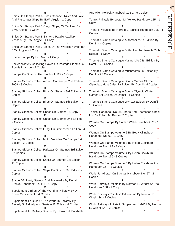**R** \* **\*** Ships On Stamps Part 6 Cross-Channel, River And Lake, And Passenger Ships By E.W. Argyle - 1 Copy **R** \* **\*** Ships On Stamps Part 7 Cargo Ships, Oil Tankers By E.W. Argyle - 1 Copy **R** \* **\*** Ships On Stamps Part 8 Sail And Paddle Auxiliary Vessels By E.W. Argyle - 1 Copy **R** \* **\*** Ships On Stamps Part 9 Ships Of The World's Navies By E.W. Argyle - 1 Copy **R** \* **\*** Space Stamps By Leo Malz - 1 Copy **R** \* **\*** Speleophilately Collecting Caves On Postage Stamps By Rovvie L. Nixon - 2 Copies **R** \* **\*** Stamps On Stamps Ata Handbook 122 - 1 Copy **R** \* **\*** Stanley Gibbons Collect Aircraft On Stamps 2nd Edition 2009 - 8 Copies **R** \* **\*** Stanley Gibbons Collect Birds On Stamps 3rd Edition - 17 Copies **R** \* **\*** Stanley Gibbons Collect Birds On Stamps 5th Edition - 2 Copies **R** \* **\*** Stanley Gibbons Collect Chess On Stamps - 1 Copy **R** \* **\*** Stanley Gibbons Collect Chess On Stamps 2nd Edition - 7 Copies **R** \* **\*** Stanley Gibbons Collect Fungi On Stamps 2nd Edition - 4 Copies **R** \* **\*** Stanley Gibbons Collect Motor Vehicles On Stamps 1st Edition - 3 Copies **R** \* **\*** Stanley Gibbons Collect Railways On Stamps 3rd Edition - 2 Copies **R** \* **\*** Stanley Gibbons Collect Shells On Stamps 1st Edition - 11 Copies **R** \* **\*** Stanley Gibbons Collect Ships On Stamps 3rd Edition - 8 Copies **R** \* **\*** Statue Of Liberty Stamps And Postmarks By Donald Brenke Handbook No. 111 - 1 Copy **R** \* **\*** Supplement 2 Birds Of The World In Philately By Dr. Bruce Cruickshank - 4 Copies **R** \* **\*** Supplement To Birds Of The World In Philately By Beverly S. Ridgely And Gustavs E. Eglajs - 4 Copies **R** \* **\***

Supplement To Railway Stamps By Howard J. Burkhalter

And Allen Pollock Handbook 102-1 - 5 Copies **R** \* **\*** Tennis Philately By Lester M. Yerkes Handbook 125 - 1 Copy **R** \* **\*** Theatre Philatelic By Harrold C. Shiffler Handbook 126 - 4 Copies **R** \* **\*** Thematic Stamp Catalogue Automobiles 1a Edition By Domfil - 4 Copies **R** \* **\*** Thematic Stamp Catalogue Butterflies And Insects 24th Edition - 1 Copy **R** \* **\*** Thematic Stamp Catalogue Marine Life 24th Edition By Domfil - 20 Copies **R** \* **\*** Thematic Stamp Catalogue Mushrooms 2a Edition By Domfil - 22 Copies **R** \* **\*** Thematic Stamp Catalogue Sports Games Of The Olympiad, Host Cities 1a Edition By Domfil - 4 Copies **R** \* **\*** Thematic Stamp Catalogue Sports Olympic Winter Games 1st Edition By Domfil - 4 Copies **R** \* **\*** Thematic Stamp Catalogue Wwf 1st Edition By Domfil -10 Copies **R** \* **\*** Topical Handbook No. 35 Sports And Recreation Check-List By Robert M. Bruce - 2 Copies **R** \* **\*** Women On Stamps By Sophia Webb Handbook 71 - 1 Copy **R** \* **\*** Women On Stamps Volume 2 By Betty Killingbeck Handbook No. 93 - 1 Copy **R** \* **\*** Women On Stamps Volume 3 By Helen Cockburn Handbook No. 124 - 1 Copy **R** \* **\*** Women On Stamps Volume 4 By Helen Cockburn Handbook No. 136 - 3 Copies **R** \* **\*** Women On Stamps Volume 5 By Helen Cockburn Ata Handbook 157 - 2 Copies **R** \* **\*** World Jet Aircraft On Stamps Handbook No. 57 - 2 Copies **R** \* **\*** World Railways Philatelic By Norman E. Wright Sr. Ata Handbook 138 - 1 Copy **R** \* **\*** World Railways Philatelic Cd Version By Norman E. Wright Sr. - 2 Copies **R** \* **\*** World Railways Philatelic Supplement 1-2001 By Norman E. Wright Sr. - 2 Copies

**R** \* **\***

47

REFERENCE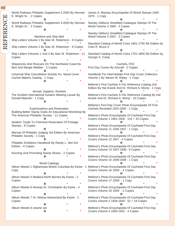| 48        |  |                                                                                   |   |                                                                                                            |  |
|-----------|--|-----------------------------------------------------------------------------------|---|------------------------------------------------------------------------------------------------------------|--|
|           |  | World Railways Philatelic Supplement 2-2002 By Norman<br>E. Wright Sr. - 2 Copies |   | James A. Mackay Encyclopedia Of World Stamps 1945-<br>1975 - 1 Copy                                        |  |
| REFERENCE |  |                                                                                   |   | R                                                                                                          |  |
|           |  | World Railways Philatelic Supplement 3-2003 By Norman                             |   | Stanley Gibbons Simplified Catalogue Stamps Of The                                                         |  |
|           |  | E. Wright Sr. - 2 Copies                                                          |   | World Volume 3 1994 - 3 Copies                                                                             |  |
|           |  | R                                                                                 |   |                                                                                                            |  |
|           |  |                                                                                   |   | Stanley Gibbons Simplified Catalogue Stamps Of The                                                         |  |
|           |  | Maritime and Ship Mail                                                            |   | World Volume 3 2001 - 3 Copies                                                                             |  |
|           |  | Ship Letters Volume 1 By Alan W. Robertson - 9 Copies                             |   |                                                                                                            |  |
|           |  |                                                                                   |   | Standard Catalog of World Coins 1601-1700 4th Edition by                                                   |  |
|           |  | Ship Letters Volume 2 By Alan W. Robertson - 9 Copies                             |   | Colin R. Bruce II                                                                                          |  |
|           |  |                                                                                   |   | R                                                                                                          |  |
|           |  | Ship Letters Volumes 1 And 2 By Alan W. Robertson - 11                            |   | Standard Catalog of World Coins 1701-1800 5th Edition by                                                   |  |
|           |  | Copies                                                                            |   | George S. Cuhaj                                                                                            |  |
|           |  | R                                                                                 |   |                                                                                                            |  |
|           |  | Shipwrecks And Rescues On The Northwest Coast By                                  |   | Cachets, FDC                                                                                               |  |
|           |  | Bert And Margie Webber - 2 Copies                                                 |   | First Day Covers By Artcraft - 2 Copies                                                                    |  |
|           |  |                                                                                   |   |                                                                                                            |  |
|           |  | Universal Ship Cancellation Society Inc. Naval Cover                              |   | Handbook For Intermediate First Day Cover Collectors                                                       |  |
|           |  | Cachet Makers Catalog - 1 Copy                                                    |   | Volume 1 By Steven M. Ripley - 1 Copy                                                                      |  |
|           |  |                                                                                   |   |                                                                                                            |  |
|           |  |                                                                                   |   | Mellone's First Cachets A Fdc Reference Catalog 2nd                                                        |  |
|           |  |                                                                                   |   | Edition By Hal Ansink And Dr. Richard A. Monty - 1 Copy                                                    |  |
|           |  | Airmail, Zepplins, Rockets                                                        |   |                                                                                                            |  |
|           |  | The Scottish International Aviation Meeting Lanark By                             |   | Mellone's First Cachets A Fdc Reference Catalog By Hal                                                     |  |
|           |  | Donald Malcolm - 1 Copy                                                           |   | Ansink And Dr. Richard A. Monty - 10 Copies                                                                |  |
|           |  | R                                                                                 |   |                                                                                                            |  |
|           |  |                                                                                   |   | Mellone's First Day Cover Photo Encyclopedia Of First                                                      |  |
|           |  | <b>Expertizations and Restoration</b>                                             |   | Cachets Revealed 1923-2005 - 1 Copy                                                                        |  |
|           |  | Building Better Stamp Clubs An Educational Workshop By                            |   |                                                                                                            |  |
|           |  | The American Philatelic Society - 11 Copies                                       |   | Mellone's Photo Encyclopedia Of Cacheted First Day                                                         |  |
|           |  |                                                                                   |   | Covers Volume 1 1901-1928 - 116 + 33 Copies                                                                |  |
|           |  | Dealers' Guide To Chemical Restoration Of Postage                                 |   | R                                                                                                          |  |
|           |  | Stamps - 8 Copies                                                                 |   | Mellone's Photo Encyclopedia Of Cacheted First Day                                                         |  |
|           |  | R                                                                                 |   | Covers Volume 11 1936-1937 - 1 Copy                                                                        |  |
|           |  | Manual Of Philatelic Judging 3rd Edition By American                              |   |                                                                                                            |  |
|           |  | Philatelic Society - 1 Copy                                                       |   | Mellone's Photo Encyclopedia Of Cacheted First Day                                                         |  |
|           |  |                                                                                   |   | Covers Volume 12 1937 - 4 Copies                                                                           |  |
|           |  | Philatelic Exhibitors Handbook By Randy L. Neil 3rd<br>Edition - 4 Copies         |   | Mellone's Photo Encyclopedia Of Cacheted First Day                                                         |  |
|           |  | R                                                                                 |   | Covers Volume 13 1937-1938 - 8 Copies                                                                      |  |
|           |  | Running And Promoting Stamp Shows - 2 Copies                                      |   |                                                                                                            |  |
|           |  | R                                                                                 |   | Mellone's Photo Encyclopedia Of Cacheted First Day                                                         |  |
|           |  |                                                                                   |   | Covers Volume 15 1938-1939 - 1 Copy                                                                        |  |
|           |  | <b>World Catalogs</b>                                                             |   |                                                                                                            |  |
|           |  |                                                                                   |   | Album Weeds 1 Afghanistan-British Columbia By Earee - 1 Mellone's Photo Encyclopedia Of Cacheted First Day |  |
|           |  | Copy                                                                              |   | Covers Volume 16 1939- - 2 Copies                                                                          |  |
|           |  | R                                                                                 |   |                                                                                                            |  |
|           |  | Album Weeds 5 Madeira-North Borneo By Earee - 2                                   |   | Mellone's Photo Encyclopedia Of Cacheted First Day                                                         |  |
|           |  | Copies                                                                            |   | Covers Volume 17 1939- - 1 Copy                                                                            |  |
|           |  | R                                                                                 |   |                                                                                                            |  |
|           |  | Album Weeds 6 Norway-St. Christopher By Earee - 4                                 |   | Mellone's Photo Encyclopedia Of Cacheted First Day                                                         |  |
|           |  | Copies                                                                            |   | Covers Volume 18 1939- - 2 Copies                                                                          |  |
|           |  | R                                                                                 |   |                                                                                                            |  |
|           |  | Album Weeds 7 St. Helena-Switzerland By Earee - 2                                 |   | Mellone's Photo Encyclopedia Of Cacheted First Day                                                         |  |
|           |  | Copies                                                                            |   | Covers Volume 2 1928-1929 - 52 + 19 Copies                                                                 |  |
|           |  | R<br>Album Weeds 8 volume set                                                     |   | R                                                                                                          |  |
|           |  | R                                                                                 | * | Mellone's Photo Encyclopedia Of Cacheted First Day<br>Covers Volume 3 1930-1932 - 4 Copies                 |  |
|           |  |                                                                                   |   |                                                                                                            |  |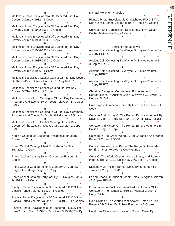**R** \* **\*** Mellone's Photo Encyclopedia Of Cacheted First Day Covers Volume 4 1932 - 1 Copy **R** \* **\*** Mellone's Photo Encyclopedia Of Cacheted First Day Covers Volume 5 1932-1933 - 3 Copies **R** \* **\*** Mellone's Photo Encyclopedia Of Cacheted First Day Covers Volume 6 1933-1934 - 1 Copy **R** \* **\*** Mellone's Photo Encyclopedia Of Cacheted First Day Covers Volume 7 1934-1935 - 3 Copies **R** \* **\*** Mellone's Photo Encyclopedia Of Cacheted First Day Covers Volume 8 1935-1936 - 1 Copy **R** \* **\*** Mellone's Photo Encyclopedia Of Cacheted First Day Covers Volume 9 1936 - 1 Copy **R** \* **\*** Mellone's Specialized Cachet Catalof Of First Day Covers Of The 1940's Volumes 1 And 2 - 1 Copy RME01 **R** \* **\*** Mellone's Specialized Cachet Catalog Of First Day Covers Of The 1960's - 9 Copies **R** \* **\*** Mellone's Specialized Catalogue Of First Day Ceremonety Programs And Events By Dr. Scott Pelayger - 17 Copies RME20 **R** \* **\*** Mellone's Specialized Catalogue Of First Day Ceremony Programs And Events By Dr. Scott Pelcyger - 3 Boxes **R** \* **\*** Mellones' Specialized Cachet Catalog Of First Day Covers Of The 1950's A Decade Of Cachets - 1 Copy RME02 **R** \* **\*** Noble's Catalog Of Cacheted Presidential Inaugural Covers - 1 Copy **R** \* **\*** Photo Cachet Catalog Albert E. Gorham By David Zubatsky - 1 Copy **R** \* **\*** Photo Cachet Catalog Fulton Covers 1st Edition - 21 Copies **R** \* **\*** Photo Cachet Catalog Fulton Covers By Dr. John E. Borges And Marge Finger - 1 Copy **R** \* **\*** Photo Cachet Catalog Harry Ioor By Dr. Douglas Parks 1st Edition - 1 Copy **R** \* **\*** Planty's Photo Encyclopedia Of Cacheted F.D.C.S The Classic Period Volume 4 1932 - 6 Copies **R** \* **\*** Planty's Photo Encyclopedia Of Cacheted F.D.C.S The Classic Period Volume Volume 1 1923-1928 - 17 Copies **R** \* **\*** Planty's Photo Encyclopedia Of Cacheted F.D.C.S The

Neo-Classic Period 1934-1939 Volume 9 1938-1939 By

Michael Mellone - 7 Copies **R** \* **\*** Planty's Photo Encyclopedia Of Cacheted F.D.C.S The Neo-Classic Period Volume 8 1937 - About 40 Copies **R** \* **\*** Universal Ship Cancellation Society Inc. Naval Cover Cachet Makers Catalog - 1 Copy **R** \* **\*** Ancient and Medieval Anceint Coin Collecting By Wanye G. Sayles Volume 3 - 1 Copy RKR76 **R** \* **\*** Ancient Coin Collecting By Wayne G. Sayles Volume 1 - 3 Copies RKR69 **R** \* **\*** Ancient Coin Collecting By Wayne G. Sayles Volume 2 - 1 Copy RKR75 **R** \* **\*** Ancient Coin Collecting By Wayne G. Sayles Volume 6 - 1 Copy RKR79 **R** \* **\*** Classical Deception Counterfeits, Forgeries, And Reproductions Of Ancient Coins By Wayne G. Sayles - 2 Copies RKR74 **R** \* **\*** Coin Types Of Imperial Rome By Gnecchi And Elmer - 1 Copy **R** \* **\*** Coinage And History Of The Roman Empire Volume 1 By David L. Vagi - 1 Copy RLIC10 (SET WITH NEXT LINE) **R** \* **\*** Coinage And History Of The Roman Empire Volume 2 By David L. Vagi - 1 Copy **R** \* **\*** Coinage In The Greek World By Ian Carradice And Martin Price - 5 Copies ROB56 **R** \* **\*** Coins Of Ancient Lycia Before The Reign Of Alexander By Sir Charles Fellows - 1 Copy ROB10 **R** \* **\*** Coins Of The World Copper, Nickel, Brass, And Roman Imperial Bronze 1913 Edition By J.W. Scott - 3 Copies **R** \* **\*** Dictionary Of Ancient Roman Coins By John Melville Jones - 1 Copy RSBC41 **R** \* **\*** Facing Heads On Ancient Greek Coins By Agnes Baldwin - 5 Copies RDU64 **R** \* **\*** From Imperium To Auctoritas A Historical Study Of Aes Coinage In The Roman Empire By Michael Grant - 1 Copy RDU71 **R** \* **\*** Gold Coins Of The World From Ancient Times To The Present 6th Edition By Robert Friedberg - 2 Copies **R** \* **\***

49

REFERENCE

**REFERENCE** 

Handbook Of Ancient Greek And Roman Coins By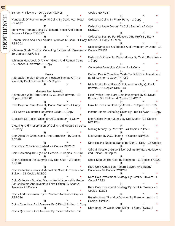Zander H. Klawans - 20 Copies RWH18 **R** \* **\*** Handbook Of Roman Imperial Coins By David Van Meter - 1 Copy **R** \* **\*** Identifying Roman Coins By Richard Reece And Simon James - 1 Copy RSBC27 **R** \* **\*** Roman Coins And Their Values By David R. Sear - 1 Copy Krause - 1 Copy RKR176 RSBC01 **R** \* **\*** Whitman Guide To Coin Collecting By Kenneth Bresssett - 10 Copies RWHC438 **R** \* **\*** Whitman Handbook O Ancient Greek And Roman Coins By Zander H. Klawans - 1 Copy **R** \* **\*** Errors Affordable Foreign Errors On Postage Stamps Of The World By Paul S. Greenlaw - 5 Copies **R** \* **\*** General Numismatic Adventures With Rare Coins By Q. David Bowers - 10 Copies RBM001 **R** \* **\*** Best Buys In Rare Coins By Donn Pearlman - 1 Copy **R** \* **\*** Bill Fivaz's Counterfeit Detection Guide - 1 Copy **R** \* **\*** Checklist Of Topical Coins By Al Boulanger - 1 Copy **R** \* **\*** Cleaning And Preservation Of Coins And Medals By Durst - 1 Copy **R** \* **\*** Coin Atlas By Cribb, Cook, And Carradice - 16 Copies RCB90 **R** \* **\*** Coin Clinic 2 By Alan Herbert - 2 Copies RKR662 **R** \* **\*** Coin Collecting 101 By Alan Herbert - 2 Copies RKR661 **R** \* **\*** Coin Collecting For Dummies By Ron Guth - 2 Copies RKR96 **R** \* **\*** Coin Collector's Survival Manual By Scott A. Travers 2nd Edition - 31 Copies RCB20 **R** \* **\*** Coin Collectors Survival Manual An Indispensable Guide For Collectors And Investors Third Edition By Scott A. Travers - 28 Copies **R** \* **\*** Coins And Investment By J. Pearson Andrew - 3 Copies RSBC36 **R** \* **\*** Coins Questions And Answers By Clifford Mishler - 1 Copy **R** \* **\*** Coins Questions And Answers By Clifford Mishler - 12 Copies RWHC17 **R** \* **\*** Collecting Coins By Frank Purvy - 1 Copy **R** \* **\*** Collecting Paper Money By Colin Narbeth - 1 Copy RSBC20 **R** \* **\*** Collecting Stamps For Pleasure And Profit By Barry **R** \* **\*** Collector/Investor Guidebook And Inventory By Durst - 18 Copies RDU34 **R** \* **\*** Collerctor's Guide To Paper Money By Yasha Beresiner - 1 Copy **R** \* **\*** Counterfeit Detection Volume 2 - 1 Copy **R** \* **\*** Golden Key A Complete Guide To Gold Coin Investment By Eli Levine - 1 Copy RKR089 **R** \* **\*** High Profits From Rare Coin Investment By Q. David Bowers - 10 Copies RBMC13 **R** \* **\*** High Profits From Rare Coin Investment By Q. David Bowers 13th Edition - 4 Copies RBMC131 **R** \* **\*** How To Invest In Gold By Cavelti - 7 Copies RCBC35 **R** \* **\*** Instant Expert Collecting Coins By Fred Schwan - 1 Copy **R** \* **\*** Lets Collect Paper Money By Neil Shafer - 35 Copies RWHC08 **R** \* **\*** Making Money By Rochette - 44 Copies RDC25 **R** \* **\*** Mint Marks By A.G. Heaton - 6 Copies RBMC23 **R** \* **\*** Note-Issuing National Banks By Don C. Kelly - 15 Copies **R** \* **\*** Official Investors Guide Silver Dollars By Marc Hudgeons 2nd Edition - 9 Copies **R** \* **\*** Other Side Of The Coin By Rochette - 51 Copies RCB21 **R** \* **\*** Rare Coin Acquisition Record Bowers And Ruddy Galleries - 32 Copies RCBC00 **R** \* **\*** Rare Coin Investment Strategy By Scott A. Travers - 1 Copy RCB23 **R** \* **\*** Rare Coin Investment Strategy By Scott A. Travers - 3 Copies RCB23 **R** \* **\*** Recollections Of A Mint Director By Frank A. Leach - 2 Copies RBMC20 **R** \* **\*** Rpm Book By Wexler And Miller - 1 Copy RCBC38 **R** \* **\***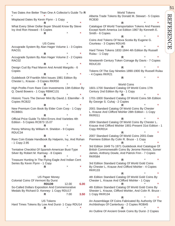Two Dates Are Better Than One A Collector's Guide To **R**  \* **\*** Misplaced Dates By Kevin Flynn - 1 Copy **R** \* **\*** What Every Silver Dollar Buyer Should Know By Steve Ivy And Ron Howard - 5 Copies **R** \* **\*** US Coins Accugrade System By Alan Hager Volume 1 - 3 Copies RAC01 **R** \* **\*** Accugrade System By Alan Hager Volume 2 - 2 Copies RAC02 **R** \* **\*** Design Cud By Paul Marvin And Arnold Margolis - 6 Copies **R** \* **\*** Guidebook Of Franklin Mint Issues 1981 Edition By Chester L. Krause - 3 Copies RKR50 **R** \* **\*** High Profits From Rare Coin Investments 13th Edition By Q. David Bowers - 1 Copy RBMC131 **R** \* **\*** Historic Tours The Denver Mint By David J. Eitemiller - 9 Copies RCB22 **R** \* **\*** New Premium Coin Book By Elder Coin Corp - 1 Copy RCBB01 **R** \* **\*** Official Price Guide To Mint Errors And Varieties 4th Edition - 5 Copies RCB73 15.07 **R** \* **\*** Penny Whimsy By William H. Sheldon - 9 Copies RDUC34 **R** \* **\*** Rare Coin Estate Handbook By Halperin, Ivy, And Rohan - 1 Copy 2.95 **R** \* **\*** Tentative Checklist Of Spanish-American Bust-Type Silver By Robert M. Ramsay - 8 Copies **R** \* **\*** Treasure Hunting In The Flying Eagle And Indian Cent Series By Kevin Flynn - 1 Copy **R** \* **\*** US Paper Money Colonial Coins Of Vermont By Durst **RDU39** 12.00 **6.00** So-Called Dollars Exposition And Commemorative Medals By Richard D. Kenney- 1 Copy RDU17 **R** 7.00 **3.50** US Tokens Hard Times Tokens By Low And Durst- 1 Copy RDU14 **R** \* **\*** World Tokens Alberta Trade Tokens By Donald M. Stewart - 5 Copies RCB30 **R** \* **\*** Catalogue Of World Transportation Tokens And Passes Except North America 1st Edition 1967 By Kenneth E. Smith - 6 Copies **R** \* **\*** Coins And Tokens Of Nova Scotia By Eugene G. Courteau - 3 Copies RDU45 **R** \* **\*** Hard Times Tokens 1832-1844 4th Edition By Russell Rulau - 1 Copy **R** \* **\*** Nineteenth Century Token Coinage By Davis - 7 Copies RDUC20 **R** \* **\*** Tokens Of The Gay Nineties 1890-1900 By Russell Rulau - 4 Copies RKR21 **R** \* **\*** World Coins 1601-1700 Standard Catalog Of World Coins 17th Century 2nd Edition By Kp - 1 Copy **R** \* **\*** 1701-1800 Standard Catalog Of World Coins 5th Edition By George S. Cuhaj - 2 Copies **R** \* **\*** 2001 Standard Catalog Of World Coins By Chester L. Krause And Clifford Mishler 28th Edition - 1 Copy RKR011 **R** \* **\*** 2004 Standard Catalog Of World Coins By Chester L. Krause And Clifford Mishler 1901-Present 31st Edition - 1 Copy RKR014 **R** \* **\*** 2007 Standard Catalog Of World Coins 2001-Date Premiere Edition By Colin R. Bruce - 1 Copy **R** \* **\*** 3rd Edition 1649 To 1971 Guidebook And Catalogue Of British Commonwealth Coins By Jerome Remick, Somer James, Anthony Dowle, And Patrick Finn - 7 Copies RKR584 **R** \* **\*** 3rd Edition Standard Catalog Of World Gold Coins By Chester L. Krause And Clifford Mishler - 4 Copies RKR133 **R** \* **\*** 4th Edition Standard Catalog Of World Gold Coins By Chester L. Krause And Clifford Mishler - 1 Copy **R** \* **\*** 4th Edition Standard Catalog Of World Gold Coins By Shester L. Krause, Clifford Mishler, And Colin R. Bruce - 1 Copy RKR134 **R** \* **\*** An Assemblage Of Coins Fabricated By Authority Of The Archbishops Of Canterbury - 2 Copies ROB45 **R** \* **\*** An Outline Of Ancient Greek Coins By Durst- 2 Copies

51

# **REFERENCE** REFERENCE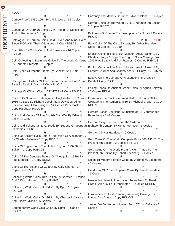RDU77 **R** \* **\*** Cameo Proofs 1950-1964 By Val J. Webb - 13 Copies RCB67 **R** \* **\*** Catalogue Of German Coins By P. Arnold, D. Steinhilber, And H. Kuthmann - 1 Copy **R** \* **\*** Catalogue Of German Coins Gold, Silver, And Minor Coins Since 1800 With Their Valuations - 1 Copy RSBC11 **R** \* **\*** Coin Atlas By Cribb, Cook, And Carradice - 16 Copies RCB90 **R** \* **\*** Coin Collecting A Beginners Guide To The World Of Coins 1649 H.A. Seaby And P.A. Rayner - 2 Copies RSBC18 By Kenneth Bressett - 21 Copies **R** \* **\*** Coin Types Of Imperial Rome By Gnecchi And Elmer - 1 Copy **R** \* **\*** Coinage And History Of The Roman Empire Volume 1 and Durst- 1 Copy RDU66 2 set By David L. Vagi - 1 Copy RLIC10 **R** \* **\*** Coinage Of William Wood 1722-1733 - 1 Copy RDU23 **R** \* **\*** Coincraft's Standard Catalogue Of English And Uk Coins 1066 To Date By Richard Lobel, Mark Davidson, Allan Hailstone, And Eleni Calligas - 14 Copies Paperback, 1 Copy Hardback RDUC36 **R** \* **\*** Coins And Medals Of The English Civil War By Edward Besly - 1 Copy **R** \* **\*** Coins And Tokens Of Nova Scotia By Eugene G. Courteau Eighteenth Century By Moritz Wormser - 2 Copies - 3 Copies RDU45 **R** \* **\*** Coins Of Ancient Lycia Before The Reign Of Alexander By Sir Charles Fellows - 1 Copy ROB10 **R** \* **\*** Coins Of England And The United Kingdom 1997 32nd Edition - 1 Copy RSBC02 **R** \* **\*** Coins Of The Genoese Rulers Of Chios (1314-1329) By Paul Lambros - 1 Copy ROB29 **R** \* **\*** Coins Of The Sultans Of Gujarat By C.R. Singhal - 2 Copies ROB55H **R** \* **\*** Collecting World Coins 10th Edition By Chester L. Krause And Clifford Mishler - 1 Copy RKR03 **R** \* **\*** Collecting World Coins 5th Edition By Kp - 11 Copies RKR035 **R** \* **\*** Collecting World Coins 6th Edition By Chester L. Krause And Clifford Mishler - 6 Copies RKR036 **R** \* **\*** Contemporary World Gold Coins By Durst - 8 Copies RDU52 **R** \* **\*** Currency And Medals Of Prince Edward Island - 16 Copies **R** \* **\*** Current Coins Of The World By R.S. Yeoman 8th Edition - 2 Copies RCB76 **R** \* **\*** Dictionary Of Roman Coin Inscriptions By Durst- 2 Copies RDU89 **R** 20.00 **10.00** Early Coins Of The Chou Dynasty By Arthur Braddan Coole - 8 Copies RCBC19 **R** \* **\*** English Coins In The British Museum Anglo Saxon 1 By Charles Keary - 1 Copy The English Silver Coinage From **R** \* **\*** English Coins In The British Museum Anglo Saxon 2 By Herbert Grueber And Charles Keary - 1 Copy RSBC45-46 **R** \* **\*** Essays On The Coinage Of Alexander The Great By **R** \* **\*** Facing Heads On Ancient Greek Coins By Agnes Baldwin - 5 Copies RDU64 **R** \* **\*** From Imperium To Auctoritas A Historical Study Of Aes Coinage In The Roman Empire By Michael Grant - 1 Copy RDU71 **R** \* **\*** Gerhard Schon Deutscher Munzkatalog 18. Jahrhundert Battenberg - 6 +2 Copies **R** \* **\*** German Seige Pieces From The Sixteenth To The **R** \* **\*** Gold And Silver Handbook - 6 Copies **R** \* **\*** Gold Coins Of The World Complete From 600 A.D. To The Present 5th Edition - 2 Copies RKR135 **R** \* **\*** Gold Coins Of The World From Ancient Times To The Present 6th Edition By Robert Friedberg - 2 Copies **R** \* **\*** Guide To Modern Foreign Coins By Jerome M. Eisenberg - 6 Copies **R** \* **\*** Handbook Of Roman Imperial Coins By David Van Meter - 1 Copy **R** \* **\*** Hewitts Numismatic Information Series How To Read Greek Coins By Paul Pennington - 6 Copies RCBC53 **R** \* **\* R** \* **\*** Introduction To East Roman (Byzantine) Coinage By Lhotka And Durst- 1 Copy RDUC08 **R** \* **\*** Jaeger Die Deutschen Munzen Seit 1871 14 Auflage - 3 Copies **R** \* **\***

REFERENCE REFEREN

52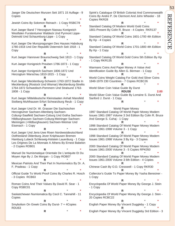53 **REFERENCE** REFERENCE

Jaeger Die Deutschen Munzen Seit 1871 15 Auflage - 9 Copies

**R** \* **\*** Jewish Coins By Solomon Reinach - 1 Copy RSBC78 **R** \* **\*** Kurt Jaeger Band 7 Herzogtum Nassau Konigreich Westfalen Furstentumer Waldeck Und Pyrmont Lippe-Detmold Und Schaumburg-Lippe - 1 Copy **R** \* **\*** Kurt Jaeger Die Munzpragungen Des Hauses Habsburg 1780-1918 Und Der Republik Osterreich Seit 1918 - 1 Copy **R** \* **\*** Kurt Jaeger Hannover Braunschweig Seit 1813 - 1 Copy **R** \* **\*** Kurt Jaeger Konigreich Preuben 1786-1873 - 1 Copy **R** \* **\*** Kurt Jaeger Konigreich Sachsen 1806-1872 Und Herzogtum Warschau 1810-1815 - 1 Copy **R** \* **\*** Kurt Jaeger Mecklenburg-Schwerin 1763-1872 Stadte In Mecklenburg (Rostock Und Wismar) Mecklenburg-Strelits 1764-1872 Schwedisch-Pommern Und Stralsund 1763- 1808 - 1 Copy **R** \* **\*** Kurt Jaeger Mitteldeutsche Kleinstaaten Anhalt Mansfeld Stolberg Muhlhausen Erfurt Schwarzburg Reub - 1 Copy **R** \* **\*** Kurt Jaeger Und Dr. W. Grasser Die Sachsischen Herzogtumer Sachsen-Altenberg Sachsen-Coburg=Saalfeld Sachsen-Coburg Und Gotha Sachsen-Hildburghausen Sachsen-Coburg-Meininger Sachsen-Meiningen (-Hildburghausen) Sachsen-Weimar Und Eisenach - 1 Copy **R** \* **\*** Kurt Jaeger Und Jens-Uwe Rixen Nordwestdeutschland Ostfriesland Oldenburg Jever Kniphausen Bremen Hamburg Lubeck Schleswig-Holstein Lauenburg - 1 Copy Les Origines De La Monnaie A Athens By Ernest Babelon - 2 Copies ROB01 **R** \* **\*** Manuel De Numismatique Orientale De L'antiquite Et Du Moyen Age By J. De Morgan - 1 Copy ROB07 **R** \* **\*** Mexican Patriots And Their Part In Numismatics By Dr. A. F. Pradeau - 1 Copy **R** \* **\*** Official Guide To World Proof Coins By Charles R. Hosch - 3 Copies RCB63 **R** \* **\*** Roman Coins And Their Values By David R. Sear - 1 Copy RSBC01 **R** \* **\*** Saskatchewan Numismatica By Cecil C. Tannahill - 11 Copies **R** \* **\*** Spink's Catalogue Of British Colonial And Commonwealth

Smybolism On Greek Coins By Durst- 7 + 4Copies RDU63 **R** \* **\*** Coins By Andre P. De Clermont And John Wheeler - 18 Copies RKR28 **R** \* **\*** Standard Catalog Of Modern World Gold Coins 1801-Present By Colin R. Bruce - 4 Copies RKR137 **R** \* **\*** Standard Catalog Of World Coins 1601-1700 4th Edition By Kp - 4 Copies **R** \* **\*** Standard Catalog Of World Coins 1701-1800 4th Edition By Kp - 1 Copy **R** \* **\*** Standard Catalog Of World Gold Coins 5th Edition By Kp - 1 Copy RKR135 **R** \* **\*** Warmans Coins And Paper Money A Value And Identification Guide By Allen G. Berman - 1 Copy **R** \* **\*** World Coins Weight Catalog For Gold And Silver Coins 1848-1979 230 Countries - 7 Copies RCBC26 **R** \* **\*** World Silver Coin Value Guide By Durst **RDU38 2.00** World Silver Coin Value Guide By Lorraine S. Durst And Sanford J. Durst - 1 Copy **R** \* **\***

#### World Paper Money

1997 Standard Catalog Of World Paper Money Modern Issues 1961-1997 Volume 3 3rd Edition By Colin R. Bruce And George S. Cuhaj - 1 Copy **R** \* **\*** 1998 Standard Catalog Of World Paper Money Modern Issues 1961-1998 Volume 3 - 1 Copy **R** \* **\*** 1998 Standard Catalog Of World Paper Money Modern Issues 1961-1998 Volume 3 By Kp - 3 Copies **R** \* **\*** 2000 Standard Catalog Of World Paper Money Modern Issues 1961-2000 Volume 3 - 5 Copies RPK050 **R** \* **\*** 2000 Standard Catalog Of World Paper Money Modern Issues 1961-2000 Volume 3 6th Edition - 4 Copies **R** \* **\*** Chinese Cash By O.D. Cresswell - 1 Copy RKR30 **R** \* **\*** Collerctor's Guide To Paper Money By Yasha Beresiner - 1 Copy **R** \* **\*** Encyclopedia Of World Paper Money By George J. Stein - 1 Copy **R** \* **\*** Encyclopedia Of World Paper Money By George J. Sten - 20 Copies RCBC22 **R** \* **\*** English Paper Money By Vincent Duggleby - 1 Copy **R** \* **\***

English Paper Money By Vincent Duggleby 3rd Edition - 3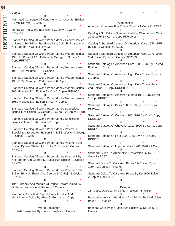REFERENCE Copies **R** \* **\*** Illustrated Catalogue Of Hong Kong Currency 4th Edition By Ma Tak Wo - 1 Copy **R** \* **\*** Money Of The World By Richard G. Doty - 1 Copy RCW152 **R** \* **\*** Standard Catalog Of World Paper Money General Issues Volume 2 8th Edition By Albert Pick, Colin R. Bruce, And Neil Shafer - 7 Copies RPK038 **R** \* **\*** Standard Catalog Of World Paper Money Modern Issues 1961 To Present 17th Edition By George S. Suhaj - 1 Copy RPK057 **R** \* **\*** Standard Catalog Of World Paper Money Modern Issues 1961-1995 Volume 3 - 14 Copies **R** \* **\*** Standard Catalog Of World Paper Money Modern Issues 1961-1996 Volume 3 2nd Edition - 6 Copies **R** \* **\*** Standard Catalog Of World Paper Money Modern Issues 1961-Present 12th Edition By Kp - 3 Copies RPK052 **R** \* **\*** Standard Catalog Of World Paper Money Modern Issues 1961-Present 13th Edition By Kp - 4 Copies **R** \* **\*** Standard Catalog Of World Paper Money Specialized Issues 11th Edition By George S. Cuhaj - 2 Copies RPK02 **R** \* **\*** Standard Catalog Of World Paper Money Specialized Issues Volume 1 8th Edition - 1 Copy **R** \* **\*** Standard Catalog Of World Paper Money Volume 1 Specialized Issues 9th Edition By Neil Shafer And George S. Cuhaj - 1 Copy **R** \* **\*** Standard Catalog Of World Paper Money Volume 2 9th Edition By Neil Shafer And Colin R. Bruce - 3 Copies RPK039 **R** \* **\*** Standard Catalog Of World Paper Money Volume 2 By Neil Shafer And George S. Suhaj 10th Edition - 2 Copies RPK030 **R** \* **\*** Standard Catalog Of World Paper Money Volume 3 8th Edition By Neil Shafer And George S. Cuhaj - 2 Copies RPK058 **R** \* **\*** The Currency And Medals Of Prince Edward Island By Graham Kennedy And Becker - 3 Copies **R** \* **\*** Warmans Coins And Paper Money A Value And Identification Guide By Allen G. Berman - 1 Copy **R** \* **\***

54

REFEREN

World Banknotes Scottish Banknotes By James Douglas - 3 Copies

Copies

Automobiles American Volunteer Fire Trucks By Kp - 1 Copy RKRC22 **R** \* **\*** Catalog 2 3rd Edition Standard Catalog Of American Cars 1946-1975 By Kp - 1 Copy RKRC042 **R** \* **\*** Catalog 2 Standard Catalog Of American Cars 1946-1975 By Kp - 5 Copies RKRC033 **R** \* **\*** Catalog 3 Standard Catalog Of American Cars 1976-1986 2nd Edition By Kp - 3 Copies RKR023 **R** \* **\*** Standard Catalog Of American Cars 1805-1942 By Kp 2nd Edition - 1 Copy **R** \* **\*** Standard Catalog Of American Light Duty Trucks By Kp - 2 Copies **R** \* **\*** Standard Catalog Of American Light Duty Trucks By Kp 2nd Edition - 1 Copy RKRC052 **R** \* **\*** Standard Catalog Of American Motors 1902-1987 By Kp - 1 Copy RKRC15 **R** \* **\*** Standard Catalog Of Buick 1903-1990 By Kp - 1 Copy RKRC10 **R** \* **\*** Standard Catalog Of Cadillac 1903-1990 By Kp - 1 Copy RKRC11A **R** \* **\*** Standard Catalog Of Chevorlet 1912-1990 By Kp - 1 Copy RKRC12 **R** \* **\*** Standard Catalog Of Ford 1903-1990 By Kp - 1 Copy RKRC14 **R** \* **\*** Standard Catalog Of Imported Cars 1946-1990 - 1 Copy **R** \* **\*** Standard Guide To Automotive Restoration By Kp - 1 Copy RKRC27 **R** \* **\*** Standard Guide To Cars And Prices 6th Edition By Kp 1994 - 3 Copies RKR0176 **R** \* **\*** Standard Guide To Cars And Prices By Kp 1990 Edition - 2 Copies RKRC017 **R** \* **\*** Baseball 25 Topps, Donruss, And Fleer Rookies - 6 Packs **R** \* **\*** Baseball Autograph Handbook 2nd Edition By Mark Allen Baker - 12 Copies **R** \* **\*** Baseball Card Price Guide 10th Edition By Kp 1996 - 6

**R** \* **\***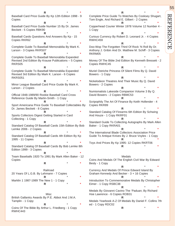**R** \* **\*** Baseball Card Price Guide By Kp 12th Edition 1998 - 9 Copies **R** \* **\*** Baseball Card Price Guide Number 15 By Dr. James Beckett - 5 Copies RBK90 **R** \* **\*** Baseball Cards Questions And Answers By Kp - 15 Copies RKR62 **R** \* **\*** Complete Guide To Baseball Memorabilia By Mark K. Larson - 3 Copies RKRS07 **R** \* **\*** Complete Guide To Baseball Memorabilia Expanded Revised 2nd Edition By Krause Publications – 5 Copies RKRS05 **R** \* **\*** Complete Guide To Baseball Memorabilia Expanded Revised 3rd Edition By Mark K. Larson - 6 Copies RKRS051 **R** \* **\*** Minor League Baseball Card Price Guide By Mark K. Larson - 2 Copies **R** \* **\*** Official 1948-1989/90 Rookie Baseball Card Cross Reference Guide By Martin-Smith - 1 Copy **R** \* **\*** Sport Americana Price Guide To Baseball Collectables By Dr. James Beckett - 8 Copies **R** \* **\*** Sports Collectors Digest Getting Started in Card Collecting - 1 Copy **R** \* **\*** Standard Catalog Of Baseball Cards 15th Edition By Bob Lemke 2006 - 2 Copies **R** \* **\*** Standard Catalog Of Baseball Cards 4th Edition By Kp 1995 - 11 Copies **R** \* **\*** Standard Catalog Of Baseball Cards By Bob Lemke 8th Edition 1999 - 3 Copies **R** \* **\*** Team Baseballs 1920 To 1991 By Mark Allen Baker - 12 Copies **R** \* **\*** Railroad 20 Years Of L.G.B. By Lehmann - 7 Copies **R** \* **\*** Marklin 1 1987-1989 The New 1 - 1 Copy **R** \* **\* Misc** British Gallantry Awards By P.E. Abbot And J.M.A. Tamplin - 1 Copy **R** \* **\***

Coins Of The Bible By Arthur L. Friedberg - 1 Copy RWHC443

Complete Price Guide To Watches By Cooksey Shugart, Tom Engle, And Richard E. Gilbert - 2 Copies **R** \* **\*** Copperhead Courier Winter 1978 Volume 12 Number 4 - 1 Copy **R** \* **\*** Curious Currency By Robert D. Leonard Jr. - 4 Copies RWHC459 **R** \* **\*** Doo-Wop The Forgotten Third Of Rock 'N Roll By Dr. Anthony J. Gribin And Dr. Matthew M. Schiff - 3 Copies RKRM05 **R** \* **\*** Money Of The Bible 2nd Edition By Kenneth Bressett - 2 Copies RWHC45 **R** \* **\*** Muriel Ostriche Princess Of Silent Films By Q. David Bowers - 1 Copy **R** \* **\*** Nickelodeon Theatres And Their Music By Q. David Bowers - 2 Copies **R** \* **\*** Numismatists Lakeside Companion Volume 3 By Q. David Bowers - 2 Copies RBMC53 **R** \* **\*** Scripophily The Art Of Finance By Keith Hollender - 4 Copies RKR89 **R** \* **\*** Standard Catalog Of Firearms 6th Edition By Schwing And Houze - 1 Copy RKRF01 **R** \* **\*** Standard Guide To Collecting Autographs By Mark Allen Baker - 1 Copy RKRA01 **R** \* **\*** The International Blade Collectors Association Price Guide To Antique Knives By J. Bruce Voyles - 1 Copy **R** \* **\*** Toys And Prices By Kp 1995- 12 Copies RKRT06 **R** \* **\***

**R** \* **\***

**Medals** Coins And Medals Of The English Civil War By Edward Besly - 1 Copy **R** \* **\*** Currency And Medals Of Prince Edward Island By Graham Kennedy And Becker - 3 + 16 Copies **R** \* **\*** Introduction To Commemorative Medals By Christopher Eimer - 1 Copy RSBC38 **R** \* **\*** Medals By Giovanni Cavino The 'Paduan; By Richard Hoe Lawrence - 6 Copies ROB31 **R** \* **\*** Medals Yearbook A-Z Of Medals By Daniel F. Collins 7th ed - 1 Copy RDC02 **R** \* **\***

# 55 **REFERENC** REFERENCE

Ō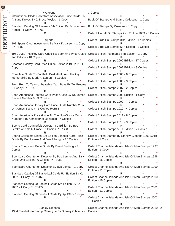| 56        |                                                                                                                                 |                                                                                 |
|-----------|---------------------------------------------------------------------------------------------------------------------------------|---------------------------------------------------------------------------------|
|           | Weapons                                                                                                                         | 3 Copies                                                                        |
| REFERENCE | International Blade Collectors Association Price Guide To<br>Antique Knives By J. Bruce Voyles - 1 Copy                         | Book Of Stamps And Stamp Collecting - 1 Copy                                    |
|           | Standard Catalog Of Firearms 6th Edition By Schwing And Book Of Stamps By Crescent - 1 Copy<br>Houze - 1 Copy RKRF01            |                                                                                 |
|           |                                                                                                                                 | Collect Aircraft On Stamps 2Nd Edition 2009 - 8 Copies                          |
|           | Sports<br>101 Sports Card Investments By Mark K. Larson - 1 Copy                                                                | Collect Birds On Stamps 3Rd Edition - 17 Copies                                 |
|           | RKRS15                                                                                                                          | Collect Birds On Stamps 5Th Edition - 2 Copies                                  |
|           | 1951-19897 Hockey Card Checklist Book And Price Guide Collect British Postmarks 8Th Edition - 1 Copy<br>2nd Edition - 18 Copies |                                                                                 |
|           | Charlton Hockey Card Price Guide Edition 2 1991/92 - 1                                                                          | Collect British Stamps 2000 Edition - 17 Copies                                 |
|           | Copy                                                                                                                            | Collect British Stamps 2002 Edition - 8 Copies                                  |
|           | Complete Guide To Football, Basketball, And Hockey<br>Memorabilia By Mark K. Larson - 3 Copies                                  | Collect British Stamps 2005 - 6 Copies                                          |
|           | From Ruth To Tyan Unbeatable Card Buys By Tol Broome                                                                            | Collect British Stamps 2006 - 3 Copies                                          |
|           | - 1 Copy RKRS14                                                                                                                 | Collect British Stamps 2007 - 2 Copies                                          |
|           | Sport Americana Football Card Price Guide By Dr. James<br>Beckett Number 9 - 3 Copies                                           | Collect British Stamps 2008 Edition - 1 Copy                                    |
|           | Sport Americana Hockey Card Price Guide Number 2 By                                                                             | Collect British Stamps 2009 - 7 Copies                                          |
|           | Dr. James Beckett - 5 Copies RCB81                                                                                              | Collect British Stamps 2010 - 4 Copies                                          |
|           | Sport Americana Price Guide To The Non-Sports Cards<br>Number 4 By Christopher Benjamin - 7 Copies                              | Collect British Stamps 2011 - 8 Copies                                          |
|           | Sports Card Counterfeit Detector 3rd Edition By Bob                                                                             | Collect British Stamps 2013 - 3 Copies                                          |
|           | Lemke And Sally Grace - 7 Copies RKRS08<br>R.                                                                                   | Collect British Stamps 50Th Edition - 2 Copies                                  |
|           | Sports Collectors Digest 1st Edition Baseball Card Price<br>Guide By Bob Lemke And Dan Albaugh - 26 Copies                      | Collect British Stamps By Stanley Gibbons 1999 50Th<br>Edition - 1 Copy         |
|           | R<br>Sports Equipment Price Guide By David Bushing - 2                                                                          | R<br>Collect Channel Islands And Isle Of Man Stamps 1997                        |
|           | Copies<br>R                                                                                                                     | Edition - 1 Copy<br>R                                                           |
|           | Sportscard Counterfeit Detector By Bob Lemke And Sally<br>Grace 2nd Edition - 6 Copies RKRS080                                  | Collect Channel Islands And Isle Of Man Stamps 1998<br>Edition - 25 Copies      |
|           | Sportscard Counterfeit Detector By Byb Lemke - 1 Copy<br>R.                                                                     | R<br>Collect Channel Islands And Isle Of Man Stamps 1999<br>Edition - 11 Copies |
|           | Standard Catalog Of Basketball Cards 5th Edition By Kp                                                                          | R                                                                               |
|           | 2002 - 1 Copy RKRS162<br>R                                                                                                      | Collect Channel Islands And Isle Of Man Stamps 2000<br>Edition - 15 Copies      |
|           | Standard Catalog Of Football Cards 5th Edition By Kp<br>2002 - 1 Copy RKRS172                                                   | R<br>Collect Channel Islands And Isle Of Man Stamps 2001                        |
|           | R<br>Standard Catalog Of Football Cards By Kp 1998-1 Copy                                                                       | Edition - 11 Copies<br>R                                                        |
|           | R                                                                                                                               | Collect Channel Islands And Isle Of Man Stamps 2002 -<br>10 Copies              |
|           | <b>Stanley Gibbons</b>                                                                                                          | R<br>Collect Channel Islands And Isle Of Man Stamps 2010 - 2                    |

1984 Elizabethan Stamp Catalogue By Stanley Gibbons - Copies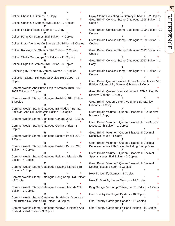**REFERENCE** REFERENCE

57

**R** \* **\*** Collect Chess On Stamps - 1 Copy **R** \* **\*** Collect Chess On Stamps 2Nd Edition - 7 Copies **R** \* **\*** Collect Falkland Islands Stamps - 1 Copy **R** \* **\*** Collect Fungi On Stamps 2Nd Edition - 4 Copies **R** \* **\*** Collect Motor Vehicles On Stamps 1St Edition - 3 Copies **R** \* **\*** Collect Railways On Stamps 3Rd Edition - 2 Copies **R** \* **\*** Collect Shells On Stamps 1St Edition - 11 Copies **R** \* **\*** Collect Ships On Stamps 3Rd Edition - 8 Copies **R** \* **\*** Collecting By Theme By James Watson - 2 Copies **R** \* **\*** Collection Diana - Princess Of Wales 1961-1997 - 78 Copies **R** \* **\*** Commonwealth And British Empire Stamps 1840-1952 2005 Edition - 2 Copies **R** \* **\*** Commonwealth Stamp Catalogue Austrtalia 8Th Edition - 3 Copies **R** \* **\*** Commonwealth Stamp Catalogue Bangladesh, Burma, Pakistan, And Sri Lanka 2Nd Edition - 3 Copies **R** \* **\*** Commonwealth Stamp Catalogue Canada 2008 - 1 Copy **R** \* **\*** Commonwealth Stamp Catalogue Central Africa - 2 **Copies R** \* **\*** Commonwealth Stamp Catalogue Eastern Pacific 2007 - 1 Copy **R** \* **\*** Commonwealth Stamp Catalogue Eastern Pacific 2Nd Edition - 4 Copies **R** \* **\*** Commonwealth Stamp Catalogue Falkland Islands 4Th Edition - 4 Copies **R** \* **\*** Commonwealth Stamp Catalogue Falkland Islands 5Th Edition - 1 Copy **R** \* **\*** Commonwealth Stamp Catalogue Hong Kong 3Rd Edition - 5 Copies **R** \* **\*** Commonwealth Stamp Catalogue Leeward Islands 2Nd Edition - 3 Copies **R** \* **\*** Commonwealth Stamp Catalogue St. Helena, Ascension, And Tristan Da Chuna 4Th Edition - 3 Copies **R** \* **\*** Commonwealth Stamp Catalogue Windward Islands And Barbados 2Nd Edition - 3 Copies

**R** \* **\*** Enjoy Stamp Collecting By Stanley Gibbons - 62 Copies Great Britain Concise Stamp Catalogue 1998 Edition - 3 Copies **R** \* **\*** Great Britain Concise Stamp Catalogue 1999 Edition - 22 Copies **R** \* **\*** Great Britain Concise Stamp Catalogue 2009 Edition - 7 Copies **R** \* **\*** Great Britain Concise Stamp Catalogue 2012 Edition - 4 Copies **R** \* **\*** Great Britain Concise Stamp Catalogue 2013 Edition - 1 Copy **R** \* **\*** Great Britain Concise Stamp Catalogue 2014 Edition - 2 **Copies R** \* **\*** Great Britain Queen Elizabeth Ii Pre-Decimal Issues 5Th Edition Volume 3 By Stanley Gibbons - 1 Copy **R** \* **\*** Great Britain Queen Victoria Volume 1 7Th Edition By Stanley Gibbons - 1 Copy **R** \* **\*** Great Britain Queen Victoria Volume 1 By Stanley Gibbons - 1 Copy **R** \* **\*** Great Britain Volume 3 Queen Elizabeth Ii Pre-Decimal Issues - 1 Copy **R** \* **\*** Great Britain Volume 3 Queen Elizabeth Ii Pre-Decimal Issues 10Th Edition - 2 Copies **R** \* **\*** Great Britain Volume 4 Queen Elizabeth Ii Decimal Definitive Issues - 1 Copy **R** \* **\*** Great Britain Volume 4 Queen Elizabeth Ii Decimal Definitive Issues 9Th Edition Including Stamp Book **R** \* **\*** Great Britain Volume 5 Queen Elizabeth Ii Decimal Special Issues 2Nd Edition - 3 Copies **R** \* **\*** Great Britain Volume 5 Queen Elizabeth Ii Decimal Special Issues Binder - 2 Copies **R** \* **\*** How To Identify Stamps - 8 Copies **R** \* **\*** How To Start By James Watson - 14 Copies **R** \* **\*** King George Vi Stamp Catalogue 8Th Edition - 1 Copy **R** \* **\*** One Country Catalogue Binders - 10 Copies **R** \* **\*** One Country Catalogue Canada - 12 Copies **R** \* **\*** One Country Catalogue Falkland Islands - 11 Copies

**R** \* **\***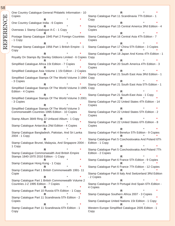One Country Catalogue General Philatelic Information - 10 Copies **R** \* **\*** One Country Catalogue India - 6 Copies **R** \* **\*** Overseas 1 Stamp Catalogue A-C - 1 Copy **R** \* **\*** Postage Stamp Catalogue 1945 Part 2 Foreign Countries - 1 Copy **R** \* **\*** Postage Stamp Catalogue 1956 Part 1 British Empire - 1 Copy **R** \* **\*** Royalty On Stamps By Stanley Gibbons Limited - 6 Copies Copy **R** \* **\*** Simplified Catalogue Africa 1St Edition - 7 Copies **R** \* **\*** Simplified Catalogue Asia Volume 1 1St Edition - 2 Copies **R** \* **\*** Simplified Catalogue Stamps Of The World Volume 3 1994 Copy - 3 Copies **R** \* **\*** Simplified Catalogue Stamps Of The World Volume 3 1995 Copy Edition - 4 Copies **R** \* **\*** Simplified Catalogue Stamps Of The World Volume 3 2001 - 3 Copies **R** \* **\*** Simplified Catalogue Stamps Of The World Volume 3 Commonwealth Countries 1995 Edition - 10 Copies **R** \* **\*** Stamp Album 3849 Ring 22 Unfaced Album - 1 Copy **R** \* **\*** Stamp Catalogue Antarctica 2Nd Edition - 4 Copies **R** \* **\*** Stamp Catalogue Bangladesh, Pakistan, And Sri Lanka 2004 - 1 Copy **R** \* **\*** Stamp Catalogue Brunei, Malaysia, And Singapore 2004 - 1 Copy **R** \* **\*** Stamp Catalogue Commonwealth And British Empire Stamps 1840-1970 2010 Edition - 1 Copy **R** \* **\*** Stamp Catalogue Hong Kong - 1 Copy **R** \* **\*** Stamp Catalogue Part 1 British Commonwealth 1991- 11 Copie **R** \* **\*** Stamp Catalogue Part 1 British Commonwealth Volume 2 Countries J-Z 1995 Edition - 7 Copies **R** \* **\*** Stamp Catalogue Part 10 Russia 6Th Edition - 1 Copy **R** \* **\*** Stamp Catalogue Part 11 Scandinavia 5Th Edition - 2 Copies **R** \* **\*** Stamp Catalogue Part 11 Scandinavia 6Th Edition - 1 Copy **R** \* **\*** Stamp Catalogue Part 11 Scandinavia 7Th Edition - 1 Copy **R** \* **\*** Stamp Catalogue Part 15 Central America 3Rd Edition - 4 Copies **R** \* **\*** Stamp Catalogue Part 16 Central Asia 4Th Edition - 7 Copies **R** \* **\*** Stamp Catalogue Part 17 China 5Th Edition - 3 Copies **R** \* **\*** Stamp Catalogue Part 18 Japan And Korea 4Th Edition - 1 **R** \* **\*** Stamp Catalogue Part 20 South America 4Th Edition - 3 Copies **R** \* **\*** Stamp Catalogue Part 21 South East Asia 3Rd Edition - 1 **R** \* **\*** Stamp Catalogue Part 21 South East Asia 5Th Edition - 1 **R** \* **\*** Stamp Catalogue Part 21 South-East Asia - 1 Copy **R** \* **\*** Stamp Catalogue Part 22 United States 4Th Edition - 14 Copies **R** \* **\*** Stamp Catalogue Part 22 United States 5Th Edition - 2 Copies **R** \* **\*** Stamp Catalogue Part 22 United States 6Th Edition - 8 Copies **R** \* **\*** Stamp Catalogue Part 4 Benelux 5Th Edition - 9 Copies **R** \* **\*** Stamp Catalogue Part 5 Czechoslovakia And Poland 6Th Edition - 1 Copy **R** \* **\*** Stamp Catalogue Part 5 Czechoslovakia And Poland 7Th Edition - 2 Copies **R** \* **\*** Stamp Catalogue Part 6 France 5Th Edition - 9 Copies **R** \* **\*** Stamp Catalogue Part 6 France 7Th Edition - 12 Copies **R** \* **\*** Stamp Catalogue Part 8 Italy And Switzerland 3Rd Edition - 2 Copies **R** \* **\*** Stamp Catalogue Part 9 Portugal And Spain 6Th Edition - 4 Copies **R** \* **\*** Stamp Catalogue Southern Africa 2007 - 3 Copies **R** \* **\*** Stamp Catalogue United Nations 1St Edition - 1 Copy **R** \* **\*** Western Europe Simplified Catalogue 2005 Edition - 1 Copy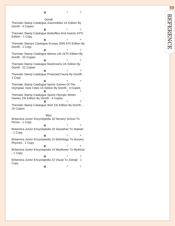**\***

Domfil Thematic Stamp Catalogue Automobiles 1A Edition By Dom fil - 4 Copies

**R**  \* **\*** Thematic Stamp Catalogue Butter flies And Insects 24Th Edition - 1 Copy

**R**  \* **\*** Thematic Stamps Catalogue Europa 2005 6Th Edition By Dom fil - 1 Copy

**R**  \* **\*** Thematic Stamp Catalogue Marine Life 24Th Edition By Dom fil - 20 Copies

**R**  \* **\*** Thematic Stamp Catalogue Mushrooms 2A Edition By Dom fil - 22 Copies

**R**  \* **\*** Thematic Stamp Catalogue Protected Fauna By Domfil -1 Copy

**R**  \* **\*** Thematic Stamp Catalogue Sports Games Of The Olympiad, Host Cities 1A Edition By Dom fil - 4 Copies **R**  \* **\*** Thematic Stamp Catalogue Sports Olympic Winter Games 1St Edition By Dom fil - 4 Copies **R** 

\* **\*** Thematic Stamp Catalogue Wwf 1St Edition By Domfil -10 Copies

**Misc** Britannica Junior Encyclopedia 16 Nursery School To Persia - 1 Copy

**R**  \* **\*** Britannica Junior Encyclopedia 19 Sassafras To Statistic - 1 Copy

**R**  \* **\*** Britannica Junior Encyclopedia 15 Mythology To Nursery Rhymes - 1 Copy

**R**  \* **\*** Britannica Junior Encyclopedia 14 May flower To Mythical - 1 Copy

**R**  \* **\*** Britannica Junior Encyclopedia 22 Visual To Zwingli - 1 Copy **R**  \* **\***

59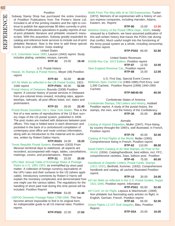#### Postilion

Subway Stamp Shop has purchased the entire inventory of Postillion Publications from The Printer's Stone Ltd. Included is all of the printing masters and the right to continue to publish the approximate 90 titles currently in print. Postillion Publications specializes in quality reprints of out- Wartime History of the Postal Office Dept., WWII, Initially of-print philatelic literature and philatelic research manuscripts. With this acquistion, Subway greatly expanded its catalog and reference book services to include out-of-print philatleic literature. Now is the time to add these special books to your collection. Keep reading!

United States

U.S. Columbian Issue 1893, Lauzon (1942) reprint. Study includes plating, varieties, essays, cancels.

**RTP-32** 23.00 **18.40**

#### U.S. Postal History

Hawaii, Its Stamps & Postal History, Meyer (48) Postilion reprint

**RTP-84** 50.00 **40.00**

Int'l Air Mails as reflected in the US Postal Guides, 1921- 1946 reprint **RTP-PS01** 65.00 **52.00**

Postal History of Delaware, Bounds (1938) Postilion reprint. A concise history of postal services in Delaware from pre-colonial times onward, including rates, appointeeships, railroads, all post offices listed, incl. dates and postmasters.

 **RTP-33** 28.00 **22.40** Postal Route Gazetteer Vol 1, New York States. This is the first of a new series of reproductions of the 13 Burr survery maps of the US postal system, published in 1839. The post routes are marked with distances between post offices. This map is folded twice in each dimension and pocketed in the back of a cerloxbound compilation of contempary post office and route contract information, along with an introduction to the material and its usefulnes, written by Robert Dalton Harris.

**RTP-RG01** 24.00 **19.20**

Texas Republic Postal System, Konwiser (1933) From Mexican territorial days to statehood, all aspects are recorderd, accompanied with maps, tables, cancellations, markings, covers, and proclamations. Reprint

**RTP-31** 25.00 **20.00**

UPU Mail: Annual Table of Exchange Rates & Postage Rates to U.S. 1881-1953, as exemplified by short paid matter. A collection of foreign currency equivalents of the UPU rates and their surtaxes to the US (where applicable). Introductory comments by Robert D Harris will explain the monetary complexites and demonstrated how one might use the various tables. The regulations for the handling of short paid mail during this time period will be included. Postilion Reprint

**RTP-PS04** 53.00 **42.40**

USPOD Domestic Postage Rates 1789-1956. This has become almost impossible to find in its original form. An indispensible guide to all US internal rates. Postilion reprint.

**RTP-PS03** 22.00 **17.60**

Waifs From The Way-bills of an Old Expressman, Tucker (1872). Memoirs of an expressman with a history of various express companies, including Harnden, Adams, Eastern, etc. Reprint

 **RTP-80** 15.00 **12.00** reissued by a Gatherin, we have assumed publication of this well written history that traces the PODs role during that conflict. Much useful insight into the functioning of the Army postal system as a whole, including censorship. Postilion reprint

**RTP-PS02** 66.00 **52.80**

United States Revenues KS/NB Rev Cat 1972 Edition. Postilion reprint **RTP-87** 12.50 **10.00** New England Revenue Cat., Postilion reprint **RTP-88** 15.00 **12.00**

U.S. First Day, Special Event Covers Mellones Spec Cachet Cat (1983-1985) Pictl Ency. over 1,300 Cachets. Postilion Reprint (1999) 1940-1950 **Cachets** 

#### **RTP-ME40-50 60.00**

Confederate States of America

Confederate Stamps, Old Letters and History, Hubbell. Postilion reprint. A study of the postal history, the stamps, the men, and the history of the Confederacy.

**RTP-30** 25.00 **20.00**

#### Airmails

Catalog of Airpost Etiquettes, Muller (1947). Price listing by country throught the 1940's, well illustrated, in French, Postilion reprint

**RTP-70** 40.00 **32.00**

Catalog of First Flights of the World, Muller (1950). Comprehensive listing in French. Postilion reprint

#### **RTP-62** 110.00 **88.00**

David Field's Catalog of Air Mail Stamps, Air Post of the World, (1934). Catalog/handbook, best edition, incl. FFC, comprehensive varieties, Zeps, balloon post. Postilion **RTP-45** 75.00 **60.00**

Handbook of Zeppelin Letters, Postal Cards, Stamps (1911-1931), Berthold, Kummer, (1932). Comprehensive handbook and catalog, all cachets illustrated Postilion reprint.

#### **RTP-10** 30.00 **24.00**

Int'l Air Mails as reflected in the U.S. Postal Guides, Supps 1921-1946. Postilion reprint. Infomative

**RTP-PS01** 65.00 **52.00**

Int'l Conf. on Air Flight, Lepsius & Wachsmuth, (1909) Non philatelic but fascinating early articles on flight, in English, German, French. Postilion reprint

**RTP-66** 65.00 **52.00**

Orient Flights LZ-127 Graf Zeppelin, Blau. Postilion Reprint.

60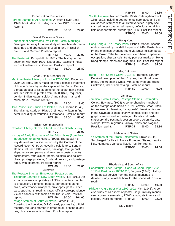#### Expertization, Restoration

Forged Stamps of All Countries, A "Must Have" Book 1920s book, desc. text, diagrams thru 1912. Postilion Reprint.

**RTP-82** 30.00 **24.00**

#### World Reference Books

#### Handbook of Abbreviated Pre-Stamp Postal Markings,

Deninger. An easy to follow study of pre-philatelic markings: intro and abbreviations used in text. In English, French, and German Postilion reprint

#### . **RTP-43** 40.00 **32.00**

The Postmark, Kumpf-Mikuli (1931). The history fo the postmark with over 1600 illustrations, excellent index for quick reference, in German. Postilion reprint

. **RTP-52** 36.00 **28.80**

#### Great Britain, Channel Isl

Maritime Postal History of London 1766-1960, Robertson. Over 325 illus., and 6 maps enliven a detailed treatment of London's heyday as the capitol of the British Empire, a broad appeal to all students of the ocean going mails, includes inland ship rates from 1660-1840, Paquebor, London Indian letters, soldiers' and sailors' mail and much more. Postilion reprint.

 **RTP-68** 23.00 **18.40** Two Pence Blue Studies of Plates 1-15, Osborne (1946) The ultimate study on Plates 1-15, each written in fine detail including all varieties, illustrations. Postilion reprint **RTP-38** 65.00 **52.00**

British Commonwealth

#### Crawford Library Of Phil. Literature in the British Library, **RTP-CL 25.00**

History of Early Postmarks of the British Isles (from their introduction to 1840) Hendy, (1905). The postal history derived from official records by the Curator of the Record Room G. P. O., covering paid letters, Sunday stamps, returned letter office, frankings, foreign post, ships, receivers, penny and two-penny posts, country postmasters, "fifth clause" posts, soldiers' and sailors' cheap postage privilege, Scotland, Ireland, and postage rates, with diagrams. Postilion reprint

# **RTP-39** 35.00 **28.00**

### Australia

### The Postage Stamps, Envelopes, Postcards and

Telegraph Stamps of New South Wales, Hull (1911) An exhaustive work on philately of NSW, chapters devoted to production, pigments, papers, perforations, adhesives, watermarks, wrappers, envelopes, post & letter card, specimens, reprints, rates, official correspondence. Victoria cancels, with tables and illus. 2 Vols. Postilion reprint. **RTP-40** 130.00 **104.00**

Postage Stamps of South Australia, James (1948). Covering the Adelaide, G.P.O., early postmarks, official records, the Long stamps in great detail, printing quantities, plus reference lists, illus. Postilion reprint

**RTP-57** 36.00 **28.80**

South Australia, Napier, Smith (1984). Catalog/handbook 1855-1893, including departmental surchages and official service stamps with all listed varieties, highly specialized notes covering all issues, definitions for all initials of departmental surcharges. illus, Postilion reprint. **RTP-35** 25.00 **20.00**

#### Hong Kong

Hong Kong & The Treaty Ports, Bishop, Morton, second edition revised by Lobdell, Hopkins, (1949). Postal history and markings overland route via Suez. military posts of the Boxer Rebellion, overland via Siberia, Japanese occupation, ship cancels, treaty port postmarks on Hong Kong stamps, maps and diagrams, illus. Postilion reprint **RTP-18** 80.00 **64.00**

#### India, Pakistan

Bundi—The "Sacred Cows" 1915-41, Burgess, Strutorn. Detailed description of the 10 types, the official overprints, the 50 setting types, with some type and cliche illustration, incl priced catalog. Postilion reprint . **RTP-69** 10.00 **9.00**

Jamaica

#### Jamaica, Postal History, Postage Stamps, Postmark's,

Collett, Edwards. (1928) A comprehensive handbook on the stamps of Jamaica of 1926, covers Great Britain issues used in Jamaica, "octagonals" Jamaican issues in the Cayman Islands, charity stamps, fiscal and telegraph stamps used for postage, officials and postal stationery: the postmark section covers colonials, date stamps, towns, registries, railway, ships and slogans. Postilion reprint. **RTP-37** 36.00 **28.80**

#### Malaya and States

The Stamps of the Straits Settlements, Brown (1844) Surcharged for Use in Native Protected States, heavily illus. Numerous varieties listed. Postilion reprint **RTP-58** 30.00 **24.00**

#### Rhodesia and South Africa

Handstruck Letter Stamps—Cape Of Good Hope 1792- 1853 & Postmarks 1853-1910, Jurgens (1943). History of the postal service from the ealiest markings, a detailed study, valuable book for the specialist. Postilion reprint

 **RTP-56** 50.00 **40.00** Philately Anglo-Boer War 1899-1902, Rich (1943). A concise study of all aspect of postal usage, military maneuvers, covers, censorship, POW camps, stationery and legions. Postilion reprint **RTP-34** 40.00 **32.00**

#### St. Vincent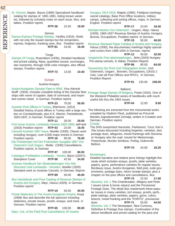St. Vincent, Napier, Bacon (1895) Specialized handbook/ catalog for stamps of 1861-1881, listing known varieties, followed by scholarly notes on each issue. Illus, and tables. Postilion reprint.

**RTP-36** 22.50 **18.00**

#### Samoa

Samoa Express Postage Stamps, Yardley (1916). Deals with not only the issued stamps but the remainders, reprints, forgeries, franking uses, illus. Postilion reprint

**RTP-81** 23.00 **18.40**

#### Tonga

Stamps Of Tonga, Rosenblum (1935), Detailed handbook and priced catalog, flaws, quantities issued, surcharges, star overprints, through 1935 color changes, also official stamps. Postilion reprint.

**RTP-73** 13.00 **10.40**

#### Europe

#### Austria-Hungary

Austro-Hungarian Danube Fleet in WWI, Vice Admiral Wulff (1934). Includes complete listing of the Danube fleet Postage Stage Stamps Of Bulgaria, Poole (1910). One of ships with name of captain, date of command, and important events noted, in German. Postilion reprint.

**RTP-23** 70.00 **56.00**

Austrian Post Offices in Turkey, Eberhorst, (1914) Detailed history of post offices in Turkey with a large section on Constantinople, plus K.K. Marine. Packetboote, 1820-1837, in German. Postilion reprint

 **RTP-11** 35.00 **28.00** First Issue Austria, Lombardy-Venetia 1850-1858, deFrank (1933) Postilion reprint **RTP-63** 23.00 **18.40** Cancels-Austrian 1867 Issue, Mueller (1930). Classic work including Hungary, over 6,500 major entries in German Postilion reprint **RTP-16** 95.00 **76.00** Die Poststempel Auf Der Freimarken Ausgabe 1867 Von Osterreich Und Ungarn, Muller (1930) Cancellations, Postilion reprint, In German

**RTP-97** 100.00 **80.00**

Catalogue Prefilatelico Lombardy - Veneto, Banci (1925?). Stampless Cover **RTP-98** 42.50 **34.00**

Grosses Handbuch Der Abstempelungen Von Alto Strerreich Und Lombardei - Venetien, Mueller (1925) Standard work on Austrian Cancels, in German, Reprint

#### **RTP-89** 50.00 **40.00**

Illus Handobook and Price Catalog of Revenue Stamps of Austria and Hungary, Mayr, Hanus (1929), in German. Postilion reprint

**RTP-19** 50.00 **40.00**

Postal Stationery of The Austro-Hungarian Empire, Kropt (1908) Illus and describe the full spectrum including stationery, private issues, proofs, essays, and more. in German. Postilion reprint.

 **RTP-65** 100.00 **80.00** Spec. Cat. of the Field Post Cancellations Of Austria-

Hungary 1914-1918, Majetic (1965). Fieldpost markings cancel catalogs, Base Post Office locations, military camps, collecting and sorting offices, maps, In German, English. Postilion reprint

#### **RTP-17** 23.00 **18.40**

Stempel Marken Von Osterreich - Ungarn, Mayr, Hanus (1929), 1865-1927 Revenue Stamps of Austria, Hungary, Bosnia, Occupations. Postilion reprint. In German.

**RTP-19** 50.00 **40.00**

Revenue Stamped Paper Catalog of Austria and Hungary, Hanus (1930), the documentary markings highly specialized covers from 1686-1954 in German, reprint.

. **RTP-12** 40.00 **32.00**

Ungarische Post abstempelungen, Bela (1943) Hungary Pre-stamp cancels, In Italian, Postition Reprint

### **RTP-96** 80.00 **64.00**

Verzeichnis Der Post Und Telegraphen Amter, Und Osterreich, Ungarn , Bosnien, Occupations, (1910) 2 Vols, Lists all Post Offices and RPO's, In German, Postilion Reprint

**RTP-91** 135.00 **108.00**

#### **Balkans**

the Westend Philatelist series of handbooks with much useful info thru the 1904 issues

**RTP-04** 12.00 **9.60**

The following are extracted from the monumental works complied by Vladimir Fleck, published as Prirucnik Maraka Jugoslavenskih Zemalja, written in Croatian and German, Postilion reprint.

**Croatia** 

The SHS overprinted Harvester, Parliament, Turul, Karl é Zita issues discussed including forgeries, varieties, also postage dues, allegories, mixed frankings with Slovenia or Hungary also the ovpt. issued for Medumuraje, Prekomurje, Mursko Sredisce, Prelog, Dubrovnik, **Beltinci** 

**RTP-75** 24.00 **19.20**

#### Montenegro.

Detailed narrative and relative price listings highlight this study which includes essays, proofs, plate varieties, papers, gums, perforations varieties for regular issues, Bordeaux issue, Austro-Hungarian, field post, exile governments, postage dues, return receipt stamps, plus a chapter on the post offices and cancellations, illus

 **RTP-74** 22.00 **17.60** Slovenia, Vol. 1 The Chainbreaker, Allegory and Peter I issues (vinar & krone values) and the Provisional Postage Dues. The detail illus masterwork these popular issues in many varieties, incl essays, proofs, perfs., plate settings, plate varieties, papers, gums, colors, bisects, mixed franking and the "PORTO", provisional dues **RTP-71** 55.00 **44.00** Slovenia, Vol. 2 The Newspaper, New Currency, Definitive & Postage Due stamps. Continuation of the above handbook and priced catalog for the para and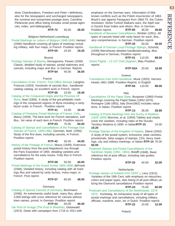63 **REFERENCE** REFERENCE

dinar Chainbreakers, Freedom and Peter I definitives, also for the newspapers and surcharged newspapers, the numeral and overprinted postage dues, Carinthia Plebescite post office listing includes small postal agencies, index, and bibliography

**RTP-72** 45.00 **36.00**

# Belgium-Netherland-Luxemburg

Postal Markings on Letters of Belgium 1648-1849, Herlant (1946) Handbook covering all types of markings including military, with four maps, in French. Postilion reprint. **RTP-05** 24.00 **19.20**

#### Bosnia

Postage Stamps of Bosnia, Herzegovina, Passer (1930) Classic, detailed study of stamps, postal stationary and cancels, including maps and illus in German. Reprint. **RTP-64** 45.00 **36.00**

#### France

Cancellation of the French. Post Office Abroad, Langlois, Francois (1924). Hundreds of cancels illus., handbook/ catalog catalog, an excellent work in French, reprint

**RTP-06** 23.00 **18.40**

Catalog of the Conquered Depts and the Province Of Illyria, Noel (1956). A study of the pre-philatelic markings of the conquered regions of Illyria including a rarity factor scale, in French. Postilion reprint

 **RTP-41** 13.00 **10.40** Catalog of Prestamp Postal Markings of France, Cols., Maury (1929), The best work for French stampless, well illus., list value of each item in French. Postilion reprint

**RTP-03** 75.00 **60.00**

Catalog of Stamps and Cancellations of the Postage Due Stamps of France, 1859-1882, Germain, Noel. (1956) Study of the first dues, including cancels, in French. Postilion reprint.

 **RTP-42** 55.00 **44.00** History of the Postage of France, Maury (1949), Extensive postal history from the post-Napoleonic era through the Paris Exposition of 1900, detailing varieties and cancellations for the early issues. Fully illus in French. Postilion reprint.

 **RTP-08** 50.00 **40.00** Postal Markings of the Grand Armee 1805-1808, deFrank (1948), Detailed history, including catalog with all markings illus and valued by rarity factory, many maps, in French. Post reprint

**RTP-07** 60.00 **48.00**

#### Germany

Catalog of Special Cancels of Germany, Bochmann (1936). An extrememly useful book, many illus, about 3,000 listings with cross reference for cancels without town names, priced, in German. Postilion reprint

**RTP-02** 50.00 **40.00**

Die Post Im Kriege (The Post in Wartime), Glasewald (1913). Deals with campaigns from 1716 to 1912 with

emphasis on the German wars. Information of little known confilcts such as the Polish insurrection of 1863, Brazil's war against Paraguary from 1864-70, the Cuban revolution, Serbo-Turkish Balkans wars, the Atjeh war in Ductch East Indies and others. Illus. in German. Postilion reprint. **RTP-85** 36.00 **28.80** Handbook of Bavarian Cancellations, Winkler (1951). All types of cancels listed with rarity factor for each, illus., very comprehensive, in German. Postilion reprint **RTP-25** 50.00 **40.00** Handbook of German Local Postage Stamps, Schmidt,

(1939) Marvelously detailed handbook/catalog, illlus throughout in German, Postilion reprint

 **RTP-01** 110.00 **88.00** Orient Flights - LZ-127 Graf Zeppelin, Blau Postilion reprint.

**RTP-93A** 20.00 **16.00**

#### Greece

Translations from Kohl Handbook, Munk (1925). Hermes Heads 1861-1888. Postilion Reprint, In English

**RTP-94** 110.00 **88.00**

#### Italy

Cancellations Of the Papal State, Burgisser (1960) Postal Markings covering the Papal States (1852-1870), Romagne (186-1863), Italy (from1862) includes valuations, in Italian. Postilion reprint

**RTP-13** 36.00 **28.80**

Catalog of Postal Markings from the Duchy of Modena (1825-1859) Morrone, et al. (1954) Tablets and charts cover the varieties, including rates of the Ducato Territory Modena to 1890. in Italian **RTP-15** 24.00 **19.20**

Postage Stamps of the Kingdom of Naples, Diena (1932) A study of the postal system, emissions, plate varieties, provisionals, false usages of stamps, CDs, fancy markings, city and military markings, in Italian **RTP-14** 75.00 **60.00**

Postmark Stamps and Postal Cancellations of the Sardinian States (1851- 1863), Bolaffi (1948). Basic reference list of post offices, including rate guides. Postilion reprint.

**RTP-20** 40.00 **32.00**

#### **Netherlands**

Postage stamps of Holland (XIX CENT.), Levy (1912). Varieties of the 19th Cent. with emphasis on retouches, colors and paper types, also listing of all post offices utilizing the Diamond cancellations Postilion reprint

**RTP-24** 75.00 **60.00**

Postmark and Cancellations of the Netherlands, 1570- 1870, Korteweg, An exhaustive study of all types of postal markings and cancellations, including military, officials, maritime, town, etc in Dutch. Postilion reprint.

**RTP-22** 15.00 **12.00**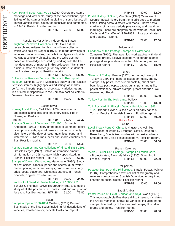# REFERENCE REFERENCE

64

Ruch Poland Spec. Cat., Vol. 1 (1960) Covers pre-stamp markings and wax seals, study of the cancellations, spec. Postal History of Spain, Van Dam (1970) Overview of listings of the stamps including plating of some issues, all known varities listed, history of definitives and commems. to 1940 in Polish. Postilion reprint

**RTP-26** 75.00 **60.00**

Russia, Soviet Union, Independent States Baughman Zemstvo Collection, Gold. Gold did the research and write-up for this magnificent collection which was sold by Siegel in 1971. He made drawings of varieties, plating studies, cancellations, types and prints. He was a scholarly philatelist and the write-ups are based on knowledge acquired by working with the tremendous mass of material in this collection. This is truly a unique store of knowledge for any serious student of the Russian rural post. Postilion reprint.

#### **RTP-53** 550.00 **440.00**

Collection of Russian Zemstvo Stamps In Reich-post Museum, Schmidt (1934). Meticulous study of the Russian Zemstvo stamps, highly specialized listings of shades, perfs., and imperfs, papers, sheet size, varieties, quantities printed, indispensible to the Zemstvo post collector in German. Postilion reprint.

**RTP-48** 50.00 **40.00**

#### **Scandinavia**

Norway Local Posts, Carl Pihl (1963) Local stamps and cancellations including stationery nicely illus in Norwegian Postilion

 reprint **RTP-29** 24.00 **19.20** Postage Stamps of Denmark 1851-1951, Schmidt-Anderson, (1951). History of the post of Denmark, definitives, provisionals, special issues, commems., charity, also history of the date of issue, quantities, paper and watermarks, Jubilee lines, perfs and shade varieties, well illus. Postilion reprint.

**RTP-21** 68.00 **54.40**

Postage Stamps and Cancellations of Finland 1856-1895, Grosfils-Berger (1947). Details an immense amount of information on 19th century, highly specialized, in

French. Postilion reprint **RTP-27** 76.00 **60.80** Stamps of Danish West Indies, Hagemann (1930). Study of post offices, cancels, paper and sheets, gum, watermarks, printing numbers, essays, proofs, reprints, forgeries, postal stationary, Christmas stamps, in French, Spanish, English. Postilion reprint

#### . **RTP-54** 30.00 **24.00**

Handbook of Swedish Postal Markings of 1685-1951, Schultz & Steinheil (1952) Thouroughly illus. a complete study of all the postmark incl. dates used and rarity factor for each. Postilion reprint **RTP-28** 91.00 **72.80**

#### Spain

Stamps of Spain, 1850-1854 Griebert, (1919) Detailed illus. study of the first issues including full descriptions of varieties, transfer errors, cancels Postiliton Reprint

 **RTP-61** 40.00 **32.00** Spanish postal history from the middle ages to modern times, listing postal districts with maps. Shows postal markings of various periods plus railway and maritime markings. There are chapters on the wars of Spain, incl. Carlist and Civil War of 1936-1939. It lists postal rates and treaties. Reprint.

**RTP-86** 22.00 **17.60**

#### **Switzerland**

#### Handbook of the Postage Stamps of Switzerland,

Zumstein (1910). First rate illus. work packed with detail including proofs, essays, stationery, telegraph stamps, postage dues plus details on the 19th century issues. Postilion reprint **RTP-60** 23.00 **18.40**

#### **Turkey**

Stamps of Turkey, Passer (1928). A thorough study of Turkey to 1890 incl. general issues, arirmails, charity stamps, city posts, fiscals used postally, sheet numbers, local post, ovpts, paper, gums, perfs and grills, postal stationery, private stamps, proofs and trials, well researched. Reprint.

Turkey Post In The Holy Land, Pollack **RTP-92** 15.00 **13.50**

Turk Postalari Ilk Filatelik Damga Ue Muhurleri 1863- 1920, Brandt, Ceylan. Classic work on early cancels, Turkish Empire, In turkish & french, Postilion reprint.

**RTP-95** 50.00 **40.00**

#### Africa- Asia

China

Local Treaty Ports Of China, Livingston. A well illus. compliation of works by Livington, Oldfild, Dougan & Rosenberg, Specialized studies with an extraordinary amount of info., also postal stationery. Postilion reprint. **RTP-49** 70.00 **56.00**

#### French Colonies

Yvert & Tellier Cat.-Postage Stamps Of French Col's. - Protectorates, Baron de Vinck (1936). Spec. list, in

French. Reprint. **RTP-67** 90.00 **72.00**

#### Philippines

Postage Stamps of the Philippines, Bartels, Foster, Palmer (1904). Comprehensive text incl. list of telegraphy and revenue stamps under Spanish Dominion, forgery info, chapter on postal history. Postilion reprint

**RTP-59** 30.00 **24.00**

#### Saudi Arabia

Postal Issues of Hejaz, Jeddah and Nejd, Warin (1972) This monograph clarifies these difficult issues, translates the Arabic markings, shows all varieties, including hand stamps, brief history of the area, with maps, illus., diagrams and tables. Postilion reprint

**RTP-50** 35.00 **28.00**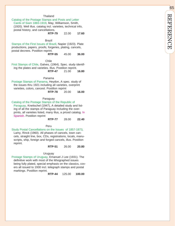#### **Thailand**

# Catalog of the Postage Stamps and Posts and Letter

Cards of Siam 1883-1919, May, Williamson, Smith, (1920). Well illus. catalog incl. varieties, technical info, postal history, and cancellations.

**RTP-79** 22.00 **17.60**

#### Brazil

Stamps of the First Issues of Brazil, Napier (1923). Plate productions, papers, proofs, forgeries, plating, cancels, postal decrees. Postilion reprint.

**RTP-55** 45.00 **36.00**

Chile

First Stamps of Chile, Galves, (1964). Spec. study identifing the plates and varieties. Illus. Postilion reprint.

**RTP-47** 21.00 **16.80**

#### Panama

Postage Stamps of Panama, Heydon, A spec. study of the issues thru 1921 including all varieties, overprint varieties, colors, cancesl. Postilion reprint **RTP-78** 20.00 **16.00**

#### Paraguay

#### Catalog of the Postage Stamps of the Republic of

Paraguay, Kneitschel (1947), A detailed study and listing of all the stamps of Paraguay including the overprints, all varieties listed, many illus, a priced catalog. In Spanish. Postilion reprint

**RTP-77** 28.00 **22.40**

#### Peru

Study Postal Cancellations on the Issues of 1857-1873, Lamy, Rinck (1960). All phases of cancels, town cancels, straight line, box, CDs, registrations, locals, manuscripts, ship, foreign and forged cancels, illus. Postilion reprint.

**RTP-51** 26.00 **20.80**

#### Uruguay

Postage Stamps of Uruguay, Emanuel J Lee (1931). The de finitive work with most of the lithographed issues being fully plated, special emphasis on the classics, covers all issued to 1930 incl. telegraph stamps and postal markings. Postilion reprint.

**RTP-44** 125.00 **100.00**

65